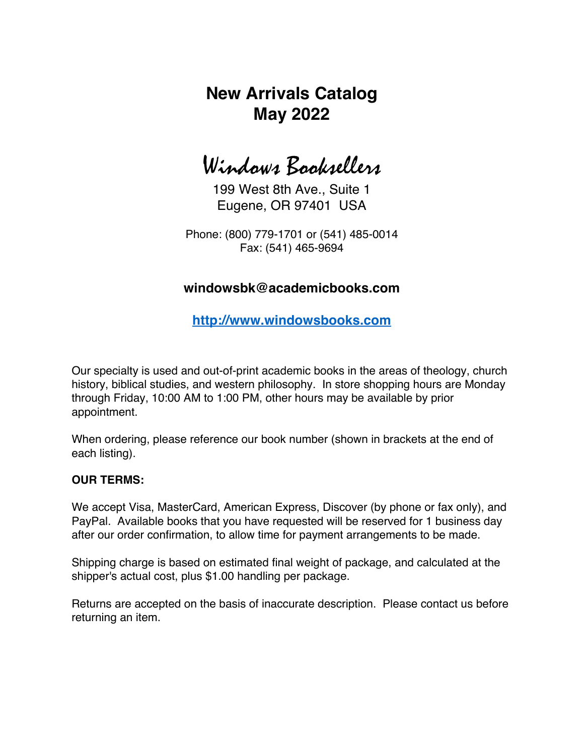# **New Arrivals Catalog May 2022**

Windows Booksellers

199 West 8th Ave., Suite 1 Eugene, OR 97401 USA

Phone: (800) 779-1701 or (541) 485-0014 Fax: (541) 465-9694

### **windowsbk@academicbooks.com**

**http://www.windowsbooks.com**

Our specialty is used and out-of-print academic books in the areas of theology, church history, biblical studies, and western philosophy. In store shopping hours are Monday through Friday, 10:00 AM to 1:00 PM, other hours may be available by prior appointment.

When ordering, please reference our book number (shown in brackets at the end of each listing).

### **OUR TERMS:**

We accept Visa, MasterCard, American Express, Discover (by phone or fax only), and PayPal. Available books that you have requested will be reserved for 1 business day after our order confirmation, to allow time for payment arrangements to be made.

Shipping charge is based on estimated final weight of package, and calculated at the shipper's actual cost, plus \$1.00 handling per package.

Returns are accepted on the basis of inaccurate description. Please contact us before returning an item.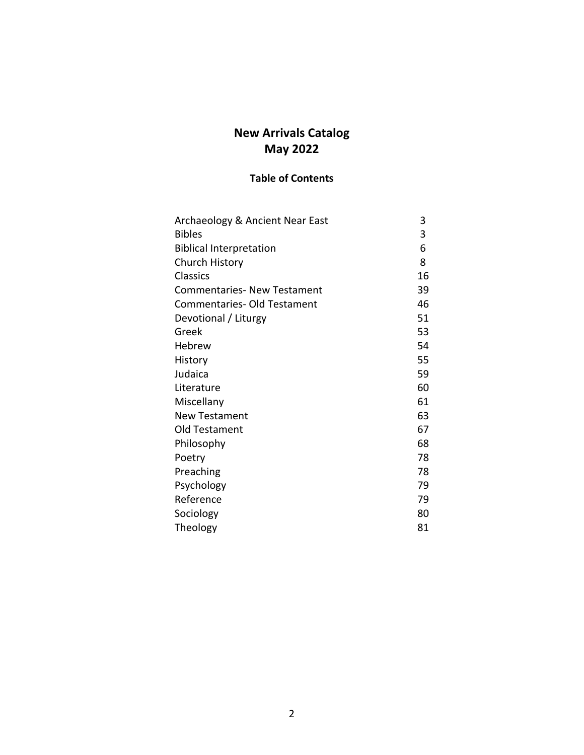## **New Arrivals Catalog May 2022**

### **Table of Contents**

| Archaeology & Ancient Near East    | 3  |
|------------------------------------|----|
| <b>Bibles</b>                      | 3  |
| <b>Biblical Interpretation</b>     | 6  |
| <b>Church History</b>              | 8  |
| <b>Classics</b>                    | 16 |
| <b>Commentaries- New Testament</b> | 39 |
| <b>Commentaries- Old Testament</b> | 46 |
| Devotional / Liturgy               | 51 |
| Greek                              | 53 |
| Hebrew                             | 54 |
| History                            | 55 |
| Judaica                            | 59 |
| Literature                         | 60 |
| Miscellany                         | 61 |
| <b>New Testament</b>               | 63 |
| Old Testament                      | 67 |
| Philosophy                         | 68 |
| Poetry                             | 78 |
| Preaching                          | 78 |
| Psychology                         | 79 |
| Reference                          | 79 |
| Sociology                          | 80 |
| Theology                           | 81 |
|                                    |    |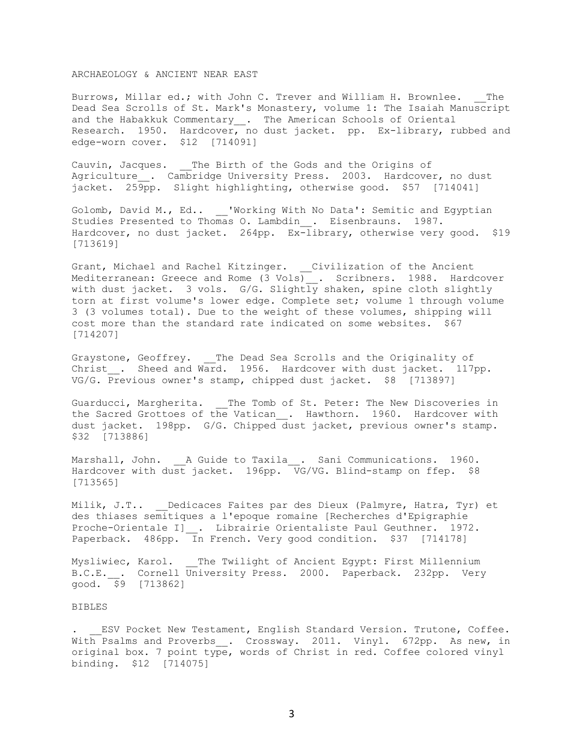### ARCHAEOLOGY & ANCIENT NEAR EAST

Burrows, Millar ed.; with John C. Trever and William H. Brownlee. The Dead Sea Scrolls of St. Mark's Monastery, volume 1: The Isaiah Manuscript and the Habakkuk Commentary\_\_. The American Schools of Oriental Research. 1950. Hardcover, no dust jacket. pp. Ex-library, rubbed and edge-worn cover. \$12 [714091]

Cauvin, Jacques. \_\_The Birth of the Gods and the Origins of Agriculture 1. Cambridge University Press. 2003. Hardcover, no dust jacket. 259pp. Slight highlighting, otherwise good. \$57 [714041]

Golomb, David M., Ed.. \_\_'Working With No Data': Semitic and Egyptian Studies Presented to Thomas O. Lambdin\_\_. Eisenbrauns. 1987. Hardcover, no dust jacket. 264pp. Ex-library, otherwise very good. \$19 [713619]

Grant, Michael and Rachel Kitzinger. \_\_ Civilization of the Ancient Mediterranean: Greece and Rome (3 Vols) . Scribners. 1988. Hardcover with dust jacket. 3 vols. G/G. Slightly shaken, spine cloth slightly torn at first volume's lower edge. Complete set; volume 1 through volume 3 (3 volumes total). Due to the weight of these volumes, shipping will cost more than the standard rate indicated on some websites. \$67 [714207]

Graystone, Geoffrey. \_\_The Dead Sea Scrolls and the Originality of Christ . Sheed and Ward. 1956. Hardcover with dust jacket. 117pp. VG/G. Previous owner's stamp, chipped dust jacket. \$8 [713897]

Guarducci, Margherita. \_\_The Tomb of St. Peter: The New Discoveries in the Sacred Grottoes of the Vatican . Hawthorn. 1960. Hardcover with dust jacket. 198pp. G/G. Chipped dust jacket, previous owner's stamp. \$32 [713886]

Marshall, John. A Guide to Taxila . Sani Communications. 1960. Hardcover with dust jacket. 196pp. VG/VG. Blind-stamp on ffep. \$8 [713565]

Milik, J.T.. Dedicaces Faites par des Dieux (Palmyre, Hatra, Tyr) et des thiases semitiques a l'epoque romaine [Recherches d'Epigraphie Proche-Orientale I] . Librairie Orientaliste Paul Geuthner. 1972. Paperback. 486pp. In French. Very good condition. \$37 [714178]

Mysliwiec, Karol. The Twilight of Ancient Egypt: First Millennium B.C.E. . Cornell University Press. 2000. Paperback. 232pp. Very  $good. 59$  [7138621]

#### BIBLES

. ESV Pocket New Testament, English Standard Version. Trutone, Coffee. With Psalms and Proverbs . Crossway. 2011. Vinyl. 672pp. As new, in original box. 7 point type, words of Christ in red. Coffee colored vinyl binding. \$12 [714075]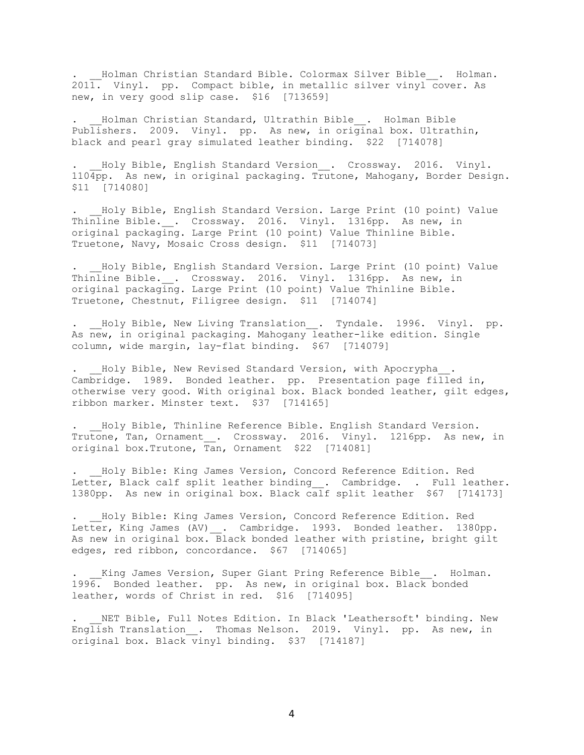. Holman Christian Standard Bible. Colormax Silver Bible . Holman. 2011. Vinyl. pp. Compact bible, in metallic silver vinyl cover. As new, in very good slip case. \$16 [713659]

Holman Christian Standard, Ultrathin Bible . Holman Bible Publishers. 2009. Vinyl. pp. As new, in original box. Ultrathin, black and pearl gray simulated leather binding. \$22 [714078]

. Holy Bible, English Standard Version . Crossway. 2016. Vinyl. 1104pp. As new, in original packaging. Trutone, Mahogany, Border Design. \$11 [714080]

Holy Bible, English Standard Version. Large Print (10 point) Value Thinline Bible. . Crossway. 2016. Vinyl. 1316pp. As new, in original packaging. Large Print (10 point) Value Thinline Bible. Truetone, Navy, Mosaic Cross design. \$11 [714073]

. Holy Bible, English Standard Version. Large Print (10 point) Value Thinline Bible. . Crossway. 2016. Vinyl. 1316pp. As new, in original packaging. Large Print (10 point) Value Thinline Bible. Truetone, Chestnut, Filigree design. \$11 [714074]

Holy Bible, New Living Translation . Tyndale. 1996. Vinyl. pp. As new, in original packaging. Mahogany leather-like edition. Single column, wide margin, lay-flat binding. \$67 [714079]

Holy Bible, New Revised Standard Version, with Apocrypha . Cambridge. 1989. Bonded leather. pp. Presentation page filled in, otherwise very good. With original box. Black bonded leather, gilt edges, ribbon marker. Minster text. \$37 [714165]

. Holy Bible, Thinline Reference Bible. English Standard Version. Trutone, Tan, Ornament . Crossway. 2016. Vinyl. 1216pp. As new, in original box. Trutone,  $T_{an}$ , Ornament \$22 [714081]

Holy Bible: King James Version, Concord Reference Edition. Red Letter, Black calf split leather binding . Cambridge. . Full leather. 1380pp. As new in original box. Black calf split leather \$67 [714173]

. \_\_Holy Bible: King James Version, Concord Reference Edition. Red Letter, King James (AV) . Cambridge. 1993. Bonded leather. 1380pp. As new in original box. Black bonded leather with pristine, bright gilt edges, red ribbon, concordance. \$67 [714065]

King James Version, Super Giant Pring Reference Bible . Holman. 1996. Bonded leather. pp. As new, in original box. Black bonded leather, words of Christ in red. \$16 [714095]

NET Bible, Full Notes Edition. In Black 'Leathersoft' binding. New English Translation . Thomas Nelson. 2019. Vinyl. pp. As new, in original box. Black vinyl binding. \$37 [714187]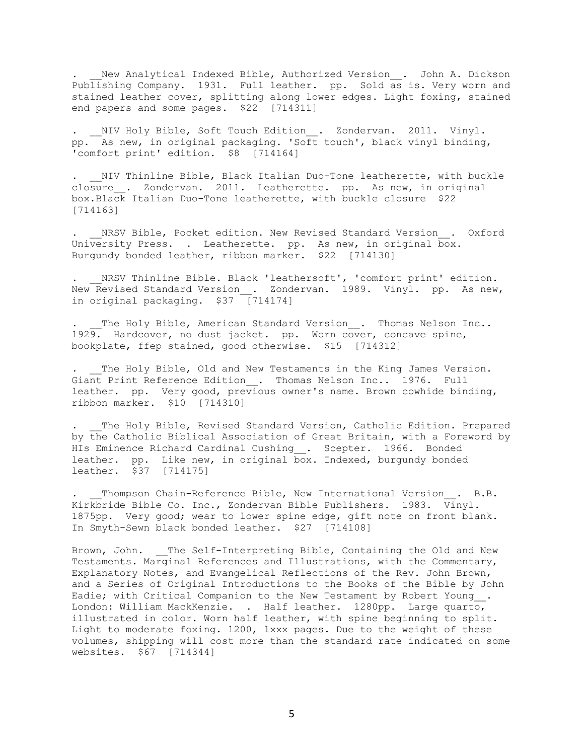. Wew Analytical Indexed Bible, Authorized Version . John A. Dickson Publishing Company. 1931. Full leather. pp. Sold as is. Very worn and stained leather cover, splitting along lower edges. Light foxing, stained end papers and some pages. \$22 [714311]

NIV Holy Bible, Soft Touch Edition . Zondervan. 2011. Vinyl. pp. As new, in original packaging. 'Soft touch', black vinyl binding, 'comfort print' edition. \$8 [714164]

NIV Thinline Bible, Black Italian Duo-Tone leatherette, with buckle closure . Zondervan. 2011. Leatherette. pp. As new, in original box.Black Italian Duo-Tone leatherette, with buckle closure \$22 [714163]

NRSV Bible, Pocket edition. New Revised Standard Version . Oxford University Press. . Leatherette. pp. As new, in original box. Burgundy bonded leather, ribbon marker. \$22 [714130]

NRSV Thinline Bible. Black 'leathersoft', 'comfort print' edition. New Revised Standard Version . Zondervan. 1989. Vinyl. pp. As new, in original packaging. \$37 [714174]

The Holy Bible, American Standard Version . Thomas Nelson Inc.. 1929. Hardcover, no dust jacket. pp. Worn cover, concave spine, bookplate, ffep stained, good otherwise. \$15 [714312]

The Holy Bible, Old and New Testaments in the King James Version. Giant Print Reference Edition . Thomas Nelson Inc.. 1976. Full leather. pp. Very good, previous owner's name. Brown cowhide binding, ribbon marker. \$10 [714310]

The Holy Bible, Revised Standard Version, Catholic Edition. Prepared by the Catholic Biblical Association of Great Britain, with a Foreword by HIs Eminence Richard Cardinal Cushing . Scepter. 1966. Bonded leather. pp. Like new, in original box. Indexed, burgundy bonded leather. \$37 [714175]

Thompson Chain-Reference Bible, New International Version . B.B. Kirkbride Bible Co. Inc., Zondervan Bible Publishers. 1983. Vinyl. 1875pp. Very good; wear to lower spine edge, gift note on front blank. In Smyth-Sewn black bonded leather. \$27 [714108]

Brown, John. The Self-Interpreting Bible, Containing the Old and New Testaments. Marginal References and Illustrations, with the Commentary, Explanatory Notes, and Evangelical Reflections of the Rev. John Brown, and a Series of Original Introductions to the Books of the Bible by John Eadie; with Critical Companion to the New Testament by Robert Young . London: William MackKenzie. . Half leather. 1280pp. Large quarto, illustrated in color. Worn half leather, with spine beginning to split. Light to moderate foxing. 1200, lxxx pages. Due to the weight of these volumes, shipping will cost more than the standard rate indicated on some websites. \$67 [714344]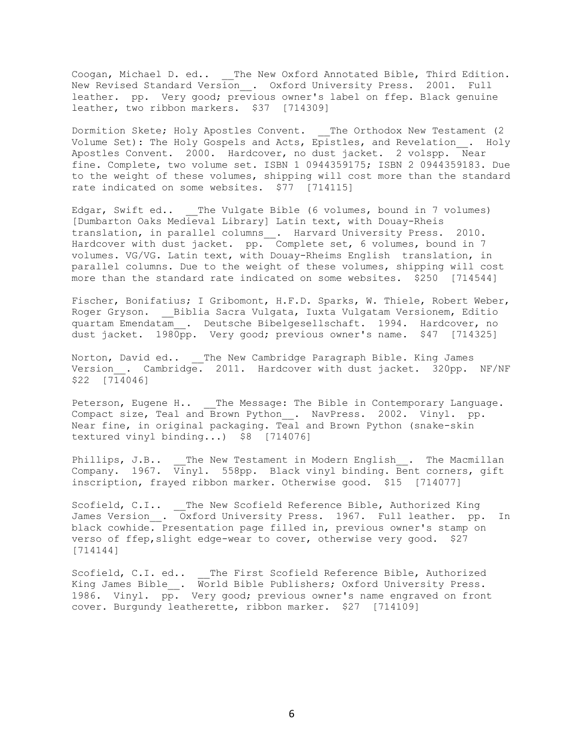Coogan, Michael D. ed.. \_\_The New Oxford Annotated Bible, Third Edition. New Revised Standard Version\_\_. Oxford University Press. 2001. Full leather. pp. Very good; previous owner's label on ffep. Black genuine leather, two ribbon markers. \$37 [714309]

Dormition Skete; Holy Apostles Convent. The Orthodox New Testament (2 Volume Set): The Holy Gospels and Acts, Epistles, and Revelation\_\_. Holy Apostles Convent. 2000. Hardcover, no dust jacket. 2 volspp. Near fine. Complete, two volume set. ISBN 1 0944359175; ISBN 2 0944359183. Due to the weight of these volumes, shipping will cost more than the standard rate indicated on some websites. \$77 [714115]

Edgar, Swift ed.. The Vulgate Bible (6 volumes, bound in 7 volumes) [Dumbarton Oaks Medieval Library] Latin text, with Douay-Rheis translation, in parallel columns\_\_. Harvard University Press. 2010. Hardcover with dust jacket. pp. Complete set, 6 volumes, bound in 7 volumes. VG/VG. Latin text, with Douay-Rheims English translation, in parallel columns. Due to the weight of these volumes, shipping will cost more than the standard rate indicated on some websites. \$250 [714544]

Fischer, Bonifatius; I Gribomont, H.F.D. Sparks, W. Thiele, Robert Weber, Roger Gryson. \_\_Biblia Sacra Vulgata, Iuxta Vulgatam Versionem, Editio quartam Emendatam\_\_. Deutsche Bibelgesellschaft. 1994. Hardcover, no dust jacket. 1980pp. Very good; previous owner's name. \$47 [714325]

Norton, David ed.. The New Cambridge Paragraph Bible. King James Version . Cambridge. 2011. Hardcover with dust jacket. 320pp. NF/NF \$22 [714046]

Peterson, Eugene H.. \_\_The Message: The Bible in Contemporary Language. Compact size, Teal and Brown Python\_\_. NavPress. 2002. Vinyl. pp. Near fine, in original packaging. Teal and Brown Python (snake-skin textured vinyl binding...) \$8 [714076]

Phillips, J.B.. The New Testament in Modern English . The Macmillan Company. 1967. Vinyl. 558pp. Black vinyl binding. Bent corners, gift inscription, frayed ribbon marker. Otherwise good. \$15 [714077]

Scofield, C.I.. The New Scofield Reference Bible, Authorized King James Version\_. Oxford University Press. 1967. Full leather. pp. In black cowhide. Presentation page filled in, previous owner's stamp on verso of ffep, slight edge-wear to cover, otherwise very good. \$27 [714144]

Scofield, C.I. ed.. \_\_The First Scofield Reference Bible, Authorized King James Bible\_\_. World Bible Publishers; Oxford University Press. 1986. Vinyl. pp. Very good; previous owner's name engraved on front cover. Burgundy leatherette, ribbon marker. \$27 [714109]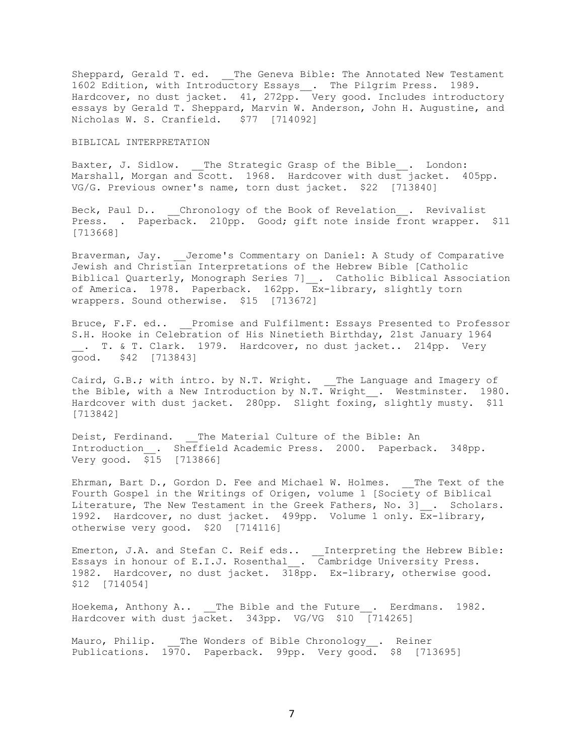Sheppard, Gerald T. ed. \_\_The Geneva Bible: The Annotated New Testament 1602 Edition, with Introductory Essays\_\_. The Pilgrim Press. 1989. Hardcover, no dust jacket. 41, 272pp. Very good. Includes introductory essays by Gerald T. Sheppard, Marvin W. Anderson, John H. Augustine, and Nicholas W. S. Cranfield. \$77 [714092]

#### BIBLICAL INTERPRETATION

Baxter, J. Sidlow. \_\_The Strategic Grasp of the Bible\_\_. London: Marshall, Morgan and Scott. 1968. Hardcover with dust jacket. 405pp. VG/G. Previous owner's name, torn dust jacket. \$22 [713840]

Beck, Paul D.. Chronology of the Book of Revelation . Revivalist Press. . Paperback. 210pp. Good; gift note inside front wrapper. \$11 [713668]

Braverman, Jay. \_\_Jerome's Commentary on Daniel: A Study of Comparative Jewish and Christian Interpretations of the Hebrew Bible [Catholic Biblical Quarterly, Monograph Series 7] . Catholic Biblical Association of America. 1978. Paperback. 162pp.  $\overline{\mathbb{E}}$ x-library, slightly torn wrappers. Sound otherwise. \$15 [713672]

Bruce, F.F. ed.. Promise and Fulfilment: Essays Presented to Professor S.H. Hooke in Celebration of His Ninetieth Birthday, 21st January 1964 \_\_. T. & T. Clark. 1979. Hardcover, no dust jacket.. 214pp. Very good. \$42 [713843]

Caird, G.B.; with intro. by N.T. Wright. \_\_The Language and Imagery of the Bible, with a New Introduction by N.T. Wright\_\_. Westminster. 1980. Hardcover with dust jacket. 280pp. Slight foxing, slightly musty. \$11 [713842]

Deist, Ferdinand. The Material Culture of the Bible: An Introduction\_\_. Sheffield Academic Press. 2000. Paperback. 348pp. Very good. \$15 [713866]

Ehrman, Bart D., Gordon D. Fee and Michael W. Holmes. The Text of the Fourth Gospel in the Writings of Origen, volume 1 [Society of Biblical Literature, The New Testament in the Greek Fathers, No. 3] . Scholars. 1992. Hardcover, no dust jacket. 499pp. Volume 1 only. Ex-library, otherwise very good. \$20 [714116]

Emerton, J.A. and Stefan C. Reif eds.. Linterpreting the Hebrew Bible: Essays in honour of E.I.J. Rosenthal . Cambridge University Press. 1982. Hardcover, no dust jacket.  $318$ pp. Ex-library, otherwise good. \$12 [714054]

Hoekema, Anthony A.. \_\_The Bible and the Future\_\_. Eerdmans. 1982. Hardcover with dust jacket. 343pp. VG/VG \$10 [714265]

Mauro, Philip. The Wonders of Bible Chronology . Reiner Publications. 1970. Paperback. 99pp. Very good. \$8 [713695]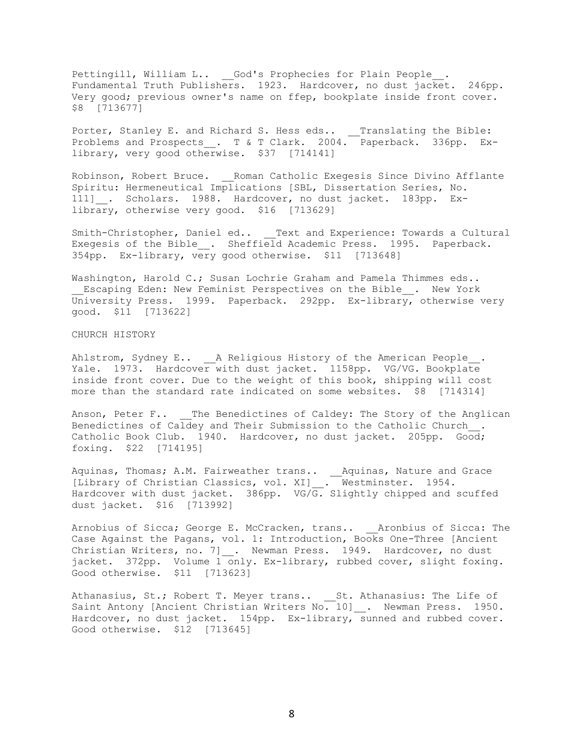Pettingill, William L.. \_\_God's Prophecies for Plain People\_. Fundamental Truth Publishers. 1923. Hardcover, no dust jacket. 246pp. Very good; previous owner's name on ffep, bookplate inside front cover. \$8 [713677]

Porter, Stanley E. and Richard S. Hess eds.. \_\_Translating the Bible: Problems and Prospects\_\_. T & T Clark. 2004. Paperback. 336pp. Exlibrary, very good otherwise. \$37 [714141]

Robinson, Robert Bruce. \_\_Roman Catholic Exegesis Since Divino Afflante Spiritu: Hermeneutical Implications [SBL, Dissertation Series, No. 111] . Scholars. 1988. Hardcover, no dust jacket. 183pp. Exlibrary, otherwise very good. \$16 [713629]

Smith-Christopher, Daniel ed.. Text and Experience: Towards a Cultural Exegesis of the Bible\_. Sheffield Academic Press. 1995. Paperback. 354pp. Ex-library, very good otherwise. \$11 [713648]

Washington, Harold C.; Susan Lochrie Graham and Pamela Thimmes eds.. Escaping Eden: New Feminist Perspectives on the Bible . New York University Press. 1999. Paperback. 292pp. Ex-library, otherwise very good. \$11 [713622]

CHURCH HISTORY

Ahlstrom, Sydney E.. \_\_A Religious History of the American People\_\_. Yale. 1973. Hardcover with dust jacket. 1158pp. VG/VG. Bookplate inside front cover. Due to the weight of this book, shipping will cost more than the standard rate indicated on some websites. \$8 [714314]

Anson, Peter F.. The Benedictines of Caldey: The Story of the Anglican Benedictines of Caldey and Their Submission to the Catholic Church\_\_. Catholic Book Club. 1940. Hardcover, no dust jacket. 205pp. Good; foxing. \$22 [714195]

Aquinas, Thomas; A.M. Fairweather trans.. \_\_Aquinas, Nature and Grace [Library of Christian Classics, vol. XI]\_\_. Westminster. 1954. Hardcover with dust jacket. 386pp. VG/G. Slightly chipped and scuffed dust jacket. \$16 [713992]

Arnobius of Sicca; George E. McCracken, trans.. \_\_Aronbius of Sicca: The Case Against the Pagans, vol. 1: Introduction, Books One-Three [Ancient Christian Writers, no. 7] . Newman Press. 1949. Hardcover, no dust jacket. 372pp. Volume 1 only. Ex-library, rubbed cover, slight foxing. Good otherwise. \$11 [713623]

Athanasius, St.; Robert T. Meyer trans.. St. Athanasius: The Life of Saint Antony [Ancient Christian Writers No. 10] . Newman Press. 1950. Hardcover, no dust jacket. 154pp. Ex-library, sunned and rubbed cover. Good otherwise. \$12 [713645]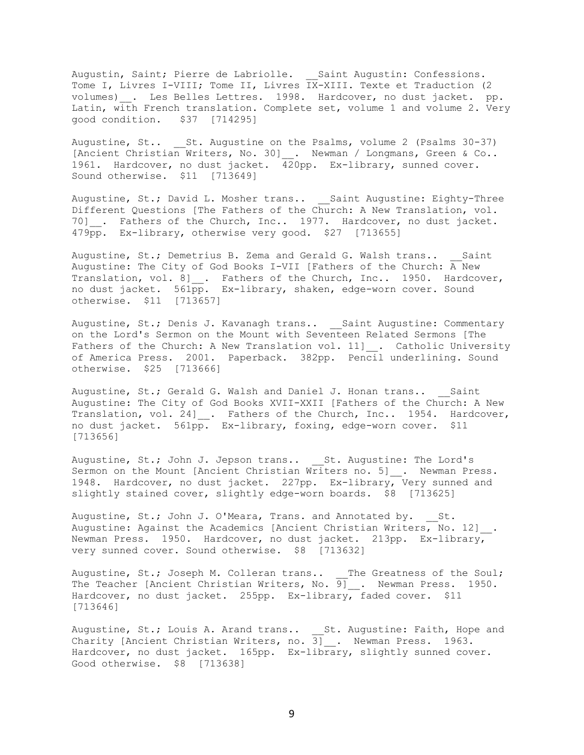Augustin, Saint; Pierre de Labriolle. \_\_Saint Augustin: Confessions. Tome I, Livres I-VIII; Tome II, Livres IX-XIII. Texte et Traduction (2 volumes)\_\_. Les Belles Lettres. 1998. Hardcover, no dust jacket. pp. Latin, with French translation. Complete set, volume 1 and volume 2. Very good condition. \$37 [714295]

Augustine, St.. 5t. Augustine on the Psalms, volume 2 (Psalms 30-37) [Ancient Christian Writers, No. 30] \_\_. Newman / Longmans, Green & Co.. 1961. Hardcover, no dust jacket.  $\overline{42}$ 0pp. Ex-library, sunned cover. Sound otherwise. \$11 [713649]

Augustine, St.; David L. Mosher trans.. Saint Augustine: Eighty-Three Different Questions [The Fathers of the Church: A New Translation, vol. 70] . Fathers of the Church, Inc.. 1977. Hardcover, no dust jacket. 479pp. Ex-library, otherwise very good. \$27 [713655]

Augustine, St.; Demetrius B. Zema and Gerald G. Walsh trans.. Saint Augustine: The City of God Books I-VII [Fathers of the Church: A New Translation, vol. 8] . Fathers of the Church, Inc.. 1950. Hardcover, no dust jacket. 561pp. Ex-library, shaken, edge-worn cover. Sound otherwise. \$11 [713657]

Augustine, St.; Denis J. Kavanagh trans.. Saint Augustine: Commentary on the Lord's Sermon on the Mount with Seventeen Related Sermons [The Fathers of the Church: A New Translation vol. 11] . Catholic University of America Press. 2001. Paperback. 382pp. Pencil underlining. Sound otherwise. \$25 [713666]

Augustine, St.; Gerald G. Walsh and Daniel J. Honan trans.. Saint Augustine: The City of God Books XVII-XXII [Fathers of the Church: A New Translation, vol. 24] . Fathers of the Church, Inc.. 1954. Hardcover, no dust jacket. 561pp. Ex-library, foxing, edge-worn cover. \$11 [713656]

Augustine, St.; John J. Jepson trans.. St. Augustine: The Lord's Sermon on the Mount [Ancient Christian Writers no. 5] . Newman Press. 1948. Hardcover, no dust jacket. 227pp. Ex-library, Very sunned and slightly stained cover, slightly edge-worn boards. \$8 [713625]

Augustine, St.; John J. O'Meara, Trans. and Annotated by. St. Augustine: Against the Academics [Ancient Christian Writers, No. 12] . Newman Press. 1950. Hardcover, no dust jacket. 213pp. Ex-library, very sunned cover. Sound otherwise. \$8 [713632]

Augustine, St.; Joseph M. Colleran trans.. The Greatness of the Soul; The Teacher [Ancient Christian Writers, No. 9] . Newman Press. 1950. Hardcover, no dust jacket. 255pp. Ex-library, faded cover. \$11 [713646]

Augustine, St.; Louis A. Arand trans.. \_\_St. Augustine: Faith, Hope and Charity [Ancient Christian Writers, no. 3]\_\_. Newman Press. 1963. Hardcover, no dust jacket. 165pp. Ex-library, slightly sunned cover. Good otherwise. \$8 [713638]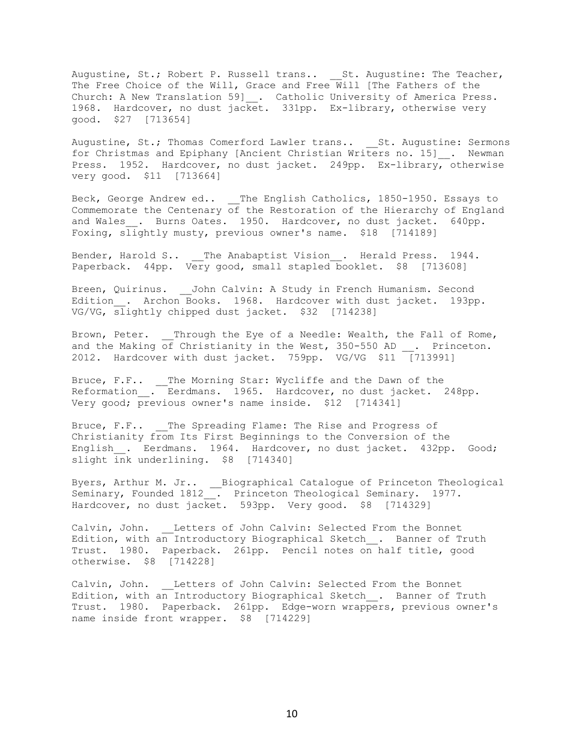Augustine, St.; Robert P. Russell trans.. \_\_St. Augustine: The Teacher, The Free Choice of the Will, Grace and Free Will [The Fathers of the Church: A New Translation 59]\_. Catholic University of America Press. 1968. Hardcover, no dust jacket. 331pp. Ex-library, otherwise very good. \$27 [713654]

Augustine, St.; Thomas Comerford Lawler trans.. St. Augustine: Sermons for Christmas and Epiphany [Ancient Christian Writers no. 15] . Newman Press. 1952. Hardcover, no dust jacket. 249pp. Ex-library, otherwise very good. \$11 [713664]

Beck, George Andrew ed.. The English Catholics, 1850-1950. Essays to Commemorate the Centenary  $\overline{of}$  the Restoration of the Hierarchy of England and Wales . Burns Oates. 1950. Hardcover, no dust jacket. 640pp. Foxing, slightly musty, previous owner's name. \$18 [714189]

Bender, Harold S.. The Anabaptist Vision . Herald Press. 1944. Paperback. 44pp. Very good, small stapled booklet. \$8 [713608]

Breen, Quirinus. John Calvin: A Study in French Humanism. Second Edition . Archon Books. 1968. Hardcover with dust jacket. 193pp. VG/VG, slightly chipped dust jacket. \$32 [714238]

Brown, Peter. Through the Eye of a Needle: Wealth, the Fall of Rome, and the Making of Christianity in the West, 350-550 AD . Princeton. 2012. Hardcover with dust jacket. 759pp. VG/VG \$11  $\sqrt{7139911}$ 

Bruce, F.F.. \_\_The Morning Star: Wycliffe and the Dawn of the Reformation . Eerdmans. 1965. Hardcover, no dust jacket. 248pp. Very good; previous owner's name inside. \$12 [714341]

Bruce, F.F.. The Spreading Flame: The Rise and Progress of Christianity from Its First Beginnings to the Conversion of the English . Eerdmans. 1964. Hardcover, no dust jacket. 432pp. Good; slight ink underlining. \$8 [714340]

Byers, Arthur M. Jr.. \_\_Biographical Catalogue of Princeton Theological Seminary, Founded 1812\_\_. Princeton Theological Seminary. 1977. Hardcover, no dust jacket. 593pp. Very good. \$8 [714329]

Calvin, John. \_\_\_Letters of John Calvin: Selected From the Bonnet Edition, with an Introductory Biographical Sketch\_\_. Banner of Truth Trust. 1980. Paperback. 261pp. Pencil notes on half title, good otherwise. \$8 [714228]

Calvin, John. \_ Letters of John Calvin: Selected From the Bonnet Edition, with an Introductory Biographical Sketch . Banner of Truth Trust. 1980. Paperback. 261pp. Edge-worn wrappers, previous owner's name inside front wrapper. \$8 [714229]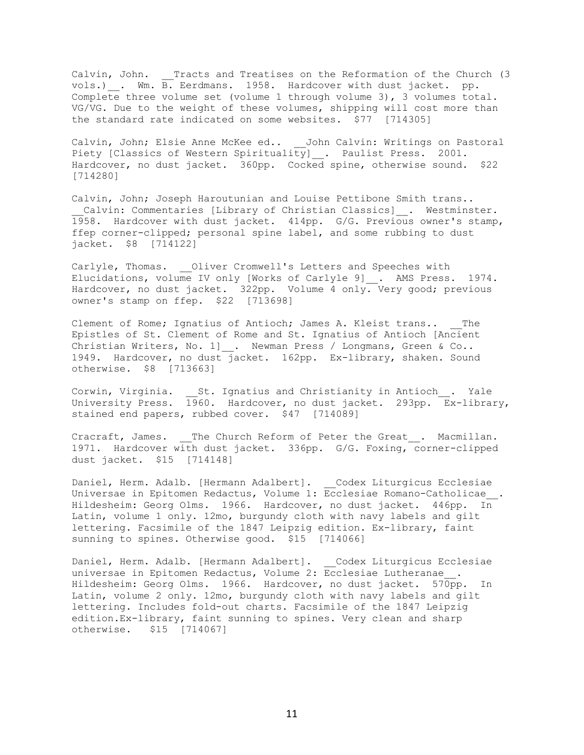Calvin, John. \_\_Tracts and Treatises on the Reformation of the Church (3 vols.)\_\_. Wm. B. Eerdmans. 1958. Hardcover with dust jacket. pp. Complete three volume set (volume 1 through volume 3), 3 volumes total. VG/VG. Due to the weight of these volumes, shipping will cost more than the standard rate indicated on some websites. \$77 [714305]

Calvin, John; Elsie Anne McKee ed.. John Calvin: Writings on Pastoral Piety [Classics of Western Spirituality] \_. Paulist Press. 2001. Hardcover, no dust jacket. 360pp. Cocked spine, otherwise sound. \$22 [714280]

Calvin, John; Joseph Haroutunian and Louise Pettibone Smith trans.. Calvin: Commentaries [Library of Christian Classics] . Westminster. 1958. Hardcover with dust jacket. 414pp. G/G. Previous owner's stamp, ffep corner-clipped; personal spine label, and some rubbing to dust jacket. \$8 [714122]

Carlyle, Thomas. \_\_Oliver Cromwell's Letters and Speeches with Elucidations, volume IV only [Works of Carlyle 9] . AMS Press. 1974. Hardcover, no dust jacket. 322pp. Volume 4 only. Very good; previous owner's stamp on ffep. \$22 [713698]

Clement of Rome; Ignatius of Antioch; James A. Kleist trans.. The Epistles of St. Clement of Rome and St. Ignatius of Antioch [Ancient Christian Writers, No. 1]  $\_\,.$  Newman Press / Longmans, Green & Co.. 1949. Hardcover, no dust jacket. 162pp. Ex-library, shaken. Sound otherwise. \$8 [713663]

Corwin, Virginia. \_\_St. Ignatius and Christianity in Antioch\_\_. Yale University Press.  $\overline{19}60$ . Hardcover, no dust jacket. 293pp.  $\overline{Ex}$ -library, stained end papers, rubbed cover. \$47 [714089]

Cracraft, James. The Church Reform of Peter the Great. Macmillan. 1971. Hardcover with dust jacket. 336pp. G/G. Foxing, corner-clipped dust jacket. \$15 [714148]

Daniel, Herm. Adalb. [Hermann Adalbert]. Codex Liturgicus Ecclesiae Universae in Epitomen Redactus, Volume 1: Ecclesiae Romano-Catholicae\_\_. Hildesheim: Georg Olms. 1966. Hardcover, no dust jacket. 446pp. In Latin, volume 1 only. 12mo, burgundy cloth with navy labels and gilt lettering. Facsimile of the 1847 Leipzig edition. Ex-library, faint sunning to spines. Otherwise good. \$15 [714066]

Daniel, Herm. Adalb. [Hermann Adalbert]. Codex Liturgicus Ecclesiae universae in Epitomen Redactus, Volume 2: Ecclesiae Lutheranae . Hildesheim: Georg Olms. 1966. Hardcover, no dust jacket. 570pp. In Latin, volume 2 only. 12mo, burgundy cloth with navy labels and gilt lettering. Includes fold-out charts. Facsimile of the 1847 Leipzig edition.Ex-library, faint sunning to spines. Very clean and sharp otherwise. \$15 [714067]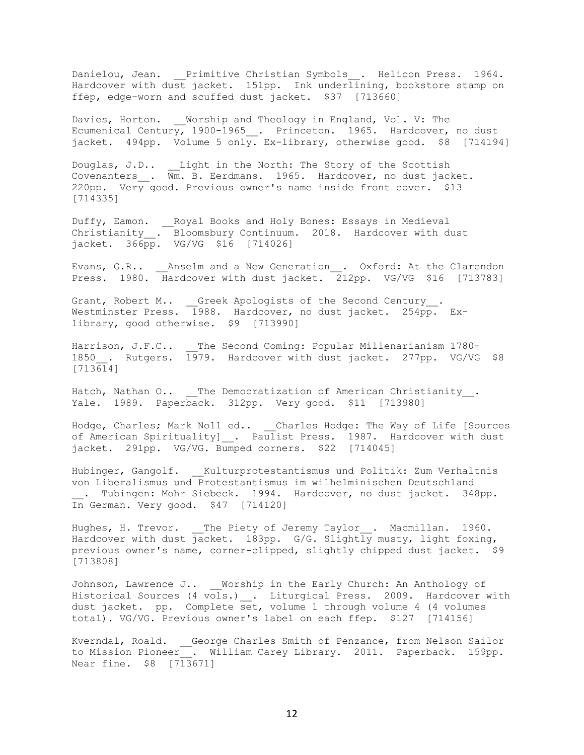Danielou, Jean. Primitive Christian Symbols . Helicon Press. 1964. Hardcover with dust jacket. 151pp. Ink underlining, bookstore stamp on ffep, edge-worn and scuffed dust jacket. \$37 [713660]

Davies, Horton. Worship and Theology in England, Vol. V: The Ecumenical Century, 1900-1965 . Princeton. 1965. Hardcover, no dust jacket. 494pp. Volume 5 only. Ex-library, otherwise good. \$8 [714194]

Douglas, J.D.. \_\_Light in the North: The Story of the Scottish Covenanters\_\_. Wm. B. Eerdmans. 1965. Hardcover, no dust jacket. 220pp. Very good. Previous owner's name inside front cover. \$13 [714335]

Duffy, Eamon. \_\_Royal Books and Holy Bones: Essays in Medieval Christianity\_\_. Bloomsbury Continuum. 2018. Hardcover with dust jacket. 366pp. VG/VG \$16 [714026]

Evans, G.R.. \_\_\_Anselm and a New Generation\_\_. Oxford: At the Clarendon Press. 1980. Hardcover with dust jacket. 212pp. VG/VG \$16 [713783]

Grant, Robert M.. \_\_Greek Apologists of the Second Century\_\_. Westminster Press. 1988. Hardcover, no dust jacket. 254pp. Exlibrary, good otherwise. \$9 [713990]

Harrison, J.F.C.. The Second Coming: Popular Millenarianism 1780-1850 . Rutgers. 1979. Hardcover with dust jacket. 277pp. VG/VG \$8  $[713614]$ 

Hatch, Nathan O.. \_\_The Democratization of American Christianity\_\_. Yale. 1989. Paperback. 312pp. Very good. \$11 [713980]

Hodge, Charles; Mark Noll ed.. Charles Hodge: The Way of Life [Sources of American Spirituality] . Paulist Press. 1987. Hardcover with dust jacket. 291pp. VG/VG. Bumped corners. \$22 [714045]

Hubinger, Gangolf. Kulturprotestantismus und Politik: Zum Verhaltnis von Liberalismus und Protestantismus im wilhelminischen Deutschland . Tubingen: Mohr Siebeck. 1994. Hardcover, no dust jacket. 348pp. In German. Very good. \$47 [714120]

Hughes, H. Trevor. \_\_The Piety of Jeremy Taylor\_\_. Macmillan. 1960. Hardcover with dust jacket. 183pp. G/G. Slightly musty, light foxing, previous owner's name, corner-clipped, slightly chipped dust jacket. \$9 [713808]

Johnson, Lawrence J.. \_ Worship in the Early Church: An Anthology of Historical Sources (4 vols.) . Liturgical Press. 2009. Hardcover with dust jacket. pp. Complete set, volume 1 through volume 4 (4 volumes total). VG/VG. Previous owner's label on each ffep. \$127 [714156]

Kverndal, Roald. \_\_George Charles Smith of Penzance, from Nelson Sailor to Mission Pioneer\_\_. William Carey Library. 2011. Paperback. 159pp. Near fine. \$8 [713671]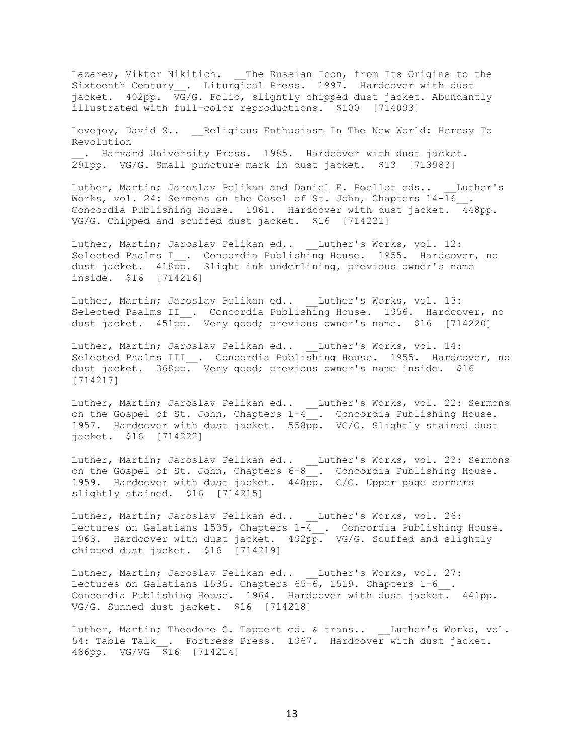Lazarev, Viktor Nikitich. \_\_The Russian Icon, from Its Origins to the Sixteenth Century\_\_. Liturgical Press. 1997. Hardcover with dust jacket. 402pp. VG/G. Folio, slightly chipped dust jacket. Abundantly illustrated with full-color reproductions. \$100 [714093]

Lovejoy, David S.. \_\_\_ Religious Enthusiasm In The New World: Heresy To Revolution . Harvard University Press. 1985. Hardcover with dust jacket.

291pp. VG/G. Small puncture mark in dust jacket. \$13 [713983]

Luther, Martin; Jaroslav Pelikan and Daniel E. Poellot eds.. Luther's Works, vol. 24: Sermons on the Gosel of St. John, Chapters 14-16 Concordia Publishing House. 1961. Hardcover with dust jacket. 448pp. VG/G. Chipped and scuffed dust jacket. \$16 [714221]

Luther, Martin; Jaroslav Pelikan ed.. Luther's Works, vol. 12: Selected Psalms I\_\_. Concordia Publishing House. 1955. Hardcover, no dust jacket. 418pp. Slight ink underlining, previous owner's name inside. \$16 [714216]

Luther, Martin; Jaroslav Pelikan ed.. Luther's Works, vol. 13: Selected Psalms II\_. Concordia Publishing House. 1956. Hardcover, no dust jacket. 451pp. Very good; previous owner's name. \$16 [714220]

Luther, Martin; Jaroslav Pelikan ed.. Luther's Works, vol. 14: Selected Psalms III\_\_. Concordia Publishing House. 1955. Hardcover, no dust jacket. 368pp. Very good; previous owner's name inside. \$16 [714217]

Luther, Martin; Jaroslav Pelikan ed.. \_\_Luther's Works, vol. 22: Sermons on the Gospel of St. John, Chapters  $1-4$  , Concordia Publishing House. 1957. Hardcover with dust jacket. 558pp. VG/G. Slightly stained dust jacket. \$16 [714222]

Luther, Martin; Jaroslav Pelikan ed.. \_\_Luther's Works, vol. 23: Sermons on the Gospel of St. John, Chapters  $6-8$ . Concordia Publishing House. 1959. Hardcover with dust jacket. 448pp. G/G. Upper page corners slightly stained. \$16 [714215]

Luther, Martin; Jaroslav Pelikan ed.. \_\_Luther's Works, vol. 26: Lectures on Galatians 1535, Chapters 1-4\_. Concordia Publishing House. 1963. Hardcover with dust jacket. 492pp. VG/G. Scuffed and slightly chipped dust jacket. \$16 [714219]

Luther, Martin; Jaroslav Pelikan ed.. Luther's Works, vol. 27: Lectures on Galatians 1535. Chapters  $65-6$ , 1519. Chapters 1-6. Concordia Publishing House. 1964. Hardcover with dust jacket. 441pp. VG/G. Sunned dust jacket. \$16 [714218]

Luther, Martin; Theodore G. Tappert ed. & trans.. Luther's Works, vol. 54: Table Talk . Fortress Press. 1967. Hardcover with dust jacket. 486pp. VG/VG \$16 [714214]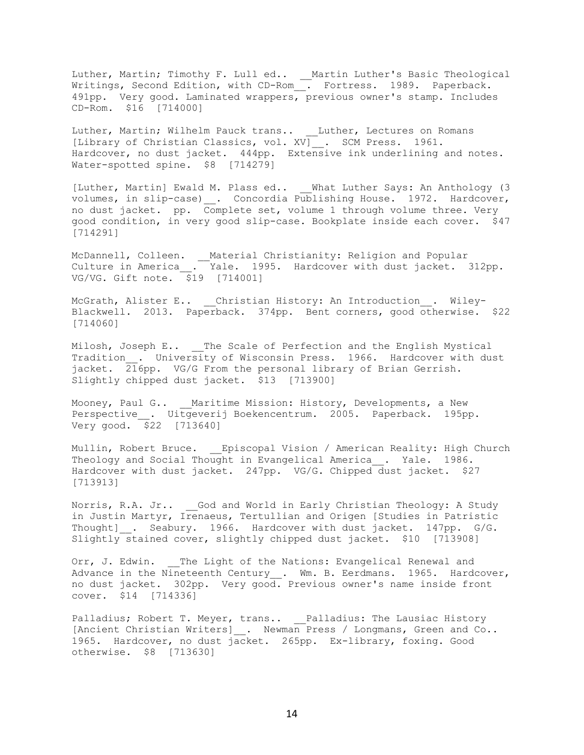Luther, Martin; Timothy F. Lull ed.. \_\_Martin Luther's Basic Theological Writings, Second Edition, with CD-Rom\_\_. Fortress. 1989. Paperback. 491pp. Very good. Laminated wrappers, previous owner's stamp. Includes CD-Rom. \$16 [714000]

Luther, Martin; Wilhelm Pauck trans.. \_\_Luther, Lectures on Romans [Library of Christian Classics, vol. XV] . SCM Press. 1961. Hardcover, no dust jacket. 444pp. Extensive ink underlining and notes. Water-spotted spine. \$8 [714279]

[Luther, Martin] Ewald M. Plass ed.. What Luther Says: An Anthology (3) volumes, in slip-case) . Concordia Publishing House. 1972. Hardcover, no dust jacket. pp. Complete set, volume 1 through volume three. Very good condition, in very good slip-case. Bookplate inside each cover. \$47 [714291]

McDannell, Colleen. \_\_Material Christianity: Religion and Popular Culture in America\_\_. Yale. 1995. Hardcover with dust jacket. 312pp. VG/VG. Gift note.  $\overline{\$19}$  [714001]

McGrath, Alister E.. Christian History: An Introduction . Wiley-Blackwell. 2013. Paperback. 374pp. Bent corners, good otherwise. \$22 [714060]

Milosh, Joseph E.. \_\_ The Scale of Perfection and the English Mystical Tradition\_. University of Wisconsin Press. 1966. Hardcover with dust jacket.  $216$ pp. VG/G From the personal library of Brian Gerrish. Slightly chipped dust jacket. \$13 [713900]

Mooney, Paul G.. \_\_Maritime Mission: History, Developments, a New Perspective . Uitgeverij Boekencentrum. 2005. Paperback. 195pp. Very good. \$22 [713640]

Mullin, Robert Bruce. \_\_Episcopal Vision / American Reality: High Church Theology and Social Thought in Evangelical America . Yale. 1986. Hardcover with dust jacket. 247pp. VG/G. Chipped dust jacket. \$27 [713913]

Norris, R.A. Jr.. God and World in Early Christian Theology: A Study in Justin Martyr, Irenaeus, Tertullian and Origen [Studies in Patristic Thought] . Seabury. 1966. Hardcover with dust jacket. 147pp. G/G. Slightly stained cover, slightly chipped dust jacket. \$10 [713908]

Orr, J. Edwin. The Light of the Nations: Evangelical Renewal and Advance in the Nineteenth Century \_. Wm. B. Eerdmans. 1965. Hardcover, no dust jacket. 302pp. Very good. Previous owner's name inside front cover. \$14 [714336]

Palladius; Robert T. Meyer, trans.. \_\_Palladius: The Lausiac History [Ancient Christian Writers] . Newman Press / Longmans, Green and Co.. 1965. Hardcover, no dust jacket. 265pp. Ex-library, foxing. Good otherwise. \$8 [713630]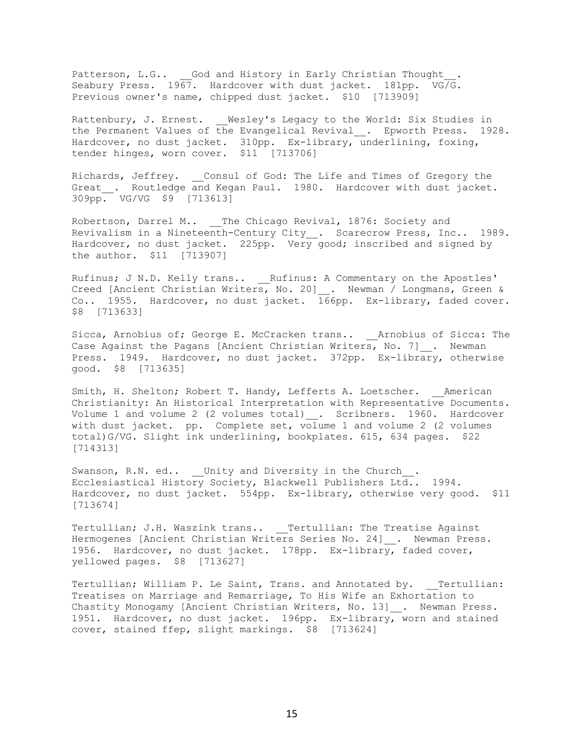Patterson, L.G.. God and History in Early Christian Thought Seabury Press. 1967. Hardcover with dust jacket. 181pp. VG/G. Previous owner's name, chipped dust jacket. \$10 [713909]

Rattenbury, J. Ernest. Wesley's Legacy to the World: Six Studies in the Permanent Values of the Evangelical Revival\_\_. Epworth Press. 1928. Hardcover, no dust jacket. 310pp. Ex-library, underlining, foxing, tender hinges, worn cover. \$11 [713706]

Richards, Jeffrey. \_\_Consul of God: The Life and Times of Gregory the Great . Routledge and Kegan Paul. 1980. Hardcover with dust jacket. 309pp. VG/VG \$9 [713613]

Robertson, Darrel M.. The Chicago Revival, 1876: Society and Revivalism in a Nineteenth-Century City\_. Scarecrow Press, Inc.. 1989. Hardcover, no dust jacket. 225pp. Very good; inscribed and signed by the author. \$11 [713907]

Rufinus; J N.D. Kelly trans.. Rufinus: A Commentary on the Apostles' Creed [Ancient Christian Writers, No. 20] . Newman / Longmans, Green & Co.. 1955. Hardcover, no dust jacket.  $166$ pp. Ex-library, faded cover. \$8 [713633]

Sicca, Arnobius of; George E. McCracken trans.. \_\_Arnobius of Sicca: The Case Against the Pagans [Ancient Christian Writers, No. 7] . Newman Press. 1949. Hardcover, no dust jacket. 372pp. Ex-library, otherwise good. \$8 [713635]

Smith, H. Shelton; Robert T. Handy, Lefferts A. Loetscher. American Christianity: An Historical Interpretation with Representative Documents. Volume 1 and volume 2 (2 volumes total) . Scribners. 1960. Hardcover with dust jacket. pp. Complete set, volume 1 and volume 2 (2 volumes total)G/VG. Slight ink underlining, bookplates. 615, 634 pages. \$22 [714313]

Swanson, R.N. ed.. \_\_Unity and Diversity in the Church\_\_. Ecclesiastical History Society, Blackwell Publishers Ltd.. 1994. Hardcover, no dust jacket. 554pp. Ex-library, otherwise very good. \$11 [713674]

Tertullian; J.H. Waszink trans.. \_\_Tertullian: The Treatise Against Hermogenes [Ancient Christian Writers Series No. 24] . Newman Press. 1956. Hardcover, no dust jacket. 178pp. Ex-library, faded cover, yellowed pages. \$8 [713627]

Tertullian; William P. Le Saint, Trans. and Annotated by. Tertullian: Treatises on Marriage and Remarriage, To His Wife an Exhortation to Chastity Monogamy [Ancient Christian Writers, No. 13] . Newman Press. 1951. Hardcover, no dust jacket. 196pp. Ex-library, worn and stained cover, stained ffep, slight markings. \$8 [713624]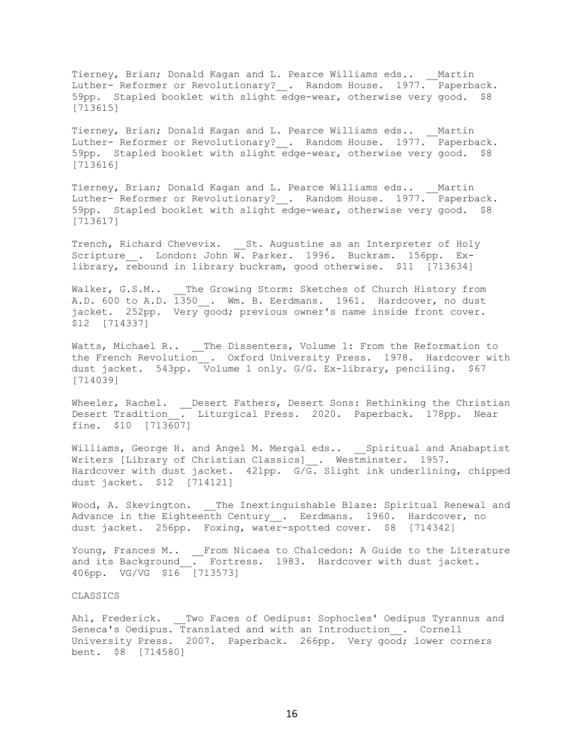Tierney, Brian; Donald Kagan and L. Pearce Williams eds.. \_\_Martin Luther- Reformer or Revolutionary?\_\_. Random House. 1977. Paperback. 59pp. Stapled booklet with slight edge-wear, otherwise very good. \$8 [713615]

Tierney, Brian; Donald Kagan and L. Pearce Williams eds.. Martin Luther- Reformer or Revolutionary? . Random House. 1977. Paperback. 59pp. Stapled booklet with slight edge-wear, otherwise very good. \$8 [713616]

Tierney, Brian; Donald Kagan and L. Pearce Williams eds.. Martin Luther- Reformer or Revolutionary? . Random House. 1977. Paperback. 59pp. Stapled booklet with slight edge-wear, otherwise very good. \$8 [713617]

Trench, Richard Chevevix. \_\_St. Augustine as an Interpreter of Holy Scripture . London: John W. Parker. 1996. Buckram. 156pp. Exlibrary, rebound in library buckram, good otherwise. \$11 [713634]

Walker, G.S.M.. The Growing Storm: Sketches of Church History from A.D. 600 to A.D. 1350 . Wm. B. Eerdmans. 1961. Hardcover, no dust jacket. 252pp. Very good; previous owner's name inside front cover. \$12 [714337]

Watts, Michael R.. \_\_The Dissenters, Volume 1: From the Reformation to the French Revolution\_\_. Oxford University Press. 1978. Hardcover with dust jacket. 543pp. Volume 1 only. G/G. Ex-library, penciling. \$67 [714039]

Wheeler, Rachel. \_\_Desert Fathers, Desert Sons: Rethinking the Christian<br>Desert Tradition . Liturgical Press. 2020. Paperback. 178pp. Near Liturgical Press. 2020. Paperback. 178pp. Near fine. \$10 [713607]

Williams, George H. and Angel M. Mergal eds.. Spiritual and Anabaptist Writers [Library of Christian Classics]\_\_. Westminster. 1957. Hardcover with dust jacket. 421pp. G/G. Slight ink underlining, chipped dust jacket. \$12 [714121]

Wood, A. Skevington. The Inextinguishable Blaze: Spiritual Renewal and Advance in the Eighteenth Century . Eerdmans. 1960. Hardcover, no dust jacket. 256pp. Foxing, water-spotted cover. \$8 [714342]

Young, Frances M.. From Nicaea to Chalcedon: A Guide to the Literature and its Background . Fortress. 1983. Hardcover with dust jacket. 406pp. VG/VG \$16 [713573]

#### CLASSICS

Ahl, Frederick. \_\_Two Faces of Oedipus: Sophocles' Oedipus Tyrannus and Seneca's Oedipus. Translated and with an Introduction\_\_. Cornell University Press. 2007. Paperback. 266pp. Very good; lower corners bent. \$8 [714580]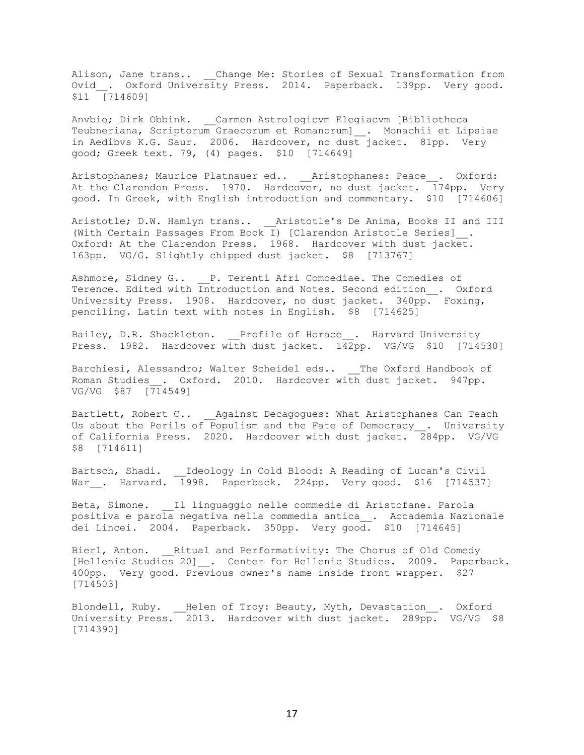Alison, Jane trans.. \_\_ Change Me: Stories of Sexual Transformation from Ovid . Oxford University Press. 2014. Paperback. 139pp. Very good. \$11 [714609]

Anvbio; Dirk Obbink. Carmen Astrologicvm Elegiacvm [Bibliotheca Teubneriana, Scriptorum Graecorum et Romanorum]\_\_. Monachii et Lipsiae in Aedibvs K.G. Saur. 2006. Hardcover, no dust jacket. 81pp. Very good; Greek text. 79, (4) pages. \$10 [714649]

Aristophanes; Maurice Platnauer ed.. \_\_Aristophanes: Peace\_\_. Oxford: At the Clarendon Press. 1970. Hardcover, no dust jacket.  $\overline{1}74$ pp. Very good. In Greek, with English introduction and commentary. \$10 [714606]

Aristotle; D.W. Hamlyn trans.. Aristotle's De Anima, Books II and III (With Certain Passages From Book I) [Clarendon Aristotle Series]\_\_. Oxford: At the Clarendon Press. 1968. Hardcover with dust jacket. 163pp. VG/G. Slightly chipped dust jacket. \$8 [713767]

Ashmore, Sidney G.. P. Terenti Afri Comoediae. The Comedies of Terence. Edited with Introduction and Notes. Second edition . Oxford University Press. 1908. Hardcover, no dust jacket. 340pp. Foxing, penciling. Latin text with notes in English. \$8 [714625]

Bailey, D.R. Shackleton. Profile of Horace . Harvard University Press. 1982. Hardcover with dust jacket.  $142$ pp. VG/VG \$10 [714530]

Barchiesi, Alessandro; Walter Scheidel eds.. The Oxford Handbook of Roman Studies . Oxford. 2010. Hardcover with dust jacket. 947pp. VG/VG \$87 [714549]

Bartlett, Robert C.. Against Decagogues: What Aristophanes Can Teach Us about the Perils of Populism and the Fate of Democracy . University of California Press. 2020. Hardcover with dust jacket.  $284$ pp. VG/VG \$8 [714611]

Bartsch, Shadi. \_\_Ideology in Cold Blood: A Reading of Lucan's Civil War\_\_. Harvard. 1998. Paperback. 224pp. Very good. \$16 [714537]

Beta, Simone. Il linguaggio nelle commedie di Aristofane. Parola positiva e parola negativa nella commedia antica\_\_. Accademia Nazionale dei Lincei. 2004. Paperback. 350pp. Very good. \$10 [714645]

Bierl, Anton. Ritual and Performativity: The Chorus of Old Comedy [Hellenic Studies 20] . Center for Hellenic Studies. 2009. Paperback. 400pp. Very good. Previous owner's name inside front wrapper. \$27 [714503]

Blondell, Ruby. \_\_Helen of Troy: Beauty, Myth, Devastation\_\_. Oxford University Press. 2013. Hardcover with dust jacket. 289pp. VG/VG \$8 [714390]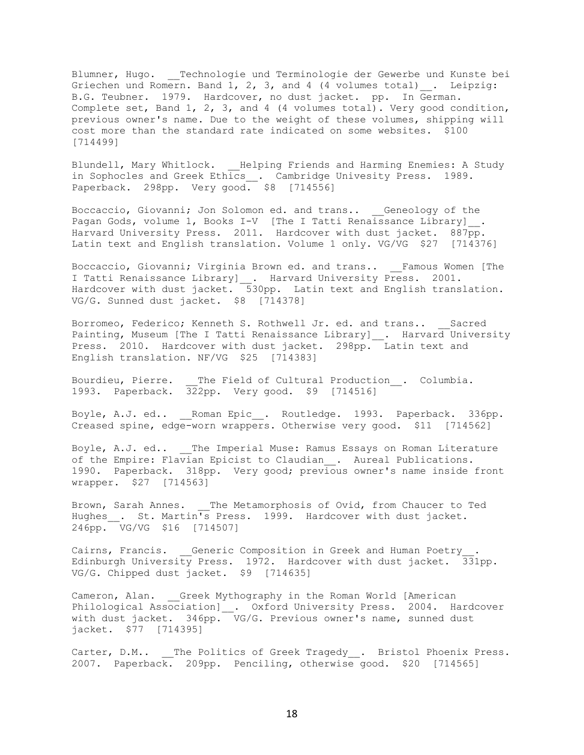Blumner, Hugo. \_\_Technologie und Terminologie der Gewerbe und Kunste bei Griechen und Romern. Band  $1, 2, 3,$  and  $4$  (4 volumes total)  $\ldots$  Leipzig: B.G. Teubner. 1979. Hardcover, no dust jacket. pp. In German. Complete set, Band 1, 2, 3, and 4 (4 volumes total). Very good condition, previous owner's name. Due to the weight of these volumes, shipping will cost more than the standard rate indicated on some websites. \$100 [714499]

Blundell, Mary Whitlock. \_\_Helping Friends and Harming Enemies: A Study in Sophocles and Greek Ethics\_\_\_. Cambridge Univesity Press. 1989. Paperback. 298pp. Very good. \$8 [714556]

Boccaccio, Giovanni; Jon Solomon ed. and trans.. Geneology of the Pagan Gods, volume 1, Books I-V [The I Tatti Renaissance Library]\_\_. Harvard University Press. 2011. Hardcover with dust jacket. 887pp. Latin text and English translation. Volume 1 only. VG/VG \$27 [714376]

Boccaccio, Giovanni; Virginia Brown ed. and trans.. \_\_Famous Women [The I Tatti Renaissance Library] \_. Harvard University Press. 2001. Hardcover with dust jacket. 530pp. Latin text and English translation. VG/G. Sunned dust jacket. \$8 [714378]

Borromeo, Federico; Kenneth S. Rothwell Jr. ed. and trans.. Sacred Painting, Museum [The I Tatti Renaissance Library] . Harvard University Press. 2010. Hardcover with dust jacket. 298pp. Latin text and English translation. NF/VG \$25 [714383]

Bourdieu, Pierre. \_\_The Field of Cultural Production . Columbia. 1993. Paperback. 322pp. Very good. \$9 [714516]

Boyle, A.J. ed.. \_\_\_Roman Epic\_. Routledge. 1993. Paperback. 336pp. Creased spine, edge-worn wrappers. Otherwise very good. \$11 [714562]

Boyle, A.J. ed.. The Imperial Muse: Ramus Essays on Roman Literature of the Empire: Flavian Epicist to Claudian \_\_. Aureal Publications. 1990. Paperback. 318pp. Very good; previous owner's name inside front wrapper. \$27 [714563]

Brown, Sarah Annes. The Metamorphosis of Ovid, from Chaucer to Ted Hughes . St. Martin's Press. 1999. Hardcover with dust jacket. 246pp. VG/VG \$16 [714507]

Cairns, Francis. Generic Composition in Greek and Human Poetry. Edinburgh University Press. 1972. Hardcover with dust jacket. 331pp. VG/G. Chipped dust jacket. \$9 [714635]

Cameron, Alan. Greek Mythography in the Roman World [American Philological Association] . Oxford University Press. 2004. Hardcover with dust jacket. 346pp. VG/G. Previous owner's name, sunned dust jacket. \$77 [714395]

Carter, D.M.. \_\_ The Politics of Greek Tragedy . Bristol Phoenix Press. 2007. Paperback. 209pp. Penciling, otherwise good. \$20 [714565]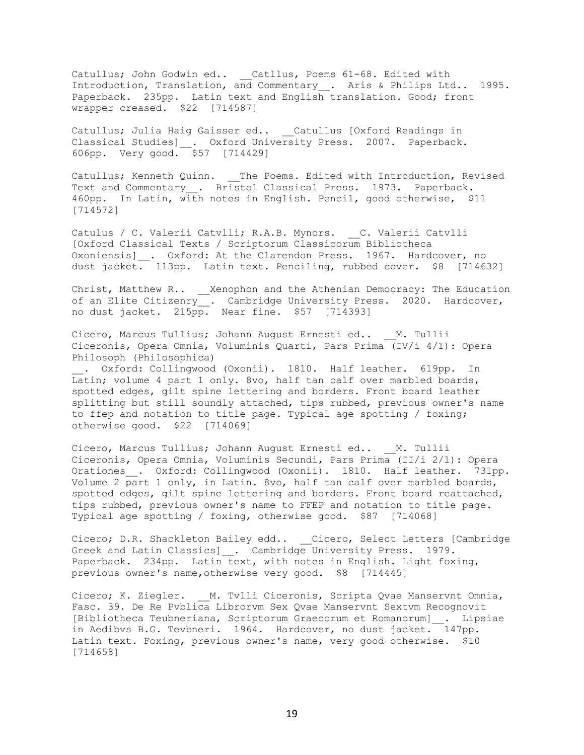Catullus; John Godwin ed.. \_\_Catllus, Poems 61-68. Edited with Introduction, Translation, and Commentary \_\_. Aris & Philips Ltd.. 1995. Paperback. 235pp. Latin text and English translation. Good; front wrapper creased. \$22 [714587]

Catullus; Julia Haig Gaisser ed.. Catullus [Oxford Readings in Classical Studies] . Oxford University Press. 2007. Paperback. 606pp. Very good. \$57 [714429]

Catullus; Kenneth Quinn. \_\_The Poems. Edited with Introduction, Revised Text and Commentary . Bristol Classical Press. 1973. Paperback. 460pp. In Latin, with notes in English. Pencil, good otherwise, \$11 [714572]

Catulus / C. Valerii Catvlli; R.A.B. Mynors. C. Valerii Catvlli [Oxford Classical Texts / Scriptorum Classicorum Bibliotheca Oxoniensis] \_\_. Oxford: At the Clarendon Press. 1967. Hardcover, no dust jacket. 113pp. Latin text. Penciling, rubbed cover. \$8 [714632]

Christ, Matthew R.. \_\_Xenophon and the Athenian Democracy: The Education of an Elite Citizenry\_\_. Cambridge University Press. 2020. Hardcover, no dust jacket. 215pp. Near fine. \$57 [714393]

Cicero, Marcus Tullius; Johann August Ernesti ed.. M. Tullii Ciceronis, Opera Omnia, Voluminis Quarti, Pars Prima (IV/i 4/1): Opera Philosoph (Philosophica)

. Oxford: Collingwood (Oxonii). 1810. Half leather. 619pp. In Latin; volume 4 part 1 only. 8vo, half tan calf over marbled boards, spotted edges, gilt spine lettering and borders. Front board leather splitting but still soundly attached, tips rubbed, previous owner's name to ffep and notation to title page. Typical age spotting / foxing; otherwise good. \$22 [714069]

Cicero, Marcus Tullius; Johann August Ernesti ed.. \_\_M. Tullii Ciceronis, Opera Omnia, Voluminis Secundi, Pars Prima (II/i 2/1): Opera Orationes\_. Oxford: Collingwood (Oxonii). 1810. Half leather. 731pp. Volume 2 part 1 only, in Latin. 8vo, half tan calf over marbled boards, spotted edges, gilt spine lettering and borders. Front board reattached, tips rubbed, previous owner's name to FFEP and notation to title page. Typical age spotting / foxing, otherwise good. \$87 [714068]

Cicero; D.R. Shackleton Bailey edd.. \_\_Cicero, Select Letters [Cambridge Greek and Latin Classics] . Cambridge University Press. 1979. Paperback. 234pp. Latin text, with notes in English. Light foxing, previous owner's name,otherwise very good. \$8 [714445]

Cicero; K. Ziegler. M. Tvlli Ciceronis, Scripta Qvae Manservnt Omnia, Fasc. 39. De Re Pvblica Librorvm Sex Qvae Manservnt Sextvm Recognovit [Bibliotheca Teubneriana, Scriptorum Graecorum et Romanorum]\_\_. Lipsiae in Aedibvs B.G. Tevbneri. 1964. Hardcover, no dust jacket. 147pp. Latin text. Foxing, previous owner's name, very good otherwise. \$10 [714658]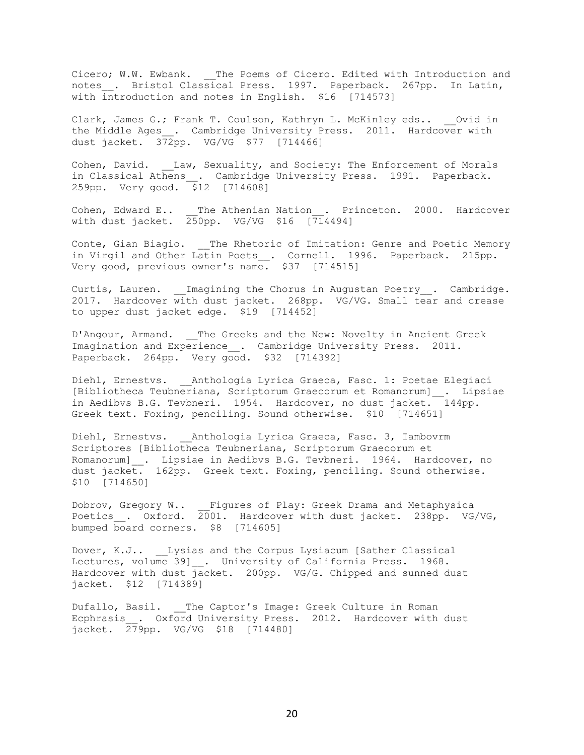Cicero; W.W. Ewbank. \_\_The Poems of Cicero. Edited with Introduction and notes\_\_. Bristol Classical Press. 1997. Paperback. 267pp. In Latin, with introduction and notes in English. \$16 [714573]

Clark, James G.; Frank T. Coulson, Kathryn L. McKinley eds.. Ovid in the Middle Ages\_. Cambridge University Press. 2011. Hardcover with dust jacket. 372pp. VG/VG \$77 [714466]

Cohen, David. Law, Sexuality, and Society: The Enforcement of Morals in Classical Athens\_\_. Cambridge University Press. 1991. Paperback. 259pp. Very good. \$12 [714608]

Cohen, Edward E.. \_\_The Athenian Nation . Princeton. 2000. Hardcover with dust jacket.  $250$ pp. VG/VG \$16 [714494]

Conte, Gian Biagio. \_\_The Rhetoric of Imitation: Genre and Poetic Memory in Virgil and Other Latin Poets\_\_. Cornell. 1996. Paperback. 215pp. Very good, previous owner's name. \$37 [714515]

Curtis, Lauren. Imagining the Chorus in Augustan Poetry . Cambridge. 2017. Hardcover with dust jacket. 268pp. VG/VG. Small tear and crease to upper dust jacket edge. \$19 [714452]

D'Angour, Armand. \_\_The Greeks and the New: Novelty in Ancient Greek Imagination and Experience . Cambridge University Press. 2011. Paperback. 264pp. Very good. \$32 [714392]

Diehl, Ernestvs. Anthologia Lyrica Graeca, Fasc. 1: Poetae Elegiaci [Bibliotheca Teubneriana, Scriptorum Graecorum et Romanorum]\_\_. Lipsiae in Aedibvs B.G. Tevbneri. 1954. Hardcover, no dust jacket. 144pp. Greek text. Foxing, penciling. Sound otherwise. \$10 [714651]

Diehl, Ernestvs. Anthologia Lyrica Graeca, Fasc. 3, Iambovrm Scriptores [Bibliotheca Teubneriana, Scriptorum Graecorum et Romanorum]\_\_. Lipsiae in Aedibvs B.G. Tevbneri. 1964. Hardcover, no dust jacket. 162pp. Greek text. Foxing, penciling. Sound otherwise. \$10 [714650]

Dobrov, Gregory W.. \_\_Figures of Play: Greek Drama and Metaphysica Poetics . Oxford. 2001. Hardcover with dust jacket. 238pp. VG/VG, bumped board corners. \$8 [714605]

Dover, K.J.. Lysias and the Corpus Lysiacum [Sather Classical Lectures, volume 39] . University of California Press. 1968. Hardcover with dust  $\frac{1}{1}$ acket. 200pp. VG/G. Chipped and sunned dust jacket. \$12 [714389]

Dufallo, Basil. The Captor's Image: Greek Culture in Roman Ecphrasis . Oxford University Press. 2012. Hardcover with dust jacket. 279pp. VG/VG \$18 [714480]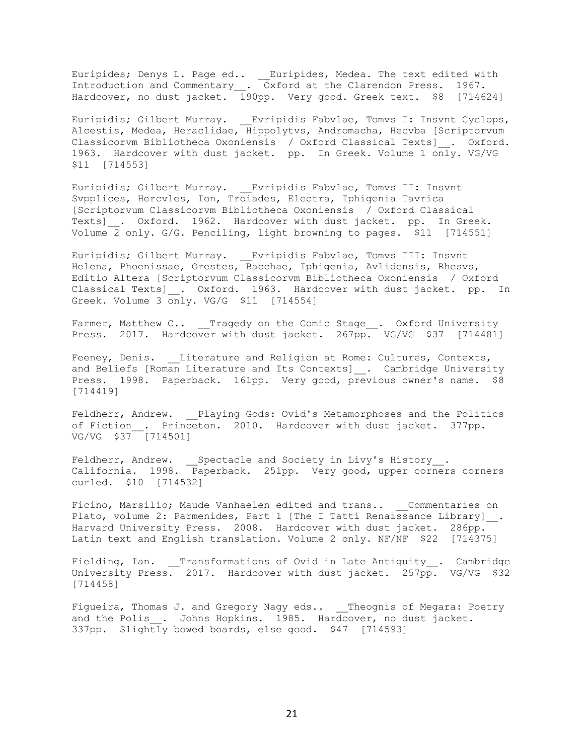Euripides; Denys L. Page ed.. \_\_Euripides, Medea. The text edited with Introduction and Commentary\_\_. Oxford at the Clarendon Press. 1967. Hardcover, no dust jacket. 190pp. Very good. Greek text. \$8 [714624]

Euripidis; Gilbert Murray. Evripidis Fabvlae, Tomvs I: Insvnt Cyclops, Alcestis, Medea, Heraclidae, Hippolytvs, Andromacha, Hecvba [Scriptorvum Classicorvm Bibliotheca Oxoniensis / Oxford Classical Texts]\_\_. Oxford. 1963. Hardcover with dust jacket. pp. In Greek. Volume 1 only. VG/VG \$11 [714553]

Euripidis; Gilbert Murray. \_\_Evripidis Fabvlae, Tomvs II: Insvnt Svpplices, Hercvles, Ion, Troiades, Electra, Iphigenia Tavrica [Scriptorvum Classicorvm Bibliotheca Oxoniensis / Oxford Classical Texts] . Oxford. 1962. Hardcover with dust jacket. pp. In Greek. Volume 2 only. G/G. Penciling, light browning to pages. \$11 [714551]

Euripidis; Gilbert Murray. \_\_Evripidis Fabvlae, Tomvs III: Insvnt Helena, Phoenissae, Orestes, Bacchae, Iphigenia, Avlidensis, Rhesvs, Editio Altera [Scriptorvum Classicorvm Bibliotheca Oxoniensis / Oxford Classical Texts] . Oxford. 1963. Hardcover with dust jacket. pp. In Greek. Volume 3 only. VG/G \$11 [714554]

Farmer, Matthew C.. \_\_Tragedy on the Comic Stage\_\_. Oxford University Press. 2017. Hardcover with dust jacket. 267pp. VG/VG \$37 [714481]

Feeney, Denis. Literature and Religion at Rome: Cultures, Contexts, and Beliefs [Roman Literature and Its Contexts] . Cambridge University Press. 1998. Paperback. 161pp. Very good, previous owner's name. \$8 [714419]

Feldherr, Andrew. Playing Gods: Ovid's Metamorphoses and the Politics of Fiction . Princeton. 2010. Hardcover with dust jacket. 377pp. VG/VG \$37 [714501]

Feldherr, Andrew. \_\_Spectacle and Society in Livy's History\_\_. California. 1998. Paperback. 251pp. Very good, upper corners corners curled. \$10 [714532]

Ficino, Marsilio; Maude Vanhaelen edited and trans.. Commentaries on Plato, volume 2: Parmenides, Part 1 [The I Tatti Renaissance Library] . Harvard University Press. 2008. Hardcover with dust jacket. 286pp. Latin text and English translation. Volume 2 only. NF/NF \$22 [714375]

Fielding, Ian. Transformations of Ovid in Late Antiquity . Cambridge University Press. 2017. Hardcover with dust jacket. 257pp. VG/VG \$32 [714458]

Figueira, Thomas J. and Gregory Nagy eds.. Theognis of Megara: Poetry and the Polis . Johns Hopkins. 1985. Hardcover, no dust jacket. 337pp. Slightly bowed boards, else good. \$47 [714593]

21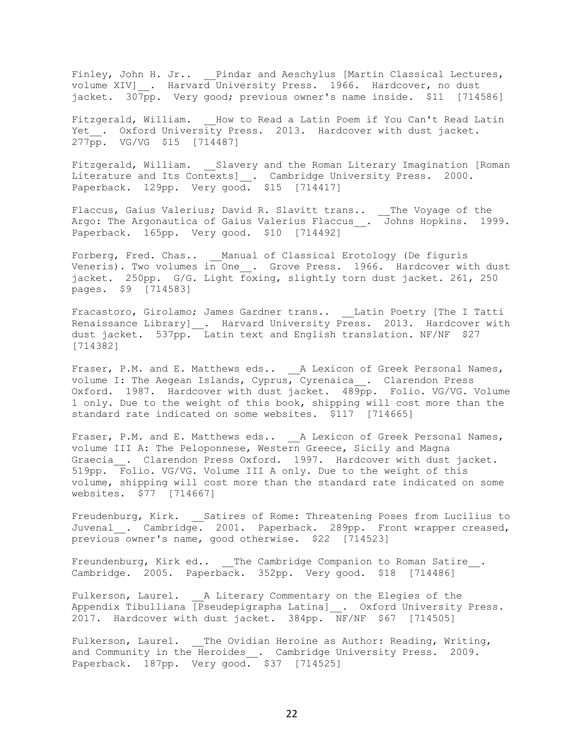Finley, John H. Jr.. Pindar and Aeschylus [Martin Classical Lectures, volume XIV]\_\_. Harvard University Press. 1966. Hardcover, no dust jacket. 307pp. Very good; previous owner's name inside. \$11 [714586]

Fitzgerald, William. How to Read a Latin Poem if You Can't Read Latin Yet . Oxford University Press. 2013. Hardcover with dust jacket. 277pp. VG/VG \$15 [714487]

Fitzgerald, William. \_\_Slavery and the Roman Literary Imagination [Roman Literature and Its Contexts]\_\_. Cambridge University Press. 2000. Paperback. 129pp. Very good. \$15 [714417]

Flaccus, Gaius Valerius; David R. Slavitt trans.. \_\_The Voyage of the Argo: The Argonautica of Gaius Valerius Flaccus\_\_. Johns Hopkins. 1999. Paperback. 165pp. Very good. \$10 [714492]

Forberg, Fred. Chas.. \_\_Manual of Classical Erotology (De figuris Veneris). Two volumes in One\_\_. Grove Press. 1966. Hardcover with dust jacket. 250pp. G/G. Light foxing, slightly torn dust jacket. 261, 250 pages. \$9 [714583]

Fracastoro, Girolamo; James Gardner trans.. \_\_Latin Poetry [The I Tatti Renaissance Library] \_. Harvard University Press. 2013. Hardcover with dust jacket. 537pp. Latin text and English translation. NF/NF \$27 [714382]

Fraser, P.M. and E. Matthews eds.. \_\_ A Lexicon of Greek Personal Names, volume I: The Aegean Islands, Cyprus, Cyrenaica\_\_. Clarendon Press Oxford. 1987. Hardcover with dust jacket. 489pp. Folio. VG/VG. Volume 1 only. Due to the weight of this book, shipping will cost more than the standard rate indicated on some websites. \$117 [714665]

Fraser, P.M. and E. Matthews eds.. \_\_ A Lexicon of Greek Personal Names, volume III A: The Peloponnese, Western Greece, Sicily and Magna Graecia . Clarendon Press Oxford. 1997. Hardcover with dust jacket. 519pp. Folio. VG/VG. Volume III A only. Due to the weight of this volume, shipping will cost more than the standard rate indicated on some websites. \$77 [714667]

Freudenburg, Kirk. Satires of Rome: Threatening Poses from Lucilius to Juvenal . Cambridge. 2001. Paperback. 289pp. Front wrapper creased, previous owner's name, good otherwise. \$22 [714523]

Freundenburg, Kirk ed.. The Cambridge Companion to Roman Satire . Cambridge. 2005. Paperback. 352pp. Very good. \$18 [714486]

Fulkerson, Laurel. A Literary Commentary on the Elegies of the Appendix Tibulliana [Pseudepigrapha Latina] . Oxford University Press. 2017. Hardcover with dust jacket. 384pp. NF/NF \$67 [714505]

Fulkerson, Laurel. The Ovidian Heroine as Author: Reading, Writing, and Community in the Heroides\_. Cambridge University Press. 2009. Paperback. 187pp. Very good. \$37 [714525]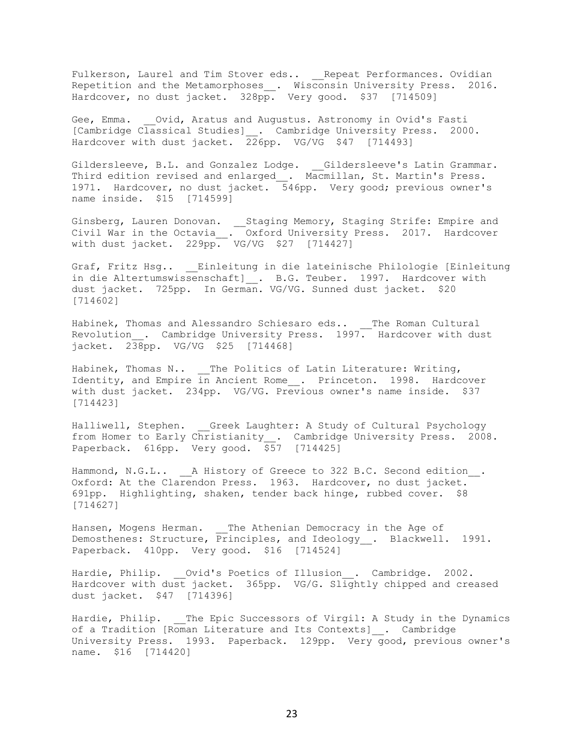Fulkerson, Laurel and Tim Stover eds.. \_\_Repeat Performances. Ovidian Repetition and the Metamorphoses\_\_. Wisconsin University Press. 2016. Hardcover, no dust jacket. 328pp. Very good. \$37 [714509]

Gee, Emma. Ovid, Aratus and Augustus. Astronomy in Ovid's Fasti [Cambridge Classical Studies] . Cambridge University Press. 2000. Hardcover with dust jacket. 226pp. VG/VG \$47 [714493]

Gildersleeve, B.L. and Gonzalez Lodge. \_\_Gildersleeve's Latin Grammar. Third edition revised and enlarged\_\_. Macmillan, St. Martin's Press. 1971. Hardcover, no dust jacket. 546pp. Very good; previous owner's name inside. \$15 [714599]

Ginsberg, Lauren Donovan. \_\_\_Staging Memory, Staging Strife: Empire and Civil War in the Octavia\_\_. Oxford University Press. 2017. Hardcover with dust jacket. 229pp. VG/VG \$27 [714427]

Graf, Fritz Hsg.. \_\_Einleitung in die lateinische Philologie [Einleitung in die Altertumswissenschaft] . B.G. Teuber. 1997. Hardcover with dust jacket. 725pp. In German. VG/VG. Sunned dust jacket. \$20 [714602]

Habinek, Thomas and Alessandro Schiesaro eds.. The Roman Cultural Revolution . Cambridge University Press. 1997. Hardcover with dust jacket. 238pp. VG/VG \$25 [714468]

Habinek, Thomas N.. \_\_The Politics of Latin Literature: Writing, Identity, and Empire in Ancient Rome . Princeton. 1998. Hardcover with dust jacket. 234pp. VG/VG. Previous owner's name inside. \$37 [714423]

Halliwell, Stephen. Greek Laughter: A Study of Cultural Psychology from Homer to Early Christianity\_\_. Cambridge University Press. 2008. Paperback. 616pp. Very good. \$57 [714425]

Hammond, N.G.L.. \_\_ A History of Greece to 322 B.C. Second edition\_\_. Oxford: At the Clarendon Press. 1963. Hardcover, no dust jacket. 691pp. Highlighting, shaken, tender back hinge, rubbed cover. \$8 [714627]

Hansen, Mogens Herman. \_\_The Athenian Democracy in the Age of Demosthenes: Structure, Principles, and Ideology\_\_. Blackwell. 1991. Paperback. 410pp. Very good. \$16 [714524]

Hardie, Philip. Ovid's Poetics of Illusion . Cambridge. 2002. Hardcover with dust jacket. 365pp. VG/G. Slightly chipped and creased dust jacket. \$47 [714396]

Hardie, Philip. The Epic Successors of Virgil: A Study in the Dynamics of a Tradition [Roman Literature and Its Contexts] . Cambridge University Press. 1993. Paperback. 129pp. Very good, previous owner's name. \$16 [714420]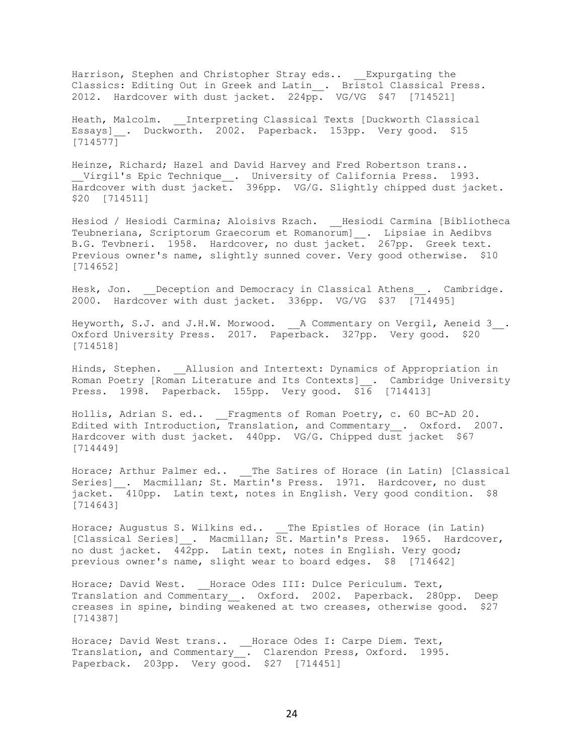Harrison, Stephen and Christopher Stray eds.. Expurgating the Classics: Editing Out in Greek and Latin\_. Bristol Classical Press. 2012. Hardcover with dust jacket. 224pp. VG/VG \$47 [714521]

Heath, Malcolm. \_\_ Interpreting Classical Texts [Duckworth Classical Essays] . Duckworth. 2002. Paperback. 153pp. Very good. \$15 [714577]

Heinze, Richard; Hazel and David Harvey and Fred Robertson trans.. \_\_Virgil's Epic Technique\_\_. University of California Press. 1993. Hardcover with dust jacket. 396pp. VG/G. Slightly chipped dust jacket. \$20 [714511]

Hesiod / Hesiodi Carmina; Aloisivs Rzach. \_\_Hesiodi Carmina [Bibliotheca Teubneriana, Scriptorum Graecorum et Romanorum]\_\_. Lipsiae in Aedibvs B.G. Tevbneri. 1958. Hardcover, no dust jacket. 267pp. Greek text. Previous owner's name, slightly sunned cover. Very good otherwise. \$10 [714652]

Hesk, Jon. Deception and Democracy in Classical Athens . Cambridge. 2000. Hardcover with dust jacket. 336pp. VG/VG \$37 [714495]

Heyworth, S.J. and J.H.W. Morwood. \_\_ A Commentary on Vergil, Aeneid 3\_\_. Oxford University Press. 2017. Paperback. 327pp. Very good. \$20 [714518]

Hinds, Stephen. Allusion and Intertext: Dynamics of Appropriation in Roman Poetry [Roman Literature and Its Contexts]\_\_. Cambridge University Press. 1998. Paperback. 155pp. Very good. \$16 [714413]

Hollis, Adrian S. ed.. \_\_Fragments of Roman Poetry, c. 60 BC-AD 20. Edited with Introduction, Translation, and Commentary\_\_. Oxford. 2007. Hardcover with dust jacket. 440pp. VG/G. Chipped dust jacket \$67 [714449]

Horace; Arthur Palmer ed.. \_\_The Satires of Horace (in Latin) [Classical Series] Racmillan; St. Martin's Press. 1971. Hardcover, no dust  $\frac{1}{4}$  410pp. Latin text, notes in English. Very good condition. \$8 [714643]

Horace; Augustus S. Wilkins ed.. \_\_The Epistles of Horace (in Latin) [Classical Series]\_\_. Macmillan; St. Martin's Press. 1965. Hardcover, no dust jacket. 442pp. Latin text, notes in English. Very good; previous owner's name, slight wear to board edges. \$8 [714642]

Horace; David West. \_\_ Horace Odes III: Dulce Periculum. Text, Translation and Commentary . Oxford. 2002. Paperback. 280pp. Deep creases in spine, binding weakened at two creases, otherwise good. \$27 [714387]

Horace; David West trans.. \_\_Horace Odes I: Carpe Diem. Text, Translation, and Commentary\_\_. Clarendon Press, Oxford. 1995. Paperback. 203pp. Very good. \$27 [714451]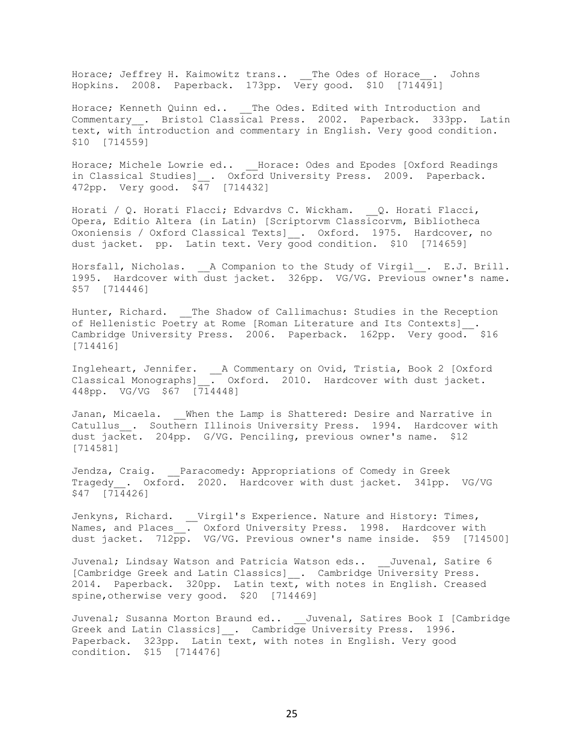Horace; Jeffrey H. Kaimowitz trans.. \_\_ The Odes of Horace . Johns Hopkins. 2008. Paperback. 173pp. Very good. \$10 [714491]

Horace; Kenneth Quinn ed.. \_\_\_ The Odes. Edited with Introduction and Commentary . Bristol Classical Press. 2002. Paperback. 333pp. Latin text, with introduction and commentary in English. Very good condition. \$10 [714559]

Horace; Michele Lowrie ed.. \_\_Horace: Odes and Epodes [Oxford Readings in Classical Studies]\_\_. Oxford University Press. 2009. Paperback. 472pp. Very good. \$47 [714432]

Horati / Q. Horati Flacci; Edvardvs C. Wickham.  $Q$ . Horati Flacci, Opera, Editio Altera (in Latin) [Scriptorvm Classicorvm, Bibliotheca Oxoniensis / Oxford Classical Texts]\_\_. Oxford. 1975. Hardcover, no dust jacket. pp. Latin text. Very good condition. \$10 [714659]

Horsfall, Nicholas. \_\_A Companion to the Study of Virgil\_\_. E.J. Brill. 1995. Hardcover with dust jacket. 326pp. VG/VG. Previous owner's name. \$57 [714446]

Hunter, Richard. \_\_The Shadow of Callimachus: Studies in the Reception of Hellenistic Poetry at Rome [Roman Literature and Its Contexts]\_\_. Cambridge University Press. 2006. Paperback. 162pp. Very good. \$16 [714416]

Ingleheart, Jennifer. \_\_A Commentary on Ovid, Tristia, Book 2 [Oxford Classical Monographs]\_\_. Oxford. 2010. Hardcover with dust jacket. 448pp. VG/VG \$67 [714448]

Janan, Micaela. When the Lamp is Shattered: Desire and Narrative in Catullus . Southern Illinois University Press. 1994. Hardcover with dust jacket. 204pp. G/VG. Penciling, previous owner's name. \$12 [714581]

Jendza, Craig. \_\_Paracomedy: Appropriations of Comedy in Greek Tragedy . Oxford. 2020. Hardcover with dust jacket. 341pp. VG/VG \$47 [714426]

Jenkyns, Richard. \_\_Virgil's Experience. Nature and History: Times, Names, and Places\_\_. Oxford University Press. 1998. Hardcover with dust jacket. 712pp. VG/VG. Previous owner's name inside. \$59 [714500]

Juvenal; Lindsay Watson and Patricia Watson eds.. Juvenal, Satire 6 [Cambridge Greek and Latin Classics] \_. Cambridge University Press. 2014. Paperback. 320pp. Latin text, with notes in English. Creased spine, otherwise very good. \$20 [714469]

Juvenal; Susanna Morton Braund ed.. \_\_Juvenal, Satires Book I [Cambridge Greek and Latin Classics] . Cambridge University Press. 1996. Paperback. 323pp. Latin text, with notes in English. Very good condition. \$15 [714476]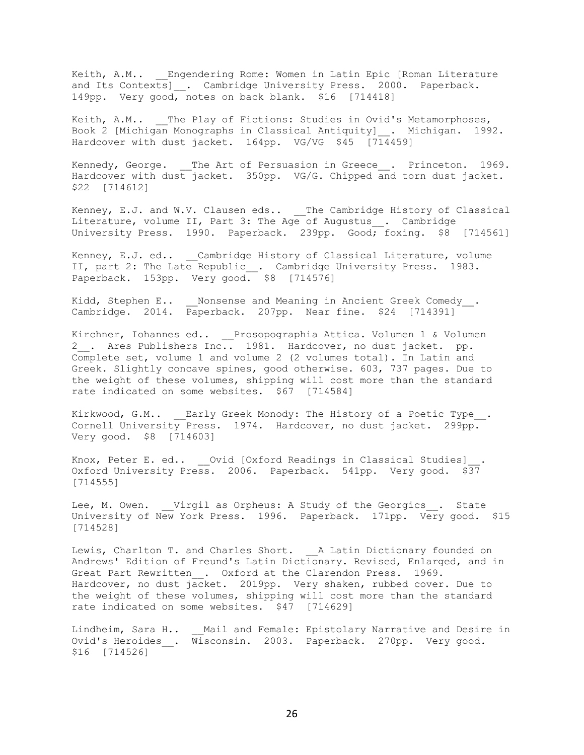Keith, A.M.. Engendering Rome: Women in Latin Epic [Roman Literature and Its Contexts]\_\_. Cambridge University Press. 2000. Paperback. 149pp. Very good, notes on back blank. \$16 [714418]

Keith, A.M.. \_\_The Play of Fictions: Studies in Ovid's Metamorphoses, Book 2 [Michigan Monographs in Classical Antiquity]\_\_. Michigan. 1992. Hardcover with dust jacket. 164pp. VG/VG \$45 [714459]

Kennedy, George. \_\_The Art of Persuasion in Greece\_\_. Princeton. 1969. Hardcover with dust jacket. 350pp. VG/G. Chipped and torn dust jacket. \$22 [714612]

Kenney, E.J. and W.V. Clausen eds.. \_\_The Cambridge History of Classical Literature, volume II, Part 3: The Age of Augustus . Cambridge University Press. 1990. Paperback. 239pp. Good; foxing. \$8 [714561]

Kenney, E.J. ed.. \_\_Cambridge History of Classical Literature, volume II, part 2: The Late Republic\_. Cambridge University Press. 1983. Paperback. 153pp. Very good. \$8 [714576]

Kidd, Stephen E.. Monsense and Meaning in Ancient Greek Comedy . Cambridge. 2014. Paperback. 207pp. Near fine. \$24 [714391]

Kirchner, Iohannes ed.. Prosopographia Attica. Volumen 1 & Volumen 2. Ares Publishers Inc.. 1981. Hardcover, no dust jacket. pp. Complete set, volume 1 and volume 2 (2 volumes total). In Latin and Greek. Slightly concave spines, good otherwise. 603, 737 pages. Due to the weight of these volumes, shipping will cost more than the standard rate indicated on some websites. \$67 [714584]

Kirkwood, G.M.. \_\_ Early Greek Monody: The History of a Poetic Type . Cornell University Press. 1974. Hardcover, no dust jacket. 299pp. Very good. \$8 [714603]

Knox, Peter E. ed.. \_\_Ovid [Oxford Readings in Classical Studies]\_\_. Oxford University Press. 2006. Paperback. 541pp. Very good. \$37 [714555]

Lee, M. Owen. Virgil as Orpheus: A Study of the Georgics . State University of New York Press. 1996. Paperback. 171pp. Very good. \$15 [714528]

Lewis, Charlton T. and Charles Short. A Latin Dictionary founded on Andrews' Edition of Freund's Latin Dictionary. Revised, Enlarged, and in Great Part Rewritten\_\_. Oxford at the Clarendon Press. 1969. Hardcover, no dust jacket. 2019pp. Very shaken, rubbed cover. Due to the weight of these volumes, shipping will cost more than the standard rate indicated on some websites. \$47 [714629]

Lindheim, Sara H.. Mail and Female: Epistolary Narrative and Desire in Ovid's Heroides\_\_. Wisconsin. 2003. Paperback. 270pp. Very good. \$16 [714526]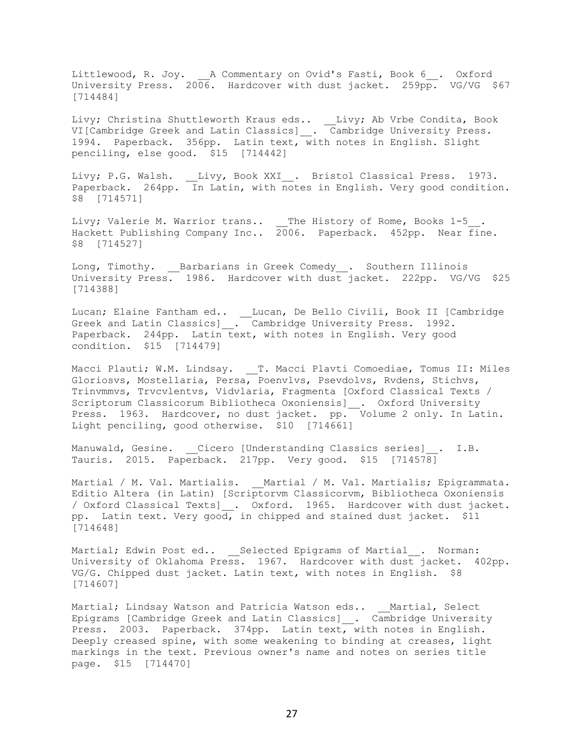Littlewood, R. Joy. A Commentary on Ovid's Fasti, Book 6 . Oxford University Press. 2006. Hardcover with dust jacket. 259pp. VG/VG \$67 [714484]

Livy; Christina Shuttleworth Kraus eds.. \_\_Livy; Ab Vrbe Condita, Book VI[Cambridge Greek and Latin Classics]\_\_. Cambridge University Press. 1994. Paperback. 356pp. Latin text, with notes in English. Slight penciling, else good. \$15 [714442]

Livy; P.G. Walsh. \_\_Livy, Book XXI\_\_. Bristol Classical Press. 1973. Paperback. 264pp. In Latin, with notes in English. Very good condition. \$8 [714571]

Livy; Valerie M. Warrior trans.. \_\_The History of Rome, Books 1-5\_ Hackett Publishing Company Inc.. 2006. Paperback. 452pp. Near fine. \$8 [714527]

Long, Timothy. \_\_Barbarians in Greek Comedy\_\_. Southern Illinois University Press. 1986. Hardcover with dust jacket. 222pp. VG/VG \$25 [714388]

Lucan; Elaine Fantham ed.. \_\_Lucan, De Bello Civili, Book II [Cambridge Greek and Latin Classics]\_\_. Cambridge University Press. 1992. Paperback. 244pp. Latin text, with notes in English. Very good condition. \$15 [714479]

Macci Plauti; W.M. Lindsay. \_\_T. Macci Plavti Comoediae, Tomus II: Miles Gloriosvs, Mostellaria, Persa, Poenvlvs, Psevdolvs, Rvdens, Stichvs, Trinvmmvs, Trvcvlentvs, Vidvlaria, Fragmenta [Oxford Classical Texts / Scriptorum Classicorum Bibliotheca Oxoniensis]\_\_. Oxford University Press. 1963. Hardcover, no dust jacket. pp. Volume 2 only. In Latin. Light penciling, good otherwise. \$10 [714661]

Manuwald, Gesine. Cicero [Understanding Classics series] . I.B. Tauris. 2015. Paperback. 217pp. Very good. \$15 [714578]

Martial / M. Val. Martialis. <br>
Martial / M. Val. Martialis. <br>
Martialis; Epigrammata. Editio Altera (in Latin) [Scriptorvm Classicorvm, Bibliotheca Oxoniensis / Oxford Classical Texts]\_\_. Oxford. 1965. Hardcover with dust jacket. pp. Latin text. Very good, in chipped and stained dust jacket. \$11 [714648]

Martial; Edwin Post ed.. \_\_Selected Epigrams of Martial\_\_. Norman: University of Oklahoma Press. 1967. Hardcover with dust jacket. 402pp. VG/G. Chipped dust jacket. Latin text, with notes in English. \$8 [714607]

Martial; Lindsay Watson and Patricia Watson eds.. \_\_Martial, Select Epigrams [Cambridge Greek and Latin Classics]\_\_. Cambridge University Press. 2003. Paperback. 374pp. Latin text, with notes in English. Deeply creased spine, with some weakening to binding at creases, light markings in the text. Previous owner's name and notes on series title page. \$15 [714470]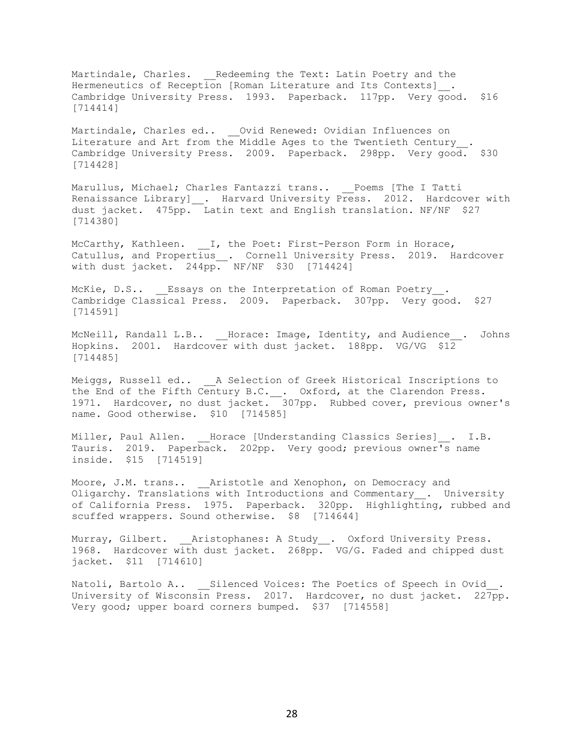Martindale, Charles. Endeeming the Text: Latin Poetry and the Hermeneutics of Reception [Roman Literature and Its Contexts]. Cambridge University Press. 1993. Paperback. 117pp. Very good. \$16 [714414]

Martindale, Charles ed.. \_\_Ovid Renewed: Ovidian Influences on Literature and Art from the Middle Ages to the Twentieth Century . Cambridge University Press. 2009. Paperback. 298pp. Very good. \$30 [714428]

Marullus, Michael; Charles Fantazzi trans.. \_\_Poems [The I Tatti Renaissance Library] \_\_. Harvard University Press. 2012. Hardcover with dust jacket. 475pp. Latin text and English translation. NF/NF \$27 [714380]

McCarthy, Kathleen.  $\quad \_$ I, the Poet: First-Person Form in Horace, Catullus, and Propertius\_\_. Cornell University Press. 2019. Hardcover with dust jacket. 244pp. NF/NF \$30 [714424]

McKie, D.S.. Essays on the Interpretation of Roman Poetry. Cambridge Classical Press. 2009. Paperback. 307pp. Very good. \$27 [714591]

McNeill, Randall L.B.. Horace: Image, Identity, and Audience . Johns Hopkins. 2001. Hardcover with dust jacket. 188pp. VG/VG \$12 [714485]

Meiggs, Russell ed.. A Selection of Greek Historical Inscriptions to the End of the Fifth Century B.C. \_\_. Oxford, at the Clarendon Press. 1971. Hardcover, no dust jacket. 307pp. Rubbed cover, previous owner's name. Good otherwise. \$10 [714585]

Miller, Paul Allen. Horace [Understanding Classics Series] . I.B. Tauris. 2019. Paperback. 202pp. Very good; previous owner's name inside. \$15 [714519]

Moore, J.M. trans.. \_\_Aristotle and Xenophon, on Democracy and Oligarchy. Translations with Introductions and Commentary . University of California Press. 1975. Paperback. 320pp. Highlighting, rubbed and scuffed wrappers. Sound otherwise. \$8 [714644]

Murray, Gilbert. \_\_Aristophanes: A Study\_\_. Oxford University Press. 1968. Hardcover with dust jacket. 268pp. VG/G. Faded and chipped dust jacket. \$11 [714610]

Natoli, Bartolo A.. Silenced Voices: The Poetics of Speech in Ovid. University of Wisconsin Press. 2017. Hardcover, no dust jacket. 227pp. Very good; upper board corners bumped. \$37 [714558]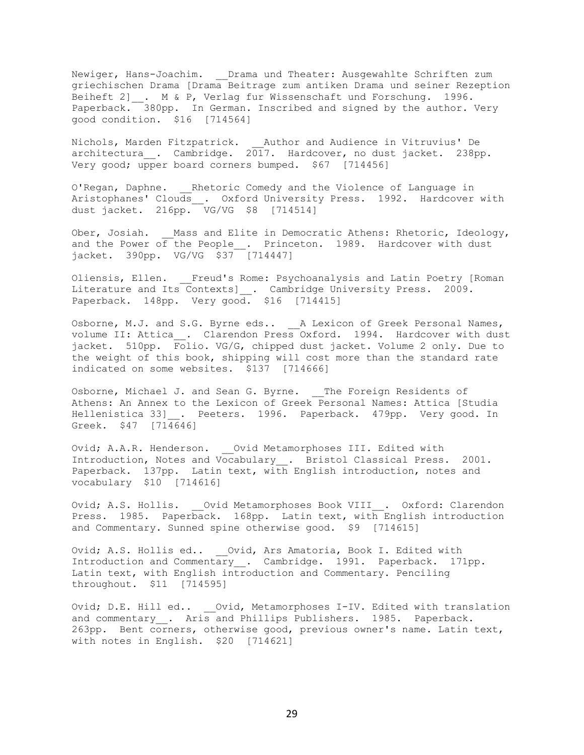Newiger, Hans-Joachim. \_\_ Drama und Theater: Ausgewahlte Schriften zum griechischen Drama [Drama Beitrage zum antiken Drama und seiner Rezeption Beiheft 2]\_\_. M & P, Verlag fur Wissenschaft und Forschung. 1996. Paperback. 380pp. In German. Inscribed and signed by the author. Very good condition. \$16 [714564]

Nichols, Marden Fitzpatrick. Author and Audience in Vitruvius' De architectura \_. Cambridge. 2017. Hardcover, no dust jacket. 238pp. Very good; upper board corners bumped. \$67 [714456]

O'Regan, Daphne. Rhetoric Comedy and the Violence of Language in Aristophanes' Clouds . Oxford University Press. 1992. Hardcover with dust jacket. 216pp. VG/VG \$8 [714514]

Ober, Josiah. Mass and Elite in Democratic Athens: Rhetoric, Ideology, and the Power of the People\_\_. Princeton. 1989. Hardcover with dust jacket. 390pp. VG/VG \$37 [714447]

Oliensis, Ellen. Freud's Rome: Psychoanalysis and Latin Poetry [Roman Literature and Its Contexts]\_\_. Cambridge University Press. 2009. Paperback. 148pp. Very good. \$16 [714415]

Osborne, M.J. and S.G. Byrne eds.. A Lexicon of Greek Personal Names, volume II: Attica\_\_. Clarendon Press Oxford. 1994. Hardcover with dust jacket. 510pp. Folio. VG/G, chipped dust jacket. Volume 2 only. Due to the weight of this book, shipping will cost more than the standard rate indicated on some websites. \$137 [714666]

Osborne, Michael J. and Sean G. Byrne. The Foreign Residents of Athens: An Annex to the Lexicon of Greek Personal Names: Attica [Studia Hellenistica 33] . Peeters. 1996. Paperback. 479pp. Very good. In Greek. \$47 [714646]

Ovid; A.A.R. Henderson. \_\_ Ovid Metamorphoses III. Edited with Introduction, Notes and Vocabulary . Bristol Classical Press. 2001. Paperback. 137pp. Latin text, with English introduction, notes and vocabulary \$10 [714616]

Ovid; A.S. Hollis. \_\_Ovid Metamorphoses Book VIII\_\_. Oxford: Clarendon Press. 1985. Paperback. 168pp. Latin text, with English introduction and Commentary. Sunned spine otherwise good. \$9 [714615]

Ovid; A.S. Hollis ed.. \_\_Ovid, Ars Amatoria, Book I. Edited with Introduction and Commentary\_\_. Cambridge. 1991. Paperback. 171pp. Latin text, with English introduction and Commentary. Penciling throughout. \$11 [714595]

Ovid; D.E. Hill ed.. \_\_Ovid, Metamorphoses I-IV. Edited with translation and commentary \_\_. Aris and Phillips Publishers. 1985. Paperback. 263pp. Bent corners, otherwise good, previous owner's name. Latin text, with notes in English. \$20 [714621]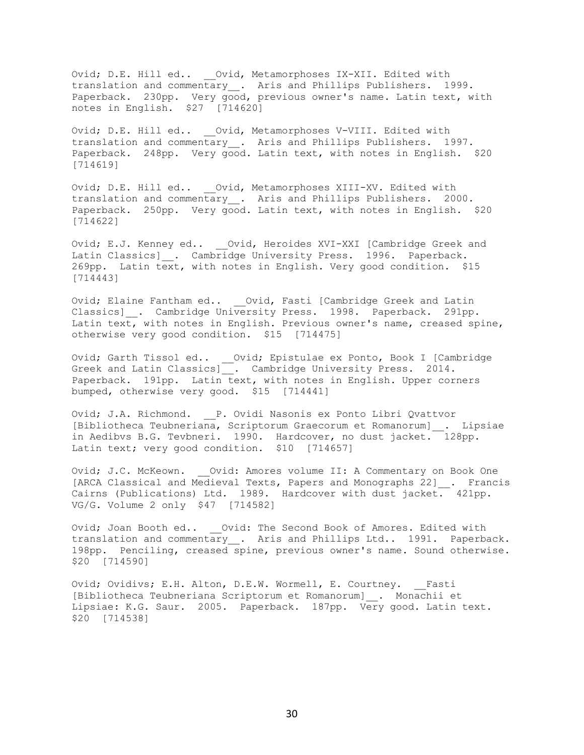Ovid; D.E. Hill ed.. \_\_Ovid, Metamorphoses IX-XII. Edited with translation and commentary\_\_. Aris and Phillips Publishers. 1999. Paperback. 230pp. Very good, previous owner's name. Latin text, with notes in English. \$27 [714620]

Ovid; D.E. Hill ed.. \_\_Ovid, Metamorphoses V-VIII. Edited with translation and commentary . Aris and Phillips Publishers. 1997. Paperback. 248pp. Very good. Latin text, with notes in English. \$20 [714619]

Ovid; D.E. Hill ed.. \_\_Ovid, Metamorphoses XIII-XV. Edited with translation and commentary . Aris and Phillips Publishers. 2000. Paperback. 250pp. Very good. Latin text, with notes in English. \$20 [714622]

Ovid; E.J. Kenney ed.. \_\_ Ovid, Heroides XVI-XXI [Cambridge Greek and Latin Classics] \_. Cambridge University Press. 1996. Paperback. 269pp. Latin text, with notes in English. Very good condition. \$15 [714443]

Ovid; Elaine Fantham ed.. \_\_Ovid, Fasti [Cambridge Greek and Latin Classics] \_\_. Cambridge University Press. 1998. Paperback. 291pp. Latin text, with notes in English. Previous owner's name, creased spine, otherwise very good condition. \$15 [714475]

Ovid; Garth Tissol ed.. \_\_Ovid; Epistulae ex Ponto, Book I [Cambridge Greek and Latin Classics]\_\_. Cambridge University Press. 2014. Paperback. 191pp. Latin text, with notes in English. Upper corners bumped, otherwise very good. \$15 [714441]

Ovid; J.A. Richmond. \_\_ P. Ovidi Nasonis ex Ponto Libri Qvattvor [Bibliotheca Teubneriana, Scriptorum Graecorum et Romanorum]\_\_. Lipsiae in Aedibvs B.G. Tevbneri. 1990. Hardcover, no dust jacket. 128pp. Latin text; very good condition. \$10 [714657]

Ovid; J.C. McKeown. \_\_Ovid: Amores volume II: A Commentary on Book One [ARCA Classical and Medieval Texts, Papers and Monographs 22]\_\_. Francis Cairns (Publications) Ltd. 1989. Hardcover with dust jacket. 421pp. VG/G. Volume 2 only \$47 [714582]

Ovid; Joan Booth ed.. \_\_ Ovid: The Second Book of Amores. Edited with translation and commentary\_\_. Aris and Phillips Ltd.. 1991. Paperback. 198pp. Penciling, creased spine, previous owner's name. Sound otherwise. \$20 [714590]

Ovid; Ovidivs; E.H. Alton, D.E.W. Wormell, E. Courtney. Fasti [Bibliotheca Teubneriana Scriptorum et Romanorum]\_\_. Monachii et Lipsiae: K.G. Saur. 2005. Paperback. 187pp. Very good. Latin text. \$20 [714538]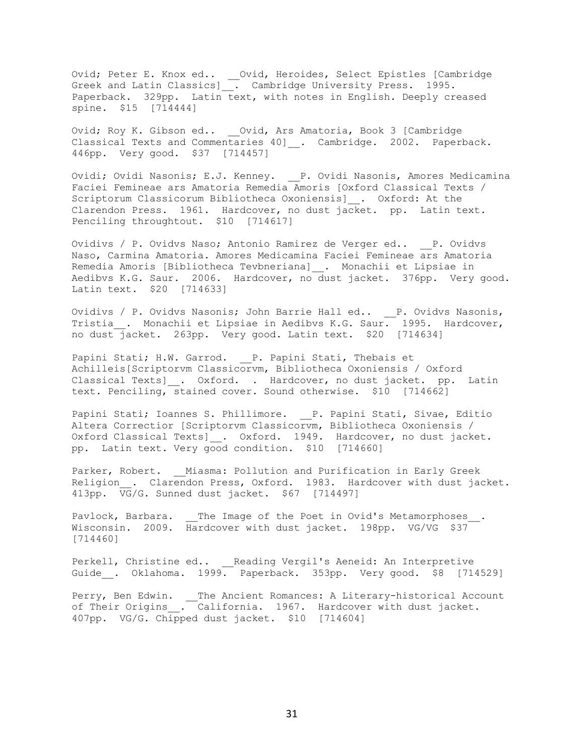Ovid; Peter E. Knox ed.. \_\_Ovid, Heroides, Select Epistles [Cambridge Greek and Latin Classics]\_\_. Cambridge University Press. 1995. Paperback. 329pp. Latin text, with notes in English. Deeply creased spine. \$15 [714444]

Ovid; Roy K. Gibson ed.. \_\_Ovid, Ars Amatoria, Book 3 [Cambridge Classical Texts and Commentaries 40] . Cambridge. 2002. Paperback. 446pp. Very good. \$37 [714457]

Ovidi; Ovidi Nasonis; E.J. Kenney. \_\_P. Ovidi Nasonis, Amores Medicamina Faciei Femineae ars Amatoria Remedia Amoris [Oxford Classical Texts / Scriptorum Classicorum Bibliotheca Oxoniensis]\_\_. Oxford: At the Clarendon Press. 1961. Hardcover, no dust jacket. pp. Latin text. Penciling throughtout. \$10 [714617]

Ovidivs / P. Ovidvs Naso; Antonio Ramirez de Verger ed.. \_\_P. Ovidvs Naso, Carmina Amatoria. Amores Medicamina Faciei Femineae ars Amatoria Remedia Amoris [Bibliotheca Tevbneriana]\_\_. Monachii et Lipsiae in Aedibvs K.G. Saur. 2006. Hardcover, no dust jacket. 376pp. Very good. Latin text. \$20 [714633]

Ovidivs / P. Ovidvs Nasonis; John Barrie Hall ed.. \_\_P. Ovidvs Nasonis, Tristia . Monachii et Lipsiae in Aedibvs K.G. Saur. 1995. Hardcover, no dust jacket. 263pp. Very good. Latin text. \$20 [714634]

Papini Stati; H.W. Garrod. \_\_ P. Papini Stati, Thebais et Achilleis[Scriptorvm Classicorvm, Bibliotheca Oxoniensis / Oxford Classical Texts] . Oxford. . Hardcover, no dust jacket. pp. Latin text. Penciling, stained cover. Sound otherwise. \$10 [714662]

Papini Stati; Ioannes S. Phillimore. P. Papini Stati, Sivae, Editio Altera Correctior [Scriptorvm Classicorvm, Bibliotheca Oxoniensis / Oxford Classical Texts]\_\_. Oxford. 1949. Hardcover, no dust jacket. pp. Latin text. Very good condition. \$10 [714660]

Parker, Robert. Miasma: Pollution and Purification in Early Greek Religion\_. Clarendon Press, Oxford. 1983. Hardcover with dust jacket. 413pp. VG/G. Sunned dust jacket. \$67 [714497]

Pavlock, Barbara. \_\_The Image of the Poet in Ovid's Metamorphoses Wisconsin. 2009. Hardcover with dust jacket. 198pp. VG/VG \$37 [714460]

Perkell, Christine ed.. \_\_Reading Vergil's Aeneid: An Interpretive Guide . Oklahoma. 1999. Paperback. 353pp. Very good. \$8 [714529]

Perry, Ben Edwin. \_\_The Ancient Romances: A Literary-historical Account of Their Origins . California. 1967. Hardcover with dust jacket. 407pp. VG/G. Chipped dust jacket. \$10 [714604]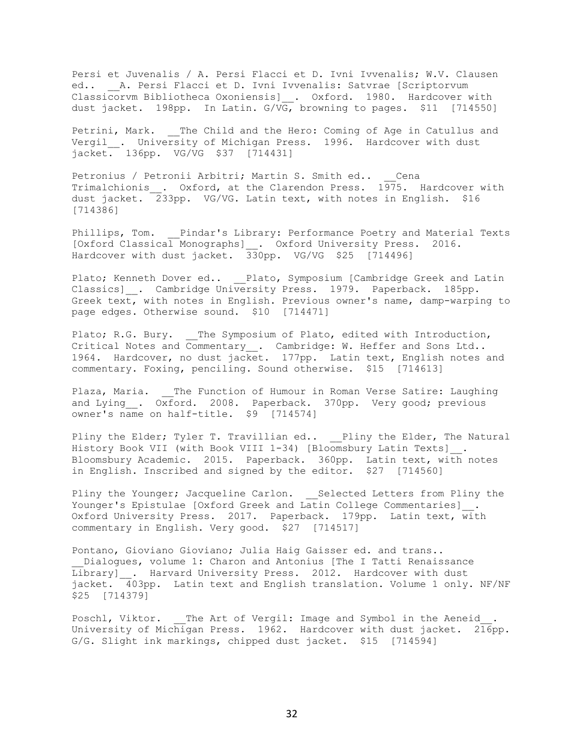Persi et Juvenalis / A. Persi Flacci et D. Ivni Ivvenalis; W.V. Clausen ed.. \_\_A. Persi Flacci et D. Ivni Ivvenalis: Satvrae [Scriptorvum Classicorvm Bibliotheca Oxoniensis]\_. Oxford. 1980. Hardcover with dust jacket. 198pp. In Latin. G/VG, browning to pages. \$11 [714550]

Petrini, Mark. The Child and the Hero: Coming of Age in Catullus and Vergil . University of Michigan Press. 1996. Hardcover with dust jacket. 136pp. VG/VG \$37 [714431]

Petronius / Petronii Arbitri; Martin S. Smith ed.. \_\_ Cena Trimalchionis . Oxford, at the Clarendon Press.  $1\overline{97}5$ . Hardcover with dust jacket. 233pp. VG/VG. Latin text, with notes in English. \$16 [714386]

Phillips, Tom. Pindar's Library: Performance Poetry and Material Texts [Oxford Classical Monographs]\_\_. Oxford University Press. 2016. Hardcover with dust jacket. 330pp. VG/VG \$25 [714496]

Plato; Kenneth Dover ed.. Plato, Symposium [Cambridge Greek and Latin Classics] . Cambridge University Press. 1979. Paperback. 185pp. Greek text, with notes in English. Previous owner's name, damp-warping to page edges. Otherwise sound. \$10 [714471]

Plato; R.G. Bury. The Symposium of Plato, edited with Introduction, Critical Notes and Commentary . Cambridge: W. Heffer and Sons Ltd.. 1964. Hardcover, no dust jacket. 177pp. Latin text, English notes and commentary. Foxing, penciling. Sound otherwise. \$15 [714613]

Plaza, Maria. \_\_The Function of Humour in Roman Verse Satire: Laughing and Lying \_. Oxford. 2008. Paperback. 370pp. Very good; previous owner's name on half-title. \$9 [714574]

Pliny the Elder; Tyler T. Travillian ed.. \_\_Pliny the Elder, The Natural History Book VII (with Book VIII 1-34) [Bloomsbury Latin Texts] . Bloomsbury Academic. 2015. Paperback. 360pp. Latin text, with notes in English. Inscribed and signed by the editor. \$27 [714560]

Pliny the Younger; Jacqueline Carlon. Selected Letters from Pliny the Younger's Epistulae [Oxford Greek and Latin College Commentaries] . Oxford University Press. 2017. Paperback. 179pp. Latin text, with commentary in English. Very good. \$27 [714517]

Pontano, Gioviano Gioviano; Julia Haig Gaisser ed. and trans.. Dialogues, volume 1: Charon and Antonius [The I Tatti Renaissance Library] . Harvard University Press. 2012. Hardcover with dust jacket. 403pp. Latin text and English translation. Volume 1 only. NF/NF \$25 [714379]

Poschl, Viktor. \_\_ The Art of Vergil: Image and Symbol in the Aeneid . University of Michigan Press. 1962. Hardcover with dust jacket. 216pp. G/G. Slight ink markings, chipped dust jacket. \$15 [714594]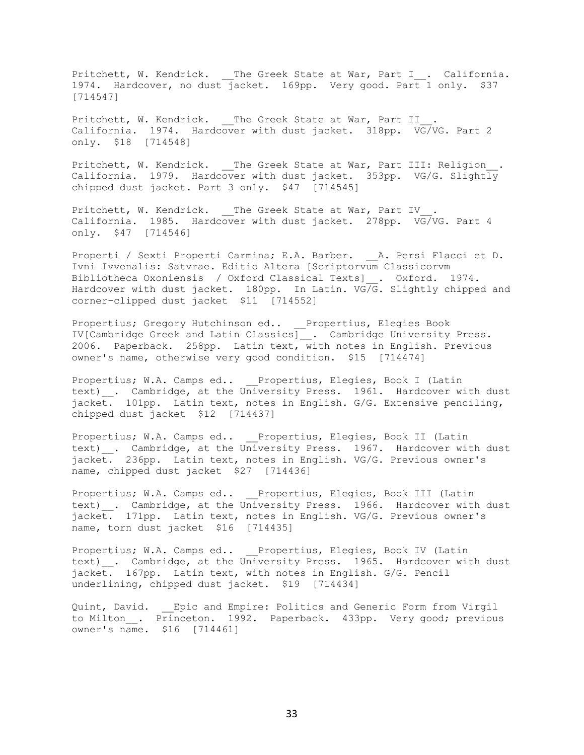Pritchett, W. Kendrick. \_\_The Greek State at War, Part I\_\_. California. 1974. Hardcover, no dust jacket. 169pp. Very good. Part 1 only. \$37 [714547]

Pritchett, W. Kendrick. The Greek State at War, Part II California. 1974. Hardcover with dust jacket. 318pp. VG/VG. Part 2 only. \$18 [714548]

Pritchett, W. Kendrick. \_\_The Greek State at War, Part III: Religion\_\_. California. 1979. Hardcover with dust jacket. 353pp. VG/G. Slightly chipped dust jacket. Part 3 only. \$47 [714545]

Pritchett, W. Kendrick. \_\_ The Greek State at War, Part IV . California. 1985. Hardcover with dust jacket. 278pp. VG/VG. Part 4 only. \$47 [714546]

Properti / Sexti Properti Carmina; E.A. Barber. \_\_A. Persi Flacci et D. Ivni Ivvenalis: Satvrae. Editio Altera [Scriptorvum Classicorvm Bibliotheca Oxoniensis / Oxford Classical Texts]\_\_. Oxford. 1974. Hardcover with dust jacket. 180pp. In Latin. VG/G. Slightly chipped and corner-clipped dust jacket \$11 [714552]

Propertius; Gregory Hutchinson ed.. Propertius, Elegies Book IV[Cambridge Greek and Latin Classics]\_\_. Cambridge University Press. 2006. Paperback. 258pp. Latin text, with notes in English. Previous owner's name, otherwise very good condition. \$15 [714474]

Propertius; W.A. Camps ed.. Propertius, Elegies, Book I (Latin text) . Cambridge, at the University Press. 1961. Hardcover with dust jacket. 101pp. Latin text, notes in English. G/G. Extensive penciling, chipped dust jacket \$12 [714437]

Propertius; W.A. Camps ed.. Propertius, Elegies, Book II (Latin text) . Cambridge, at the University Press. 1967. Hardcover with dust jacket. 236pp. Latin text, notes in English. VG/G. Previous owner's name, chipped dust jacket \$27 [714436]

Propertius; W.A. Camps ed.. Propertius, Elegies, Book III (Latin text) . Cambridge, at the University Press. 1966. Hardcover with dust jacket. 171pp. Latin text, notes in English. VG/G. Previous owner's name, torn dust jacket \$16 [714435]

Propertius; W.A. Camps ed.. Propertius, Elegies, Book IV (Latin text) . Cambridge, at the University Press. 1965. Hardcover with dust jacket. 167pp. Latin text, with notes in English. G/G. Pencil underlining, chipped dust jacket. \$19 [714434]

Quint, David. Epic and Empire: Politics and Generic Form from Virgil to Milton . Princeton. 1992. Paperback. 433pp. Very good; previous owner's name. \$16 [714461]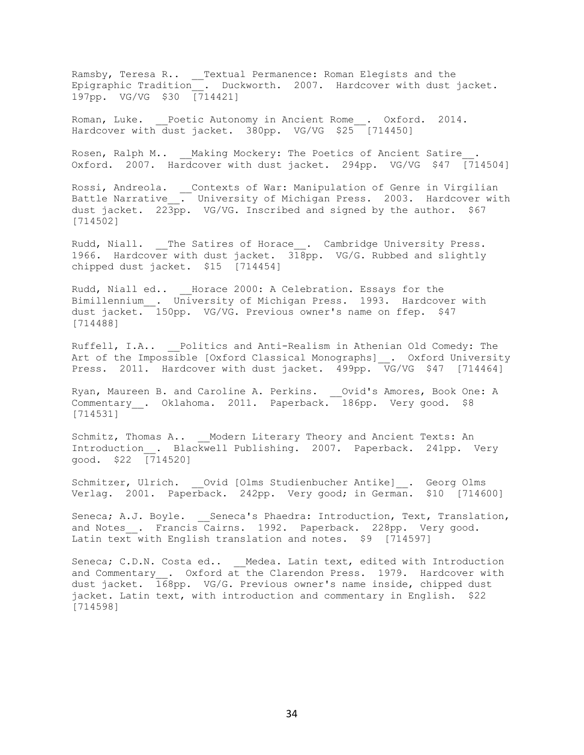Ramsby, Teresa R.. \_\_Textual Permanence: Roman Elegists and the Epigraphic Tradition\_\_. Duckworth. 2007. Hardcover with dust jacket. 197pp. VG/VG \$30 [714421]

Roman, Luke. Poetic Autonomy in Ancient Rome . Oxford. 2014. Hardcover with dust jacket. 380pp. VG/VG \$25 [714450]

Rosen, Ralph M.. \_\_\_Making Mockery: The Poetics of Ancient Satire Oxford. 2007. Hardcover with dust jacket. 294pp. VG/VG \$47 [714504]

Rossi, Andreola. \_\_Contexts of War: Manipulation of Genre in Virgilian Battle Narrative . University of Michigan Press. 2003. Hardcover with dust jacket.  $22\overline{3}pp$ . VG/VG. Inscribed and signed by the author. \$67 [714502]

Rudd, Niall. \_\_The Satires of Horace\_\_. Cambridge University Press. 1966. Hardcover with dust jacket. 318pp. VG/G. Rubbed and slightly chipped dust jacket. \$15 [714454]

Rudd, Niall ed.. Horace 2000: A Celebration. Essays for the Bimillennium\_\_. University of Michigan Press. 1993. Hardcover with dust jacket. 150pp. VG/VG. Previous owner's name on ffep. \$47 [714488]

Ruffell, I.A.. Politics and Anti-Realism in Athenian Old Comedy: The Art of the Impossible [Oxford Classical Monographs] \_. Oxford University Press. 2011. Hardcover with dust jacket. 499pp. VG/VG \$47 [714464]

Ryan, Maureen B. and Caroline A. Perkins. \_\_Ovid's Amores, Book One: A Commentary \_. Oklahoma. 2011. Paperback. 186pp. Very good. \$8 [714531]

Schmitz, Thomas A.. Modern Literary Theory and Ancient Texts: An Introduction . Blackwell Publishing. 2007. Paperback. 241pp. Very good. \$22 [714520]

Schmitzer, Ulrich. Ovid [Olms Studienbucher Antike] \_\_. Georg Olms Verlag. 2001. Paperback. 242pp. Very good; in German. \$10 [714600]

Seneca; A.J. Boyle. Seneca's Phaedra: Introduction, Text, Translation, and Notes . Francis Cairns. 1992. Paperback. 228pp. Very good. Latin text with English translation and notes. \$9 [714597]

Seneca; C.D.N. Costa ed.. \_\_ Medea. Latin text, edited with Introduction and Commentary . Oxford at the Clarendon Press. 1979. Hardcover with dust jacket. 168pp. VG/G. Previous owner's name inside, chipped dust jacket. Latin text, with introduction and commentary in English. \$22 [714598]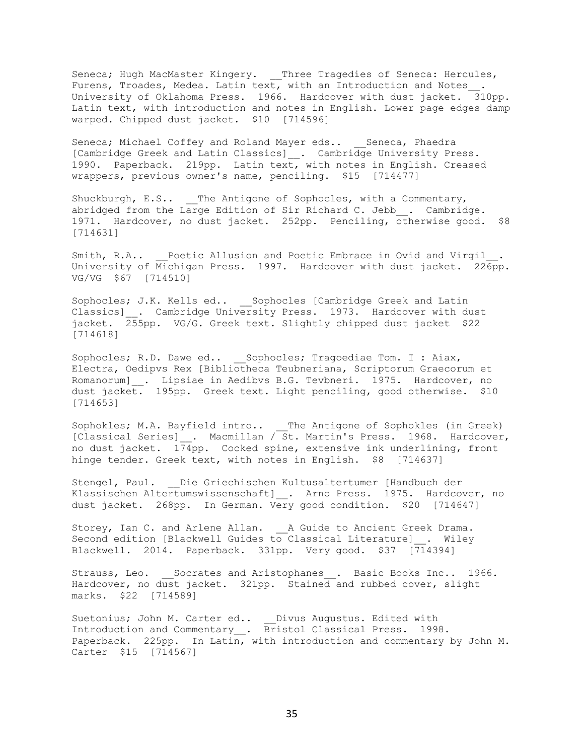Seneca; Hugh MacMaster Kingery. \_\_Three Tragedies of Seneca: Hercules, Furens, Troades, Medea. Latin text, with an Introduction and Notes\_\_. University of Oklahoma Press. 1966. Hardcover with dust jacket. 310pp. Latin text, with introduction and notes in English. Lower page edges damp warped. Chipped dust jacket. \$10 [714596]

Seneca; Michael Coffey and Roland Mayer eds.. Seneca, Phaedra [Cambridge Greek and Latin Classics]\_\_. Cambridge University Press. 1990. Paperback. 219pp. Latin text, with notes in English. Creased wrappers, previous owner's name, penciling. \$15 [714477]

Shuckburgh, E.S.. The Antigone of Sophocles, with a Commentary, abridged from the Large Edition of Sir Richard C. Jebb . Cambridge. 1971. Hardcover, no dust jacket. 252pp. Penciling, otherwise good. \$8 [714631]

Smith, R.A.. Poetic Allusion and Poetic Embrace in Ovid and Virgil University of Michigan Press. 1997. Hardcover with dust jacket. 226pp. VG/VG \$67 [714510]

Sophocles; J.K. Kells ed.. Sophocles [Cambridge Greek and Latin Classics]\_\_. Cambridge University Press. 1973. Hardcover with dust jacket. 255pp. VG/G. Greek text. Slightly chipped dust jacket \$22 [714618]

Sophocles; R.D. Dawe ed.. Sophocles; Tragoediae Tom. I : Aiax, Electra, Oedipvs Rex [Bibliotheca Teubneriana, Scriptorum Graecorum et Romanorum] . Lipsiae in Aedibvs B.G. Tevbneri. 1975. Hardcover, no dust jacket. 195pp. Greek text. Light penciling, good otherwise. \$10 [714653]

Sophokles; M.A. Bayfield intro.. The Antigone of Sophokles (in Greek) [Classical Series] . Macmillan / St. Martin's Press. 1968. Hardcover, no dust jacket.  $174$ pp. Cocked spine, extensive ink underlining, front hinge tender. Greek text, with notes in English. \$8 [714637]

Stengel, Paul. Die Griechischen Kultusaltertumer [Handbuch der Klassischen Altertumswissenschaft] . Arno Press. 1975. Hardcover, no dust jacket. 268pp. In German. Very good condition. \$20 [714647]

Storey, Ian C. and Arlene Allan. \_\_A Guide to Ancient Greek Drama. Second edition [Blackwell Guides to Classical Literature] . Wiley Blackwell. 2014. Paperback. 331pp. Very good. \$37 [714394]

Strauss, Leo. Socrates and Aristophanes . Basic Books Inc.. 1966. Hardcover, no dust jacket. 321pp. Stained and rubbed cover, slight marks. \$22 [714589]

Suetonius; John M. Carter ed.. \_\_ Divus Augustus. Edited with Introduction and Commentary\_\_. Bristol Classical Press. 1998. Paperback. 225pp. In Latin, with introduction and commentary by John M. Carter \$15 [714567]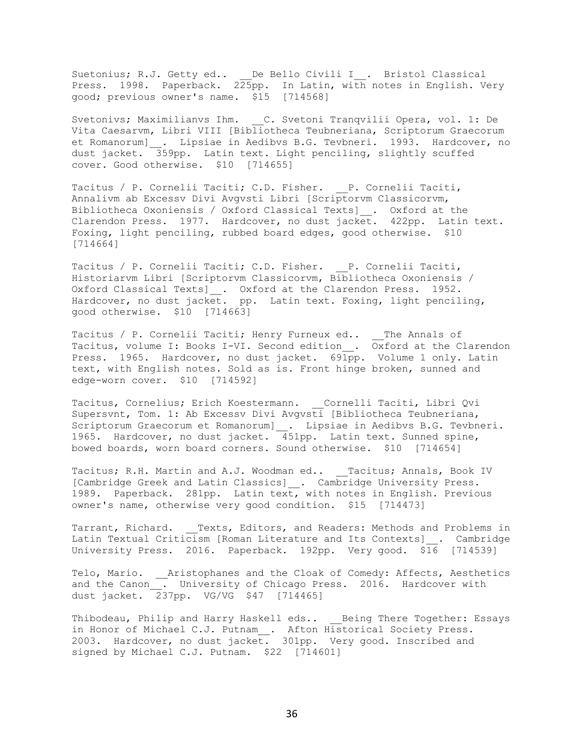Suetonius; R.J. Getty ed.. \_\_De Bello Civili I\_\_. Bristol Classical Press. 1998. Paperback. 225pp. In Latin, with notes in English. Very good; previous owner's name. \$15 [714568]

Svetonivs; Maximilianvs Ihm. C. Svetoni Tranqvilii Opera, vol. 1: De Vita Caesarvm, Libri VIII [Bibliotheca Teubneriana, Scriptorum Graecorum et Romanorum] . Lipsiae in Aedibvs B.G. Tevbneri. 1993. Hardcover, no dust jacket. 359pp. Latin text. Light penciling, slightly scuffed cover. Good otherwise. \$10 [714655]

Tacitus / P. Cornelii Taciti; C.D. Fisher. P. Cornelii Taciti, Annalivm ab Excessv Divi Avgvsti Libri [Scriptorvm Classicorvm, Bibliotheca Oxoniensis / Oxford Classical Texts]\_\_. Oxford at the Clarendon Press. 1977. Hardcover, no dust jacket. 422pp. Latin text. Foxing, light penciling, rubbed board edges, good otherwise. \$10 [714664]

Tacitus / P. Cornelii Taciti; C.D. Fisher. \_\_P. Cornelii Taciti, Historiarvm Libri [Scriptorvm Classicorvm, Bibliotheca Oxoniensis / Oxford Classical Texts]\_\_. Oxford at the Clarendon Press. 1952. Hardcover, no dust jacket. pp. Latin text. Foxing, light penciling, good otherwise. \$10 [714663]

Tacitus / P. Cornelii Taciti; Henry Furneux ed.. The Annals of Tacitus, volume I: Books I-VI. Second edition .  $\overline{Ox}$  ford at the Clarendon Press. 1965. Hardcover, no dust jacket. 691pp. Volume 1 only. Latin text, with English notes. Sold as is. Front hinge broken, sunned and edge-worn cover. \$10 [714592]

Tacitus, Cornelius; Erich Koestermann. \_\_Cornelli Taciti, Libri Qvi Supersvnt, Tom. 1: Ab Excessv Divi Avgvsti [Bibliotheca Teubneriana, Scriptorum Graecorum et Romanorum]\_\_. Lipsiae in Aedibvs B.G. Tevbneri. 1965. Hardcover, no dust jacket. 451pp. Latin text. Sunned spine, bowed boards, worn board corners. Sound otherwise. \$10 [714654]

Tacitus; R.H. Martin and A.J. Woodman ed.. \_\_Tacitus; Annals, Book IV [Cambridge Greek and Latin Classics]\_\_. Cambridge University Press. 1989. Paperback. 281pp. Latin text, with notes in English. Previous owner's name, otherwise very good condition. \$15 [714473]

Tarrant, Richard. \_\_Texts, Editors, and Readers: Methods and Problems in Latin Textual Criticism [Roman Literature and Its Contexts] . Cambridge University Press. 2016. Paperback. 192pp. Very good. \$16 [714539]

Telo, Mario. \_\_Aristophanes and the Cloak of Comedy: Affects, Aesthetics and the Canon\_\_. University of Chicago Press. 2016. Hardcover with dust jacket. 237pp. VG/VG \$47 [714465]

Thibodeau, Philip and Harry Haskell eds.. Being There Together: Essays in Honor of Michael C.J. Putnam\_\_. Afton Historical Society Press. 2003. Hardcover, no dust jacket. 301pp. Very good. Inscribed and signed by Michael C.J. Putnam. \$22 [714601]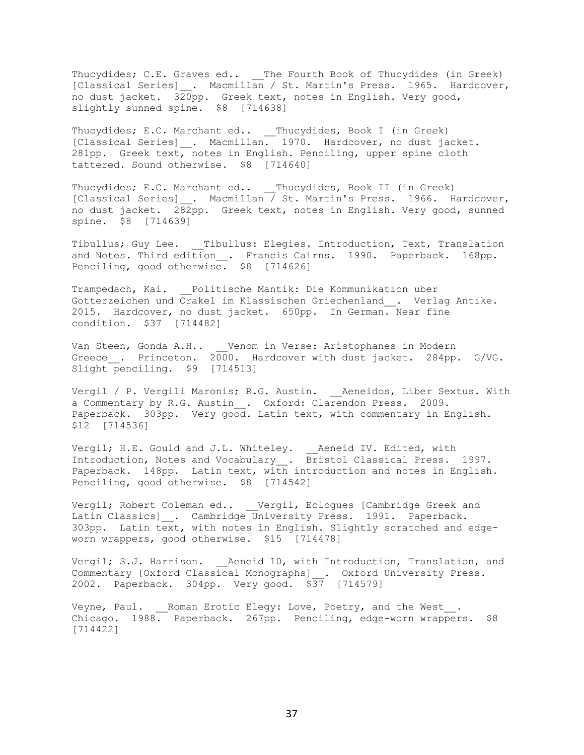Thucydides; C.E. Graves ed.. \_\_The Fourth Book of Thucydides (in Greek) [Classical Series] \_. Macmillan / St. Martin's Press. 1965. Hardcover, no dust jacket. 320pp. Greek text, notes in English. Very good, slightly sunned spine. \$8 [714638]

Thucydides; E.C. Marchant ed.. Thucydides, Book I (in Greek) [Classical Series] . Macmillan. 1970. Hardcover, no dust jacket. 281pp. Greek text, notes in English. Penciling, upper spine cloth tattered. Sound otherwise. \$8 [714640]

Thucydides; E.C. Marchant ed.. \_\_ Thucydides, Book II (in Greek) [Classical Series] . Macmillan / St. Martin's Press. 1966. Hardcover, no dust jacket. 282pp. Greek text, notes in English. Very good, sunned spine. \$8 [714639]

Tibullus; Guy Lee. \_\_\_ Tibullus: Elegies. Introduction, Text, Translation and Notes. Third edition\_\_. Francis Cairns. 1990. Paperback. 168pp. Penciling, good otherwise. \$8 [714626]

Trampedach, Kai. \_\_Politische Mantik: Die Kommunikation uber Gotterzeichen und Orakel im Klassischen Griechenland . Verlag Antike. 2015. Hardcover, no dust jacket. 650pp. In German. Near fine condition. \$37 [714482]

Van Steen, Gonda A.H.. \_\_Venom in Verse: Aristophanes in Modern Greece\_\_. Princeton. 2000. Hardcover with dust jacket. 284pp. G/VG. Slight penciling. \$9 [714513]

Vergil / P. Vergili Maronis; R.G. Austin. \_\_ Aeneidos, Liber Sextus. With a Commentary by R.G. Austin\_. Oxford: Clarendon Press. 2009. Paperback. 303pp. Very good. Latin text, with commentary in English. \$12 [714536]

Vergil; H.E. Gould and J.L. Whiteley. \_\_Aeneid IV. Edited, with Introduction, Notes and Vocabulary\_\_. Bristol Classical Press. 1997. Paperback. 148pp. Latin text, with introduction and notes in English. Penciling, good otherwise. \$8 [714542]

Vergil; Robert Coleman ed.. Vergil, Eclogues [Cambridge Greek and Latin Classics] . Cambridge University Press. 1991. Paperback. 303pp. Latin text, with notes in English. Slightly scratched and edgeworn wrappers, good otherwise. \$15 [714478]

Vergil; S.J. Harrison. Aeneid 10, with Introduction, Translation, and Commentary [Oxford Classical Monographs] . Oxford University Press. 2002. Paperback. 304pp. Very good. \$37 [714579]

Veyne, Paul. Roman Erotic Elegy: Love, Poetry, and the West. Chicago. 1988. Paperback. 267pp. Penciling, edge-worn wrappers. \$8 [714422]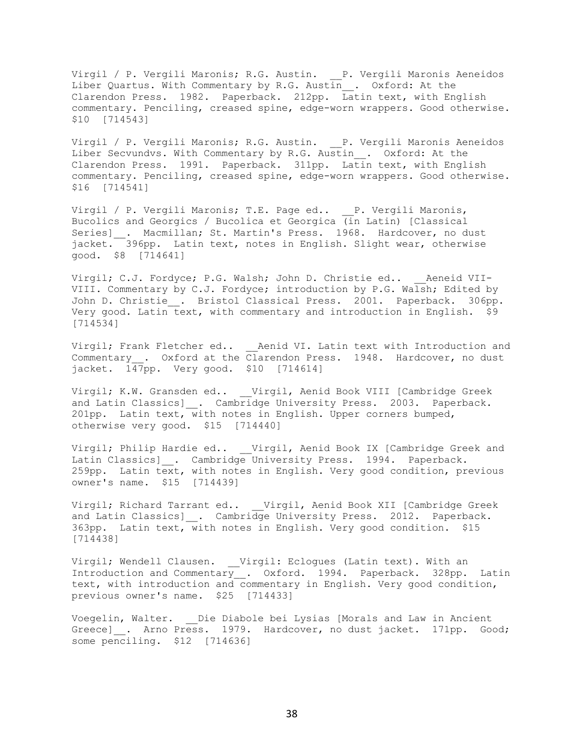Virgil / P. Vergili Maronis; R.G. Austin. P. Vergili Maronis Aeneidos Liber Quartus. With Commentary by R.G. Austin\_\_. Oxford: At the Clarendon Press. 1982. Paperback. 212pp. Latin text, with English commentary. Penciling, creased spine, edge-worn wrappers. Good otherwise. \$10 [714543]

Virgil / P. Vergili Maronis; R.G. Austin. P. Vergili Maronis Aeneidos Liber Secvundvs. With Commentary by R.G. Austin\_\_. Oxford: At the Clarendon Press. 1991. Paperback. 311pp. Latin text, with English commentary. Penciling, creased spine, edge-worn wrappers. Good otherwise. \$16 [714541]

Virgil / P. Vergili Maronis; T.E. Page ed.. P. Vergili Maronis, Bucolics and Georgics / Bucolica et Georgica (in Latin) [Classical Series] . Macmillan; St. Martin's Press. 1968. Hardcover, no dust jacket. 396pp. Latin text, notes in English. Slight wear, otherwise good. \$8 [714641]

Virgil; C.J. Fordyce; P.G. Walsh; John D. Christie ed.. \_\_\_ Aeneid VII-VIII. Commentary by C.J. Fordyce; introduction by P.G. Walsh; Edited by John D. Christie . Bristol Classical Press. 2001. Paperback. 306pp. Very good. Latin text, with commentary and introduction in English. \$9 [714534]

Virgil; Frank Fletcher ed.. \_\_ Aenid VI. Latin text with Introduction and Commentary\_\_. Oxford at the Clarendon Press. 1948. Hardcover, no dust jacket. 147pp. Very good. \$10 [714614]

Virgil; K.W. Gransden ed.. \_\_Virgil, Aenid Book VIII [Cambridge Greek and Latin Classics] \_. Cambridge University Press. 2003. Paperback. 201pp. Latin text, with notes in English. Upper corners bumped, otherwise very good. \$15 [714440]

Virgil; Philip Hardie ed.. \_\_Virgil, Aenid Book IX [Cambridge Greek and Latin Classics] . Cambridge University Press. 1994. Paperback. 259pp. Latin text, with notes in English. Very good condition, previous owner's name. \$15 [714439]

Virgil; Richard Tarrant ed.. \_\_Virgil, Aenid Book XII [Cambridge Greek and Latin Classics] . Cambridge University Press. 2012. Paperback. 363pp. Latin text, with notes in English. Very good condition. \$15 [714438]

Virgil; Wendell Clausen. \_\_Virgil: Eclogues (Latin text). With an Introduction and Commentary\_\_. Oxford. 1994. Paperback. 328pp. Latin text, with introduction and commentary in English. Very good condition, previous owner's name. \$25 [714433]

Voegelin, Walter. Die Diabole bei Lysias [Morals and Law in Ancient Greece] . Arno Press. 1979. Hardcover, no dust jacket. 171pp. Good; some penciling. \$12 [714636]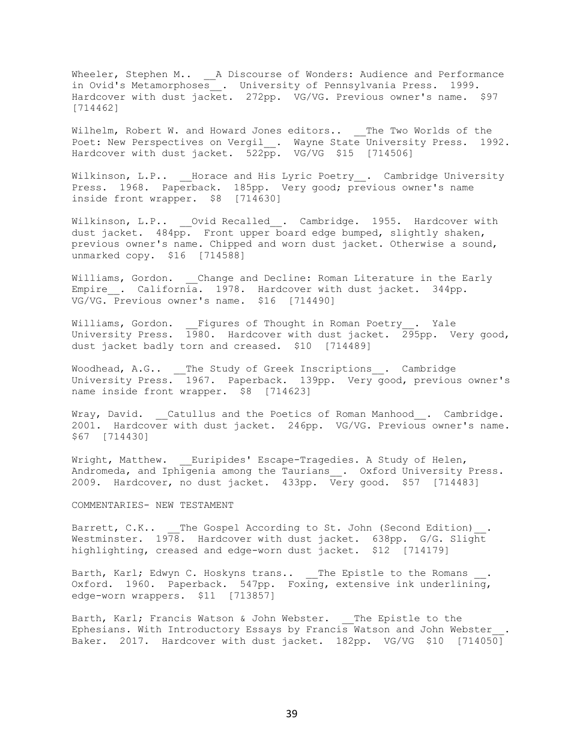Wheeler, Stephen M.. \_\_ A Discourse of Wonders: Audience and Performance in Ovid's Metamorphoses\_\_. University of Pennsylvania Press. 1999. Hardcover with dust jacket. 272pp. VG/VG. Previous owner's name. \$97 [714462]

Wilhelm, Robert W. and Howard Jones editors.. \_\_ The Two Worlds of the Poet: New Perspectives on Vergil . Wayne State University Press. 1992. Hardcover with dust jacket. 522pp. VG/VG \$15 [714506]

Wilkinson, L.P.. \_\_\_Horace and His Lyric Poetry\_\_. Cambridge University Press. 1968. Paperback. 185pp. Very good; previous owner's name inside front wrapper. \$8 [714630]

Wilkinson, L.P.. Ovid Recalled . Cambridge. 1955. Hardcover with dust jacket. 484pp. Front upper board edge bumped, slightly shaken, previous owner's name. Chipped and worn dust jacket. Otherwise a sound, unmarked copy. \$16 [714588]

Williams, Gordon. Change and Decline: Roman Literature in the Early Empire . California. 1978. Hardcover with dust jacket. 344pp. VG/VG. Previous owner's name. \$16 [714490]

Williams, Gordon. Figures of Thought in Roman Poetry . Yale University Press. 1980. Hardcover with dust jacket. 295pp. Very good, dust jacket badly torn and creased. \$10 [714489]

Woodhead, A.G.. \_\_The Study of Greek Inscriptions\_\_. Cambridge University Press. 1967. Paperback. 139pp. Very good, previous owner's name inside front wrapper. \$8 [714623]

Wray, David. Catullus and the Poetics of Roman Manhood. Cambridge. 2001. Hardcover with dust jacket. 246pp. VG/VG. Previous owner's name. \$67 [714430]

Wright, Matthew. Euripides' Escape-Tragedies. A Study of Helen, Andromeda, and Iphigenia among the Taurians\_\_. Oxford University Press. 2009. Hardcover, no dust jacket. 433pp. Very good. \$57 [714483]

COMMENTARIES- NEW TESTAMENT

Barrett, C.K.. The Gospel According to St. John (Second Edition) Westminster. 1978. Hardcover with dust jacket. 638pp. G/G. Slight highlighting, creased and edge-worn dust jacket. \$12 [714179]

Barth, Karl; Edwyn C. Hoskyns trans.. \_\_The Epistle to the Romans \_\_\_. Oxford. 1960. Paperback. 547pp. Foxing, extensive ink underlining, edge-worn wrappers. \$11 [713857]

Barth, Karl; Francis Watson & John Webster. \_\_The Epistle to the Ephesians. With Introductory Essays by Francis Watson and John Webster\_\_. Baker. 2017. Hardcover with dust jacket. 182pp. VG/VG \$10 [714050]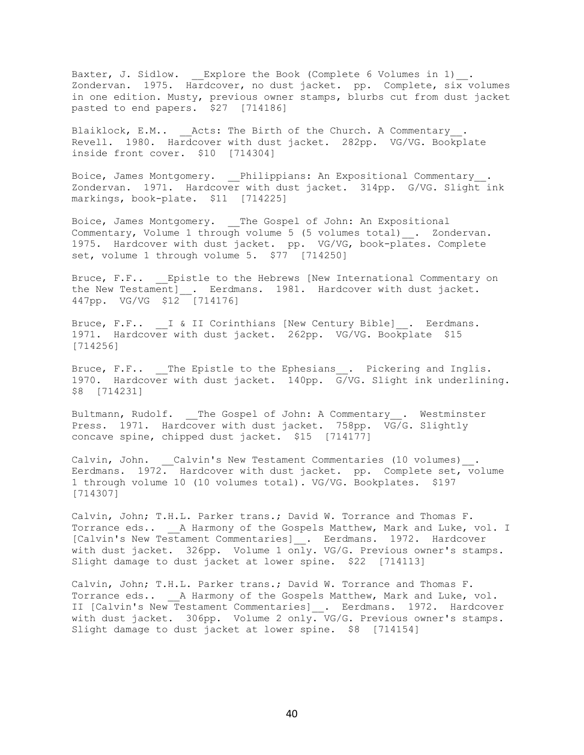Baxter, J. Sidlow. \_\_Explore the Book (Complete 6 Volumes in 1) \_\_. Zondervan. 1975. Hardcover, no dust jacket. pp. Complete,  $\sin \overline{x}$  volumes in one edition. Musty, previous owner stamps, blurbs cut from dust jacket pasted to end papers. \$27 [714186]

Blaiklock, E.M.. Acts: The Birth of the Church. A Commentary . Revell. 1980. Hardcover with dust jacket. 282pp. VG/VG. Bookplate inside front cover. \$10 [714304]

Boice, James Montgomery. \_\_Philippians: An Expositional Commentary\_\_. Zondervan. 1971. Hardcover with dust jacket. 314pp. G/VG. Slight ink markings, book-plate. \$11 [714225]

Boice, James Montgomery. \_\_The Gospel of John: An Expositional Commentary, Volume 1 through volume 5 (5 volumes total) . Zondervan. 1975. Hardcover with dust jacket. pp. VG/VG, book-plates. Complete set, volume 1 through volume 5. \$77 [714250]

Bruce, F.F.. Epistle to the Hebrews [New International Commentary on the New Testament] . Eerdmans. 1981. Hardcover with dust jacket. 447pp. VG/VG \$12 [714176]

Bruce, F.F.. I & II Corinthians [New Century Bible] . Eerdmans. 1971. Hardcover with dust jacket. 262pp. VG/VG. Bookplate \$15 [714256]

Bruce, F.F.. The Epistle to the Ephesians . Pickering and Inglis. 1970. Hardcover with dust jacket. 140pp. G/VG. Slight ink underlining. \$8 [714231]

Bultmann, Rudolf. The Gospel of John: A Commentary . Westminster Press. 1971. Hardcover with dust jacket. 758pp. VG/G. Slightly concave spine, chipped dust jacket. \$15 [714177]

Calvin, John. \_\_Calvin's New Testament Commentaries (10 volumes) . Eerdmans. 1972. Hardcover with dust jacket. pp. Complete set, volume 1 through volume 10 (10 volumes total). VG/VG. Bookplates. \$197 [714307]

Calvin, John; T.H.L. Parker trans.; David W. Torrance and Thomas F. Torrance eds.. A Harmony of the Gospels Matthew, Mark and Luke, vol. I [Calvin's New Testament Commentaries]\_. Eerdmans. 1972. Hardcover with dust jacket. 326pp. Volume 1 only. VG/G. Previous owner's stamps. Slight damage to dust jacket at lower spine. \$22 [714113]

Calvin, John; T.H.L. Parker trans.; David W. Torrance and Thomas F. Torrance eds.. \_\_A Harmony of the Gospels Matthew, Mark and Luke, vol. II [Calvin's New Testament Commentaries] . Eerdmans. 1972. Hardcover with dust jacket. 306pp. Volume 2 only. VG/G. Previous owner's stamps. Slight damage to dust jacket at lower spine. \$8 [714154]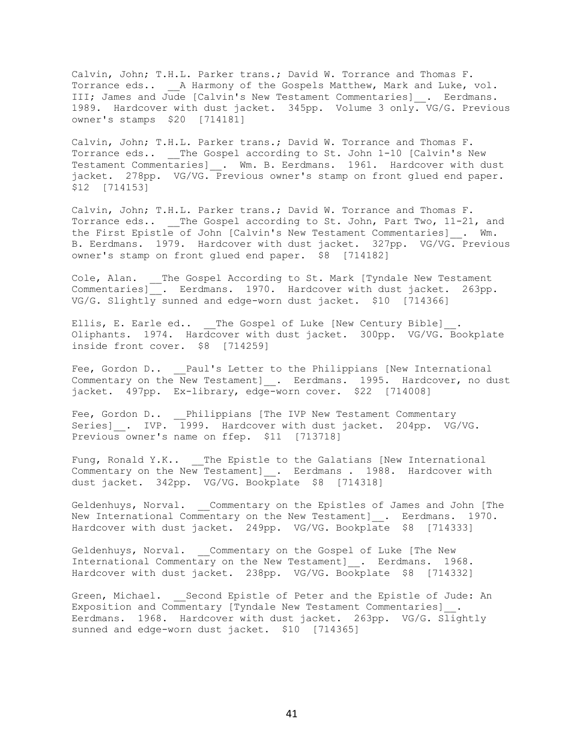Calvin, John; T.H.L. Parker trans.; David W. Torrance and Thomas F. Torrance eds.. \_\_A Harmony of the Gospels Matthew, Mark and Luke, vol. III; James and Jude [Calvin's New Testament Commentaries] \_. Eerdmans. 1989. Hardcover with dust jacket. 345pp. Volume 3 only. VG/G. Previous owner's stamps \$20 [714181]

Calvin, John; T.H.L. Parker trans.; David W. Torrance and Thomas F. Torrance eds.. The Gospel according to St. John 1-10 [Calvin's New Testament Commentaries] \_. Wm. B. Eerdmans. 1961. Hardcover with dust jacket. 278pp. VG/VG. Previous owner's stamp on front glued end paper. \$12 [714153]

Calvin, John; T.H.L. Parker trans.; David W. Torrance and Thomas F. Torrance eds.. The Gospel according to St. John, Part Two, 11-21, and the First Epistle of John [Calvin's New Testament Commentaries] . Wm. B. Eerdmans. 1979. Hardcover with dust jacket. 327pp. VG/VG. Previous owner's stamp on front glued end paper. \$8 [714182]

Cole, Alan. The Gospel According to St. Mark [Tyndale New Testament Commentaries]. Eerdmans. 1970. Hardcover with dust jacket. 263pp. VG/G. Slightly sunned and edge-worn dust jacket. \$10 [714366]

Ellis, E. Earle ed.. The Gospel of Luke [New Century Bible] Oliphants. 1974. Hardcover with dust jacket. 300pp. VG/VG. Bookplate inside front cover. \$8 [714259]

Fee, Gordon D.. Paul's Letter to the Philippians [New International Commentary on the New Testament] . Eerdmans. 1995. Hardcover, no dust jacket. 497pp. Ex-library, edge-worn cover. \$22 [714008]

Fee, Gordon D.. Philippians [The IVP New Testament Commentary Series] . IVP. 1999. Hardcover with dust jacket. 204pp. VG/VG. Previous owner's name on ffep. \$11 [713718]

Fung, Ronald Y.K.. The Epistle to the Galatians [New International Commentary on the New Testament]\_. Eerdmans . 1988. Hardcover with dust jacket. 342pp. VG/VG. Bookplate \$8 [714318]

Geldenhuys, Norval. Commentary on the Epistles of James and John [The New International Commentary on the New Testament] . Eerdmans. 1970. Hardcover with dust jacket. 249pp. VG/VG. Bookplate \$8 [714333]

Geldenhuys, Norval. Commentary on the Gospel of Luke [The New International Commentary on the New Testament] . Eerdmans. 1968. Hardcover with dust jacket. 238pp. VG/VG. Bookplate \$8 [714332]

Green, Michael. Second Epistle of Peter and the Epistle of Jude: An Exposition and Commentary [Tyndale New Testament Commentaries]\_\_. Eerdmans. 1968. Hardcover with dust jacket. 263pp. VG/G. Slightly sunned and edge-worn dust jacket. \$10 [714365]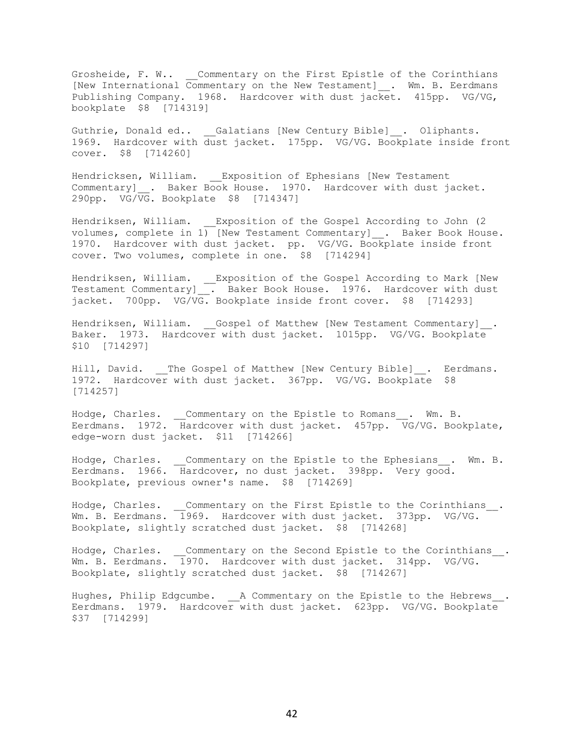Grosheide, F. W.. \_\_Commentary on the First Epistle of the Corinthians [New International Commentary on the New Testament]\_\_. Wm. B. Eerdmans Publishing Company. 1968. Hardcover with dust jacket. 415pp. VG/VG, bookplate \$8 [714319]

Guthrie, Donald ed.. Galatians [New Century Bible] . Oliphants. 1969. Hardcover with dust jacket. 175pp. VG/VG. Bookplate inside front cover. \$8 [714260]

Hendricksen, William. \_\_Exposition of Ephesians [New Testament Commentary] . Baker Book House. 1970. Hardcover with dust jacket. 290pp. VG/VG. Bookplate \$8 [714347]

Hendriksen, William. Exposition of the Gospel According to John (2) volumes, complete in 1) [New Testament Commentary] . Baker Book House. 1970. Hardcover with dust jacket. pp. VG/VG. Bookplate inside front cover. Two volumes, complete in one. \$8 [714294]

Hendriksen, William. \_\_Exposition of the Gospel According to Mark [New Testament Commentary]\_\_. Baker Book House. 1976. Hardcover with dust jacket. 700pp. VG/VG. Bookplate inside front cover. \$8 [714293]

Hendriksen, William. \_\_Gospel of Matthew [New Testament Commentary]\_\_. Baker. 1973. Hardcover with dust jacket. 1015pp. VG/VG. Bookplate \$10 [714297]

Hill, David. \_\_The Gospel of Matthew [New Century Bible] . Eerdmans. 1972. Hardcover with dust jacket. 367pp. VG/VG. Bookplate \$8 [714257]

Hodge, Charles. Commentary on the Epistle to Romans . Wm. B. Eerdmans. 1972. Hardcover with dust jacket. 457pp.  $\overline{VG/VG}$ . Bookplate, edge-worn dust jacket. \$11 [714266]

Hodge, Charles. \_\_Commentary on the Epistle to the Ephesians\_\_. Wm. B. Eerdmans. 1966. Hardcover, no dust jacket. 398pp. Very good. Bookplate, previous owner's name. \$8 [714269]

Hodge, Charles. \_\_Commentary on the First Epistle to the Corinthians\_\_. Wm. B. Eerdmans. 1969. Hardcover with dust jacket. 373pp. VG/VG. Bookplate, slightly scratched dust jacket. \$8 [714268]

Hodge, Charles. \_\_\_Commentary on the Second Epistle to the Corinthians . Wm. B. Eerdmans. 1970. Hardcover with dust jacket. 314pp. VG/VG. Bookplate, slightly scratched dust jacket. \$8 [714267]

Hughes, Philip Edgcumbe. A Commentary on the Epistle to the Hebrews. Eerdmans. 1979. Hardcover with dust jacket. 623pp. VG/VG. Bookplate \$37 [714299]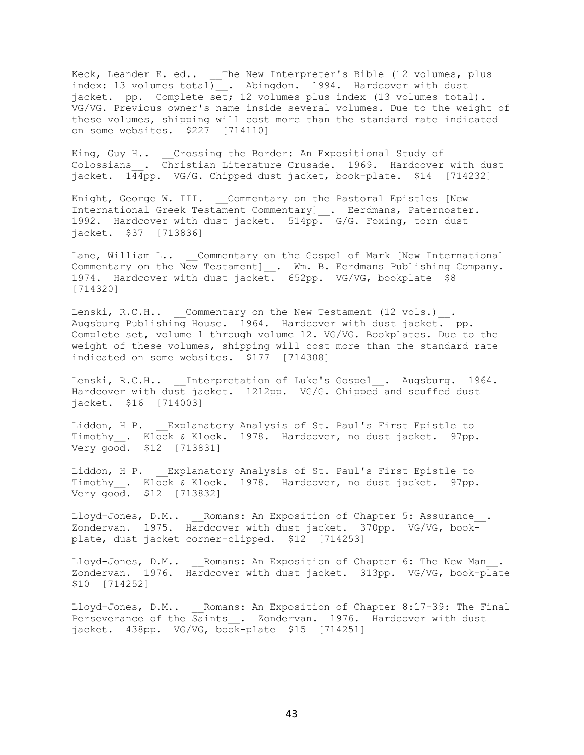Keck, Leander E. ed.. \_\_The New Interpreter's Bible (12 volumes, plus index: 13 volumes total) \_\_. Abingdon. 1994. Hardcover with dust jacket. pp. Complete set; 12 volumes plus index (13 volumes total). VG/VG. Previous owner's name inside several volumes. Due to the weight of these volumes, shipping will cost more than the standard rate indicated on some websites. \$227 [714110]

King, Guy H.. Crossing the Border: An Expositional Study of Colossians . Christian Literature Crusade. 1969. Hardcover with dust jacket. 144pp. VG/G. Chipped dust jacket, book-plate. \$14 [714232]

Knight, George W. III. Commentary on the Pastoral Epistles [New International Greek Testament Commentary] . Eerdmans, Paternoster. 1992. Hardcover with dust jacket. 514pp. G/G. Foxing, torn dust jacket. \$37 [713836]

Lane, William L.. \_\_Commentary on the Gospel of Mark [New International Commentary on the New Testament] \_. Wm. B. Eerdmans Publishing Company. 1974. Hardcover with dust jacket. 652pp. VG/VG, bookplate \$8 [714320]

Lenski, R.C.H.. \_\_Commentary on the New Testament (12 vols.)\_\_. Augsburg Publishing House. 1964. Hardcover with dust jacket. pp. Complete set, volume 1 through volume 12. VG/VG. Bookplates. Due to the weight of these volumes, shipping will cost more than the standard rate indicated on some websites. \$177 [714308]

Lenski, R.C.H.. Interpretation of Luke's Gospel . Augsburg. 1964. Hardcover with dust jacket. 1212pp. VG/G. Chipped and scuffed dust jacket. \$16 [714003]

Liddon, H P. Explanatory Analysis of St. Paul's First Epistle to Timothy<sub>\_\_</sub>. Klock & Klock. 1978. Hardcover, no dust jacket. 97pp. Very good. \$12 [713831]

Liddon, H P. \_\_Explanatory Analysis of St. Paul's First Epistle to Timothy . Klock & Klock. 1978. Hardcover, no dust jacket. 97pp. Very good. \$12 [713832]

Lloyd-Jones, D.M.. \_\_Romans: An Exposition of Chapter 5: Assurance\_\_. Zondervan. 1975. Hardcover with dust jacket. 370pp. VG/VG, bookplate, dust jacket corner-clipped. \$12 [714253]

Lloyd-Jones, D.M.. Romans: An Exposition of Chapter 6: The New Man Zondervan. 1976. Hardcover with dust jacket. 313pp. VG/VG, book-plate \$10 [714252]

Lloyd-Jones, D.M.. \_\_Romans: An Exposition of Chapter 8:17-39: The Final Perseverance of the Saints\_\_. Zondervan. 1976. Hardcover with dust jacket. 438pp. VG/VG, book-plate \$15 [714251]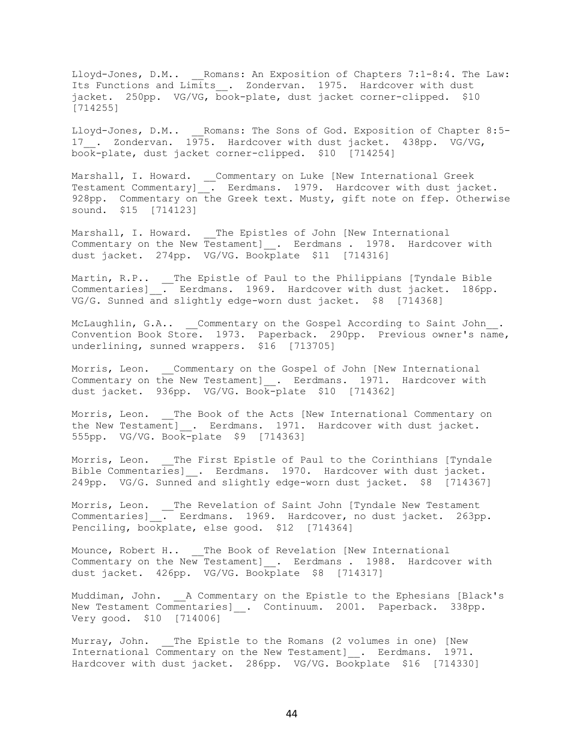Lloyd-Jones, D.M.. \_\_Romans: An Exposition of Chapters 7:1-8:4. The Law: Its Functions and Limits\_\_. Zondervan. 1975. Hardcover with dust jacket. 250pp. VG/VG, book-plate, dust jacket corner-clipped. \$10 [714255]

Lloyd-Jones, D.M.. Romans: The Sons of God. Exposition of Chapter 8:5-17 . Zondervan. 1975. Hardcover with dust jacket. 438pp. VG/VG, book-plate, dust jacket corner-clipped. \$10 [714254]

Marshall, I. Howard. \_\_Commentary on Luke [New International Greek Testament Commentary]\_\_. Eerdmans. 1979. Hardcover with dust jacket. 928pp. Commentary on the Greek text. Musty, gift note on ffep. Otherwise sound. \$15 [714123]

Marshall, I. Howard. \_\_The Epistles of John [New International Commentary on the New Testament] . Eerdmans . 1978. Hardcover with dust jacket. 274pp. VG/VG. Bookplate \$11 [714316]

Martin, R.P.. \_\_The Epistle of Paul to the Philippians [Tyndale Bible Commentaries]  $\overline{.}$  Eerdmans. 1969. Hardcover with dust jacket. 186pp. VG/G. Sunned and slightly edge-worn dust jacket. \$8 [714368]

McLaughlin, G.A.. Commentary on the Gospel According to Saint John. Convention Book Store. 1973. Paperback. 290pp. Previous owner's name, underlining, sunned wrappers. \$16 [713705]

Morris, Leon. Commentary on the Gospel of John [New International Commentary on the New Testament] . Eerdmans. 1971. Hardcover with dust jacket. 936pp. VG/VG. Book-plate \$10 [714362]

Morris, Leon. The Book of the Acts [New International Commentary on the New Testament] . Eerdmans. 1971. Hardcover with dust jacket. 555pp. VG/VG. Book-plate \$9 [714363]

Morris, Leon. The First Epistle of Paul to the Corinthians [Tyndale Bible Commentaries]\_\_. Eerdmans. 1970. Hardcover with dust jacket. 249pp. VG/G. Sunned and slightly edge-worn dust jacket. \$8 [714367]

Morris, Leon. \_\_The Revelation of Saint John [Tyndale New Testament Commentaries] . Eerdmans. 1969. Hardcover, no dust jacket. 263pp. Penciling, bookplate, else good. \$12 [714364]

Mounce, Robert H.. \_\_ The Book of Revelation [New International Commentary on the New Testament] . Eerdmans . 1988. Hardcover with dust jacket. 426pp. VG/VG. Bookplate \$8 [714317]

Muddiman, John. A Commentary on the Epistle to the Ephesians [Black's New Testament Commentaries] . Continuum. 2001. Paperback. 338pp. Very good. \$10 [714006]

Murray, John. The Epistle to the Romans (2 volumes in one) [New International Commentary on the New Testament] . Eerdmans. 1971. Hardcover with dust jacket. 286pp. VG/VG. Bookplate \$16 [714330]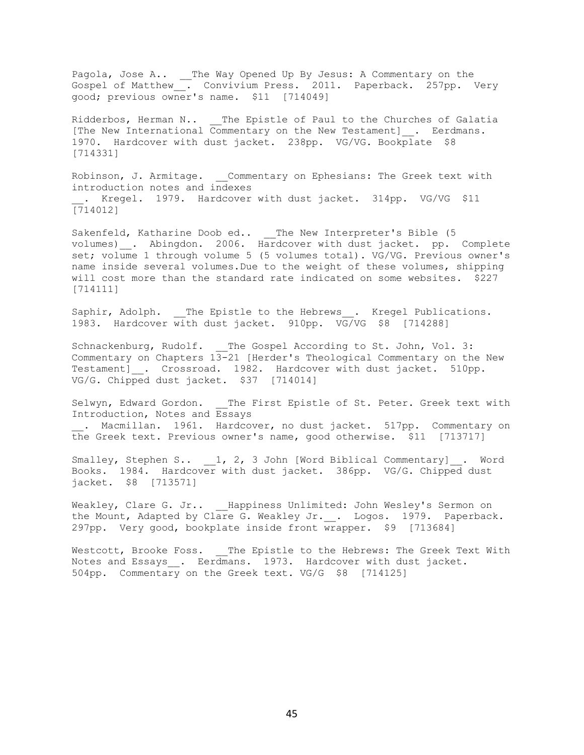Pagola, Jose A.. \_ The Way Opened Up By Jesus: A Commentary on the Gospel of Matthew\_\_. Convivium Press. 2011. Paperback. 257pp. Very good; previous owner's name. \$11 [714049]

Ridderbos, Herman N.. \_\_ The Epistle of Paul to the Churches of Galatia [The New International Commentary on the New Testament] . Eerdmans. 1970. Hardcover with dust jacket. 238pp. VG/VG. Bookplate \$8 [714331]

Robinson, J. Armitage. \_ Commentary on Ephesians: The Greek text with introduction notes and indexes . Kregel. 1979. Hardcover with dust jacket. 314pp. VG/VG \$11 [714012]

Sakenfeld, Katharine Doob ed.. The New Interpreter's Bible (5 volumes) \_. Abingdon. 2006. Hardcover with dust jacket. pp. Complete set; volume 1 through volume 5 (5 volumes total). VG/VG. Previous owner's name inside several volumes.Due to the weight of these volumes, shipping will cost more than the standard rate indicated on some websites. \$227 [714111]

Saphir, Adolph. \_\_The Epistle to the Hebrews\_\_. Kregel Publications. 1983. Hardcover with dust jacket. 910pp. VG/VG \$8 [714288]

Schnackenburg, Rudolf. The Gospel According to St. John, Vol. 3: Commentary on Chapters  $13-21$  [Herder's Theological Commentary on the New Testament] . Crossroad. 1982. Hardcover with dust jacket. 510pp. VG/G. Chipped dust jacket. \$37 [714014]

Selwyn, Edward Gordon. \_\_ The First Epistle of St. Peter. Greek text with Introduction, Notes and Essays . Macmillan. 1961. Hardcover, no dust jacket. 517pp. Commentary on the Greek text. Previous owner's name, good otherwise. \$11 [713717]

Smalley, Stephen S.. 1, 2, 3 John [Word Biblical Commentary] . Word Books. 1984. Hardcover with dust jacket. 386pp. VG/G. Chipped dust jacket. \$8 [713571]

Weakley, Clare G. Jr.. Happiness Unlimited: John Wesley's Sermon on the Mount, Adapted by Clare G. Weakley Jr. \_\_. Logos. 1979. Paperback. 297pp. Very good, bookplate inside front wrapper. \$9 [713684]

Westcott, Brooke Foss. \_\_ The Epistle to the Hebrews: The Greek Text With Notes and Essays . Eerdmans. 1973. Hardcover with dust jacket. 504pp. Commentary on the Greek text. VG/G \$8 [714125]

45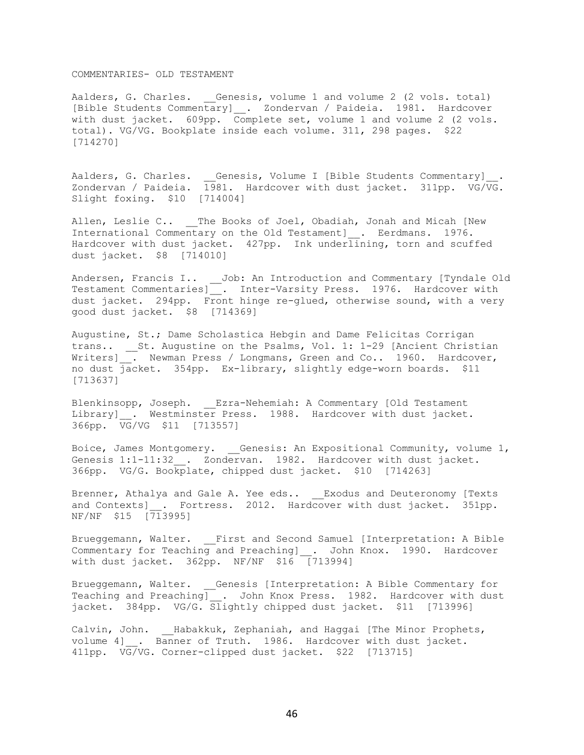## COMMENTARIES- OLD TESTAMENT

Aalders, G. Charles. Genesis, volume 1 and volume 2 (2 vols. total) [Bible Students Commentary]\_\_. Zondervan / Paideia. 1981. Hardcover with dust jacket. 609pp. Complete set, volume 1 and volume 2 (2 vols. total). VG/VG. Bookplate inside each volume. 311, 298 pages. \$22 [714270]

Aalders, G. Charles.  $\quad \_$  Genesis, Volume I [Bible Students Commentary] $\_\_$ . Zondervan / Paideia. 1981. Hardcover with dust jacket. 311pp. VG/VG. Slight foxing. \$10 [714004]

Allen, Leslie C.. The Books of Joel, Obadiah, Jonah and Micah [New International Commentary on the Old Testament] . Eerdmans. 1976. Hardcover with dust jacket. 427pp. Ink underlining, torn and scuffed dust jacket. \$8 [714010]

Andersen, Francis I.. \_\_ Job: An Introduction and Commentary [Tyndale Old Testament Commentaries]. Inter-Varsity Press. 1976. Hardcover with dust jacket. 294pp. Front hinge re-glued, otherwise sound, with a very good dust jacket. \$8 [714369]

Augustine, St.; Dame Scholastica Hebgin and Dame Felicitas Corrigan trans.. St. Augustine on the Psalms, Vol. 1: 1-29 [Ancient Christian Writers] . Newman Press / Longmans, Green and Co.. 1960. Hardcover, no dust jacket. 354pp. Ex-library, slightly edge-worn boards. \$11 [713637]

Blenkinsopp, Joseph. \_\_Ezra-Nehemiah: A Commentary [Old Testament Library] . Westminster Press. 1988. Hardcover with dust jacket. 366pp. VG/VG \$11 [713557]

Boice, James Montgomery. \_\_Genesis: An Expositional Community, volume 1, Genesis 1:1-11:32 . Zondervan. 1982. Hardcover with dust jacket. 366pp. VG/G. Bookplate, chipped dust jacket. \$10 [714263]

Brenner, Athalya and Gale A. Yee eds.. Exodus and Deuteronomy [Texts and Contexts] . Fortress. 2012. Hardcover with dust jacket. 351pp. NF/NF \$15 [713995]

Brueggemann, Walter. \_\_First and Second Samuel [Interpretation: A Bible Commentary for Teaching and Preaching] . John Knox. 1990. Hardcover with dust jacket. 362pp. NF/NF \$16 [713994]

Brueggemann, Walter. \_\_Genesis [Interpretation: A Bible Commentary for Teaching and Preaching] . John Knox Press. 1982. Hardcover with dust jacket. 384pp. VG/G. Slightly chipped dust jacket. \$11 [713996]

Calvin, John. Habakkuk, Zephaniah, and Haggai [The Minor Prophets, volume 4] . Banner of Truth. 1986. Hardcover with dust jacket. 411pp. VG/VG. Corner-clipped dust jacket. \$22 [713715]

46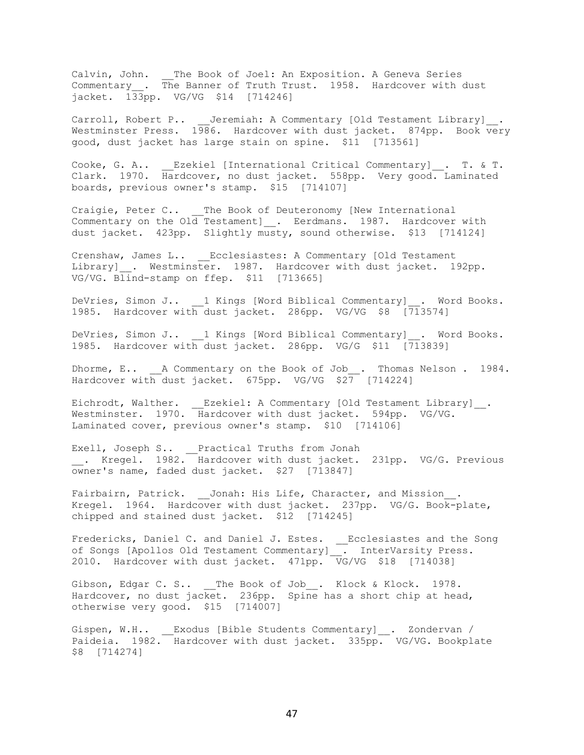Calvin, John. \_\_The Book of Joel: An Exposition. A Geneva Series Commentary\_\_. The Banner of Truth Trust. 1958. Hardcover with dust jacket. 133pp. VG/VG \$14 [714246]

Carroll, Robert P.. Jeremiah: A Commentary [Old Testament Library] . Westminster Press. 1986. Hardcover with dust jacket. 874pp. Book very good, dust jacket has large stain on spine. \$11 [713561]

Cooke, G. A.. \_\_Ezekiel [International Critical Commentary]\_\_. T. & T. Clark. 1970. Hardcover, no dust jacket. 558pp. Very good. Laminated boards, previous owner's stamp. \$15 [714107]

Craigie, Peter C.. The Book of Deuteronomy [New International Commentary on the  $01\overline{d}$  Testament] . Eerdmans. 1987. Hardcover with dust jacket. 423pp. Slightly musty, sound otherwise. \$13 [714124]

Crenshaw, James L.. \_\_Ecclesiastes: A Commentary [Old Testament Library] \_. Westminster. 1987. Hardcover with dust jacket. 192pp. VG/VG. Blind-stamp on ffep. \$11 [713665]

DeVries, Simon J.. 1 Kings [Word Biblical Commentary] \_\_. Word Books. 1985. Hardcover with dust jacket. 286pp. VG/VG \$8 [713574]

DeVries, Simon J.. \_\_1 Kings [Word Biblical Commentary]\_\_. Word Books. 1985. Hardcover with dust jacket. 286pp. VG/G \$11 [713839]

Dhorme, E.. A Commentary on the Book of Job\_\_. Thomas Nelson . 1984. Hardcover with dust jacket. 675pp. VG/VG \$27 [714224]

Eichrodt, Walther. \_\_Ezekiel: A Commentary [Old Testament Library]\_\_. Westminster. 1970. Hardcover with dust jacket. 594pp. VG/VG. Laminated cover, previous owner's stamp. \$10 [714106]

Exell, Joseph S.. \_\_Practical Truths from Jonah \_\_. Kregel. 1982. Hardcover with dust jacket. 231pp. VG/G. Previous owner's name, faded dust jacket. \$27 [713847]

Fairbairn, Patrick. Jonah: His Life, Character, and Mission. Kregel. 1964. Hardcover with dust jacket. 237pp. VG/G. Book-plate, chipped and stained dust jacket. \$12 [714245]

Fredericks, Daniel C. and Daniel J. Estes. \_\_Ecclesiastes and the Song of Songs [Apollos Old Testament Commentary] . InterVarsity Press. 2010. Hardcover with dust jacket. 471pp. VG/VG \$18 [714038]

Gibson, Edgar C. S.. The Book of Job . Klock & Klock. 1978. Hardcover, no dust jacket. 236pp. Spine has a short chip at head, otherwise very good. \$15 [714007]

Gispen, W.H.. Exodus [Bible Students Commentary] . Zondervan / Paideia. 1982. Hardcover with dust jacket. 335pp. VG/VG. Bookplate \$8 [714274]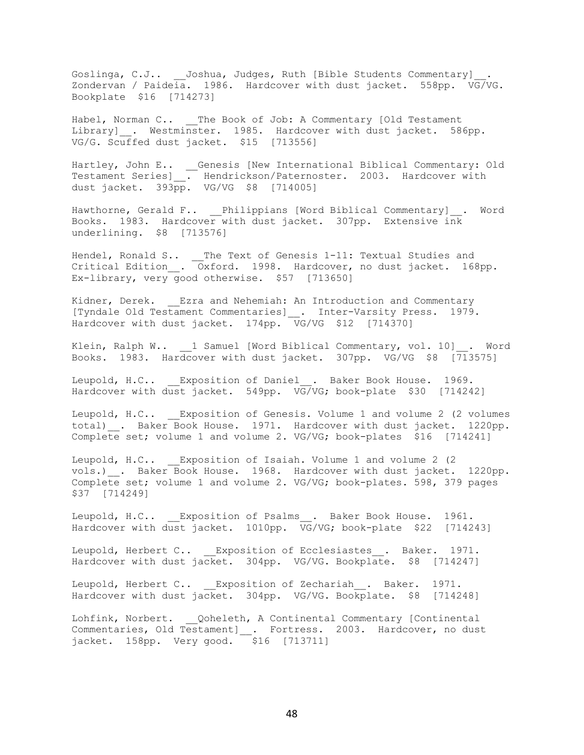Goslinga, C.J.. \_\_ Joshua, Judges, Ruth [Bible Students Commentary]\_. Zondervan / Paideia. 1986. Hardcover with dust jacket. 558pp. VG/VG. Bookplate \$16 [714273]

Habel, Norman C.. \_\_The Book of Job: A Commentary [Old Testament Library] . Westminster. 1985. Hardcover with dust jacket. 586pp. VG/G. Scuffed dust jacket. \$15 [713556]

Hartley, John E.. \_\_Genesis [New International Biblical Commentary: Old Testament Series]\_\_. Hendrickson/Paternoster. 2003. Hardcover with dust jacket. 393pp. VG/VG \$8 [714005]

Hawthorne, Gerald F.. Philippians [Word Biblical Commentary] . Word Books. 1983. Hardcover with dust jacket. 307pp. Extensive ink underlining. \$8 [713576]

Hendel, Ronald S.. \_\_The Text of Genesis 1-11: Textual Studies and Critical Edition\_\_. Oxford. 1998. Hardcover, no dust jacket. 168pp. Ex-library, very good otherwise. \$57 [713650]

Kidner, Derek. Ezra and Nehemiah: An Introduction and Commentary [Tyndale Old Testament Commentaries]\_\_. Inter-Varsity Press. 1979. Hardcover with dust jacket. 174pp. VG/VG \$12 [714370]

Klein, Ralph W.. 1 Samuel [Word Biblical Commentary, vol. 10] . Word Books. 1983. Hardcover with dust jacket. 307pp. VG/VG \$8 [713575]

Leupold, H.C.. Exposition of Daniel . Baker Book House. 1969. Hardcover with dust jacket. 549pp. VG/VG; book-plate \$30 [714242]

Leupold, H.C.. Exposition of Genesis. Volume 1 and volume 2 (2 volumes total) . Baker Book House. 1971. Hardcover with dust jacket. 1220pp. Complete set; volume 1 and volume 2. VG/VG; book-plates  $$16$  [714241]

Leupold, H.C.. Exposition of Isaiah. Volume 1 and volume 2 (2) vols.) \_. Baker Book House. 1968. Hardcover with dust jacket. 1220pp. Complete set; volume 1 and volume 2. VG/VG; book-plates. 598, 379 pages \$37 [714249]

Leupold, H.C.. Exposition of Psalms . Baker Book House. 1961. Hardcover with dust jacket. 1010pp. VG/VG; book-plate \$22 [714243]

Leupold, Herbert C.. Exposition of Ecclesiastes . Baker. 1971. Hardcover with dust jacket. 304pp. VG/VG. Bookplate. \$8 [714247]

Leupold, Herbert C.. Exposition of Zechariah . Baker. 1971. Hardcover with dust jacket. 304pp. VG/VG. Bookplate. \$8 [714248]

Lohfink, Norbert. Qoheleth, A Continental Commentary [Continental Commentaries, Old Testament]\_\_. Fortress. 2003. Hardcover, no dust jacket. 158pp. Very good. \$16 [713711]

48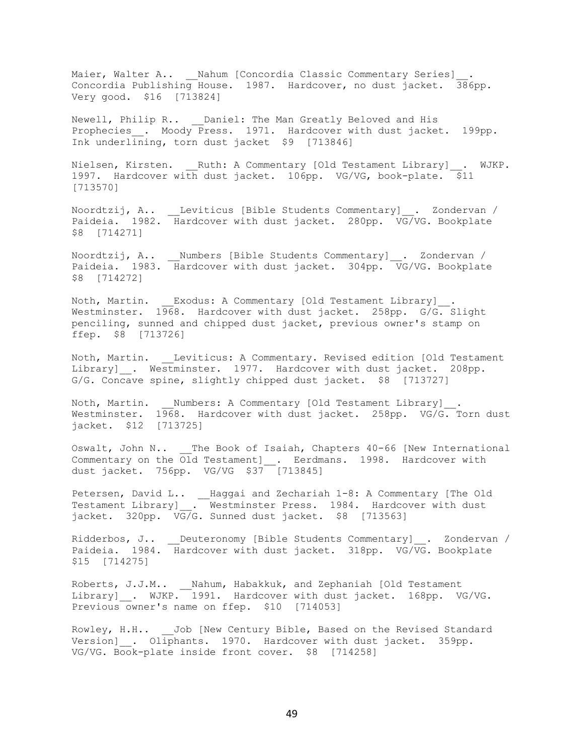Maier, Walter A.. \_\_Nahum [Concordia Classic Commentary Series]\_\_. Concordia Publishing House. 1987. Hardcover, no dust jacket. 386pp. Very good. \$16 [713824]

Newell, Philip R.. Daniel: The Man Greatly Beloved and His Prophecies . Moody Press. 1971. Hardcover with dust jacket. 199pp. Ink underlining, torn dust jacket \$9 [713846]

Nielsen, Kirsten. Ruth: A Commentary [Old Testament Library] . WJKP. 1997. Hardcover with dust jacket. 106pp. VG/VG, book-plate. \$11 [713570]

Noordtzij, A.. \_\_Leviticus [Bible Students Commentary]\_\_. Zondervan / Paideia. 1982. Hardcover with dust jacket. 280pp. VG/VG. Bookplate \$8 [714271]

Noordtzij, A.. \_\_Numbers [Bible Students Commentary]\_\_. Zondervan / Paideia. 1983. Hardcover with dust jacket. 304pp. VG/VG. Bookplate \$8 [714272]

Noth, Martin. Exodus: A Commentary [Old Testament Library] . Westminster. 1968. Hardcover with dust jacket. 258pp. G/G. Slight penciling, sunned and chipped dust jacket, previous owner's stamp on ffep. \$8 [713726]

Noth, Martin. Leviticus: A Commentary. Revised edition [Old Testament Library] . Westminster. 1977. Hardcover with dust jacket. 208pp. G/G. Concave spine, slightly chipped dust jacket. \$8 [713727]

Noth, Martin. \_\_Numbers: A Commentary [Old Testament Library] Westminster. 1968. Hardcover with dust jacket. 258pp. VG/G. Torn dust jacket. \$12 [713725]

Oswalt, John N.. The Book of Isaiah, Chapters 40-66 [New International Commentary on the Old Testament]\_. Eerdmans. 1998. Hardcover with dust jacket. 756pp. VG/VG \$37 [713845]

Petersen, David L.. \_\_Haggai and Zechariah 1-8: A Commentary [The Old Testament Library] . Westminster Press. 1984. Hardcover with dust jacket. 320pp. VG/G. Sunned dust jacket. \$8 [713563]

Ridderbos, J.. \_\_Deuteronomy [Bible Students Commentary] . Zondervan / Paideia. 1984. Hardcover with dust jacket. 318pp. VG/VG. Bookplate \$15 [714275]

Roberts, J.J.M.. \_\_ Nahum, Habakkuk, and Zephaniah [Old Testament Library] . WJKP. 1991. Hardcover with dust jacket. 168pp. VG/VG. Previous owner's name on ffep. \$10 [714053]

Rowley, H.H.. Job [New Century Bible, Based on the Revised Standard Version] . Oliphants. 1970. Hardcover with dust jacket. 359pp. VG/VG. Book-plate inside front cover. \$8 [714258]

49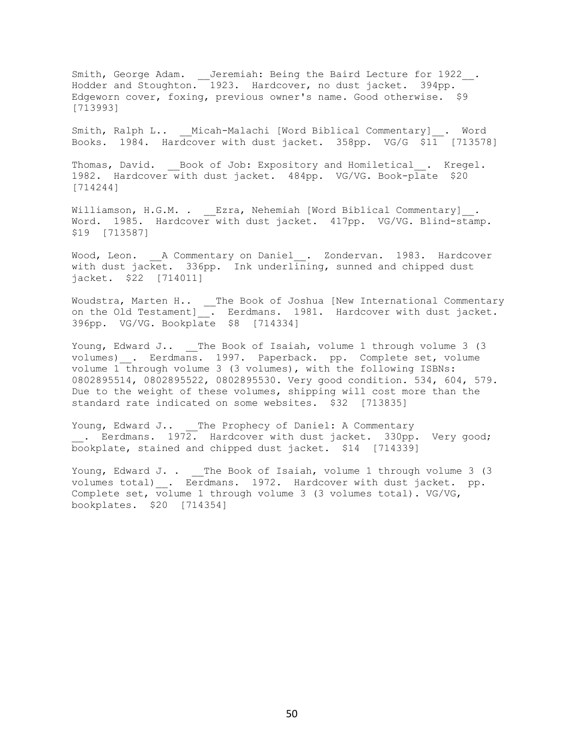Smith, George Adam. \_\_Jeremiah: Being the Baird Lecture for 1922\_\_. Hodder and Stoughton. 1923. Hardcover, no dust jacket. 394pp. Edgeworn cover, foxing, previous owner's name. Good otherwise. \$9 [713993]

Smith, Ralph L.. Micah-Malachi [Word Biblical Commentary] . Word Books. 1984. Hardcover with dust jacket. 358pp. VG/G \$11 [713578]

Thomas, David. \_\_Book of Job: Expository and Homiletical\_\_. Kregel. 1982. Hardcover with dust jacket. 484pp. VG/VG. Book-plate \$20 [714244]

Williamson, H.G.M. . Ezra, Nehemiah [Word Biblical Commentary] . Word. 1985. Hardcover with dust jacket. 417pp. VG/VG. Blind-stamp. \$19 [713587]

Wood, Leon. \_\_A Commentary on Daniel\_\_. Zondervan. 1983. Hardcover with dust jacket. 336pp. Ink underlining, sunned and chipped dust jacket. \$22 [714011]

Woudstra, Marten H.. \_\_The Book of Joshua [New International Commentary on the Old Testament]\_\_. Eerdmans. 1981. Hardcover with dust jacket. 396pp. VG/VG. Bookplate \$8 [714334]

Young, Edward J.. The Book of Isaiah, volume 1 through volume 3 (3 volumes) . Eerdmans. 1997. Paperback. pp. Complete set, volume volume 1 through volume 3 (3 volumes), with the following ISBNs: 0802895514, 0802895522, 0802895530. Very good condition. 534, 604, 579. Due to the weight of these volumes, shipping will cost more than the standard rate indicated on some websites. \$32 [713835]

Young, Edward J.. The Prophecy of Daniel: A Commentary . Eerdmans.  $1972.$  Hardcover with dust jacket. 330pp. Very good; bookplate, stained and chipped dust jacket. \$14 [714339]

Young, Edward J. . \_\_The Book of Isaiah, volume 1 through volume 3 (3 volumes total) \_\_. Eerdmans. 1972. Hardcover with dust jacket. pp. Complete set, volume 1 through volume 3 (3 volumes total). VG/VG, bookplates. \$20 [714354]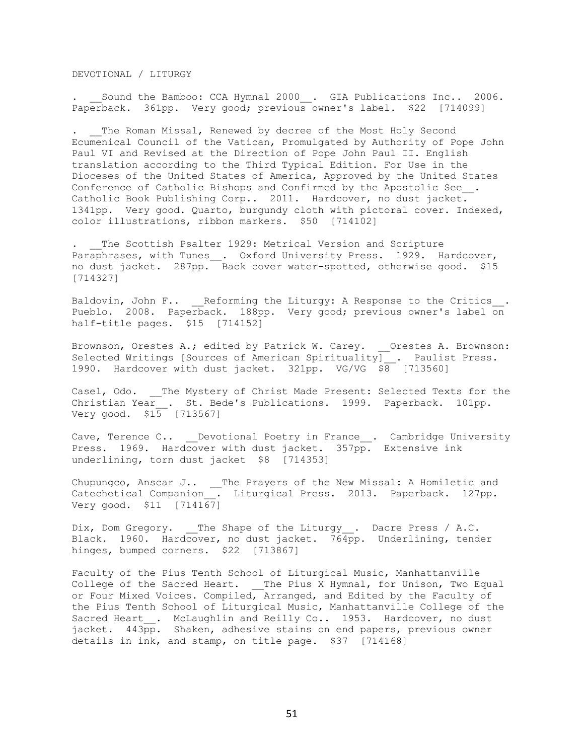DEVOTIONAL / LITURGY

Sound the Bamboo: CCA Hymnal 2000\_\_. GIA Publications Inc.. 2006. Paperback. 361pp. Very good; previous owner's label. \$22 [714099]

The Roman Missal, Renewed by decree of the Most Holy Second Ecumenical Council of the Vatican, Promulgated by Authority of Pope John Paul VI and Revised at the Direction of Pope John Paul II. English translation according to the Third Typical Edition. For Use in the Dioceses of the United States of America, Approved by the United States Conference of Catholic Bishops and Confirmed by the Apostolic See\_\_. Catholic Book Publishing Corp.. 2011. Hardcover, no dust jacket. 1341pp. Very good. Quarto, burgundy cloth with pictoral cover. Indexed, color illustrations, ribbon markers. \$50 [714102]

. The Scottish Psalter 1929: Metrical Version and Scripture Paraphrases, with Tunes\_\_. Oxford University Press. 1929. Hardcover, no dust jacket. 287pp. Back cover water-spotted, otherwise good. \$15 [714327]

Baldovin, John F.. Reforming the Liturgy: A Response to the Critics . Pueblo. 2008. Paperback. 188pp. Very good; previous owner's label on half-title pages. \$15 [714152]

Brownson, Orestes A.; edited by Patrick W. Carey. Orestes A. Brownson: Selected Writings [Sources of American Spirituality] \_. Paulist Press. 1990. Hardcover with dust jacket. 321pp. VG/VG \$8 [713560]

Casel, Odo. \_\_The Mystery of Christ Made Present: Selected Texts for the Christian Year . St. Bede's Publications. 1999. Paperback. 101pp. Very good. \$15 [713567]

Cave, Terence C.. \_\_Devotional Poetry in France\_\_. Cambridge University Press. 1969. Hardcover with dust jacket. 357pp. Extensive ink underlining, torn dust jacket \$8 [714353]

Chupungco, Anscar J.. \_\_The Prayers of the New Missal: A Homiletic and Catechetical Companion\_\_. Liturgical Press. 2013. Paperback. 127pp. Very good. \$11 [714167]

Dix, Dom Gregory. The Shape of the Liturgy\_\_. Dacre Press / A.C. Black. 1960. Hardcover, no dust jacket. 764pp. Underlining, tender hinges, bumped corners. \$22 [713867]

Faculty of the Pius Tenth School of Liturgical Music, Manhattanville College of the Sacred Heart. \_\_The Pius X Hymnal, for Unison, Two Equal or Four Mixed Voices. Compiled, Arranged, and Edited by the Faculty of the Pius Tenth School of Liturgical Music, Manhattanville College of the Sacred Heart . McLaughlin and Reilly Co.. 1953. Hardcover, no dust jacket. 443pp. Shaken, adhesive stains on end papers, previous owner details in ink, and stamp, on title page. \$37 [714168]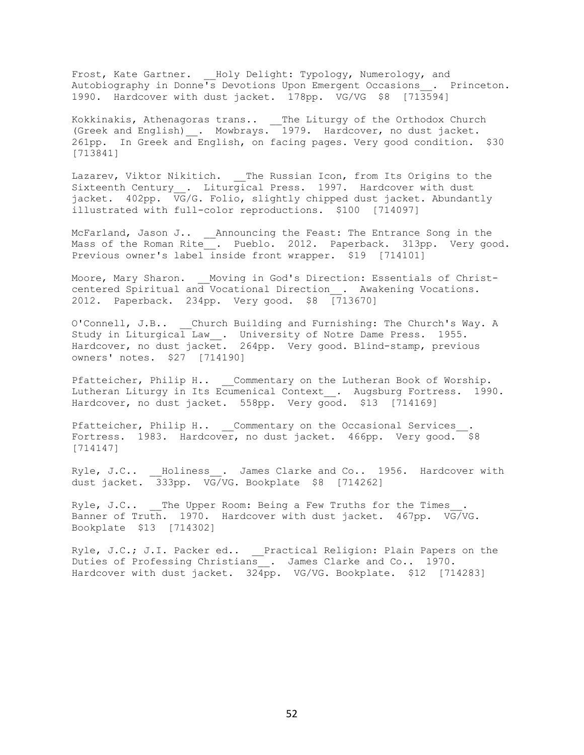Frost, Kate Gartner. Holy Delight: Typology, Numerology, and Autobiography in Donne's Devotions Upon Emergent Occasions\_\_. Princeton. 1990. Hardcover with dust jacket. 178pp. VG/VG \$8 [713594]

Kokkinakis, Athenagoras trans.. \_\_The Liturgy of the Orthodox Church (Greek and English)\_\_. Mowbrays. 1979. Hardcover, no dust jacket. 261pp. In Greek and English, on facing pages. Very good condition. \$30 [713841]

Lazarev, Viktor Nikitich. \_\_The Russian Icon, from Its Origins to the Sixteenth Century . Liturgical Press. 1997. Hardcover with dust jacket. 402pp. VG/G. Folio, slightly chipped dust jacket. Abundantly illustrated with full-color reproductions. \$100 [714097]

McFarland, Jason J.. \_\_\_Announcing the Feast: The Entrance Song in the Mass of the Roman Rite . Pueblo. 2012. Paperback. 313pp. Very good. Previous owner's label inside front wrapper. \$19 [714101]

Moore, Mary Sharon. \_\_ Moving in God's Direction: Essentials of Christcentered Spiritual and Vocational Direction\_\_. Awakening Vocations. 2012. Paperback. 234pp. Very good. \$8 [713670]

O'Connell, J.B.. \_\_Church Building and Furnishing: The Church's Way. A Study in Liturgical Law\_\_. University of Notre Dame Press. 1955. Hardcover, no dust jacket. 264pp. Very good. Blind-stamp, previous owners' notes. \$27 [714190]

Pfatteicher, Philip H.. Commentary on the Lutheran Book of Worship. Lutheran Liturgy in Its Ecumenical Context\_\_. Augsburg Fortress. 1990. Hardcover, no dust jacket. 558pp. Very good. \$13 [714169]

Pfatteicher, Philip H.. Commentary on the Occasional Services Fortress. 1983. Hardcover, no dust jacket. 466pp. Very good. \$8 [714147]

Ryle, J.C.. \_\_Holiness\_\_. James Clarke and Co.. 1956. Hardcover with dust jacket. 333pp. VG/VG. Bookplate \$8 [714262]

Ryle, J.C.. The Upper Room: Being a Few Truths for the Times Banner of Truth. 1970. Hardcover with dust jacket. 467pp. VG/VG. Bookplate \$13 [714302]

Ryle, J.C.; J.I. Packer ed.. \_\_Practical Religion: Plain Papers on the Duties of Professing Christians . James Clarke and Co.. 1970. Hardcover with dust jacket. 324pp. VG/VG. Bookplate. \$12 [714283]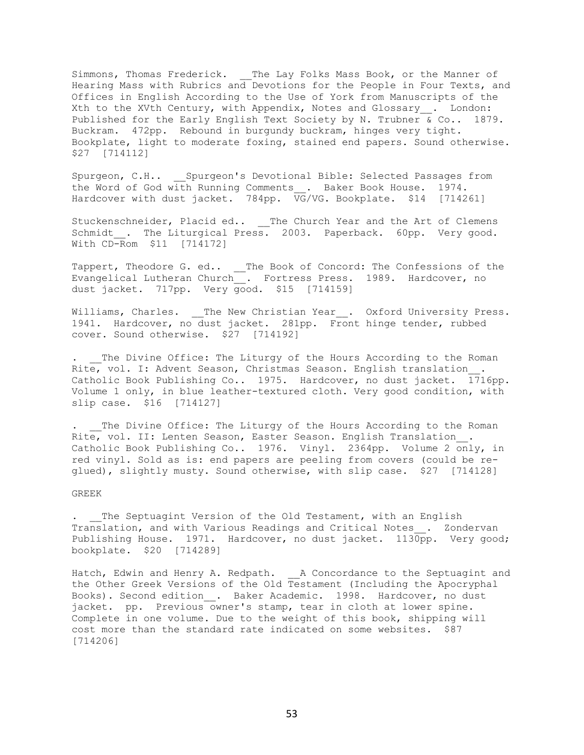Simmons, Thomas Frederick. \_\_The Lay Folks Mass Book, or the Manner of Hearing Mass with Rubrics and Devotions for the People in Four Texts, and Offices in English According to the Use of York from Manuscripts of the Xth to the XVth Century, with Appendix, Notes and Glossary . London: Published for the Early English Text Society by N. Trubner & Co.. 1879. Buckram. 472pp. Rebound in burgundy buckram, hinges very tight. Bookplate, light to moderate foxing, stained end papers. Sound otherwise. \$27 [714112]

Spurgeon, C.H.. \_\_Spurgeon's Devotional Bible: Selected Passages from the Word of God with Running Comments . Baker Book House. 1974. Hardcover with dust jacket. 784pp. VG/VG. Bookplate. \$14 [714261]

Stuckenschneider, Placid ed.. \_\_The Church Year and the Art of Clemens Schmidt . The Liturgical Press. 2003. Paperback. 60pp. Very good. With CD-Rom \$11 [714172]

Tappert, Theodore G. ed.. \_\_The Book of Concord: The Confessions of the Evangelical Lutheran Church\_\_. Fortress Press. 1989. Hardcover, no dust jacket. 717pp. Very good. \$15 [714159]

Williams, Charles. \_\_The New Christian Year\_\_. Oxford University Press. 1941. Hardcover, no dust jacket. 281pp. Front hinge tender, rubbed cover. Sound otherwise. \$27 [714192]

The Divine Office: The Liturgy of the Hours According to the Roman Rite, vol. I: Advent Season, Christmas Season. English translation . Catholic Book Publishing Co.. 1975. Hardcover, no dust jacket. 1716pp. Volume 1 only, in blue leather-textured cloth. Very good condition, with slip case. \$16 [714127]

. The Divine Office: The Liturgy of the Hours According to the Roman Rite, vol. II: Lenten Season, Easter Season. English Translation . Catholic Book Publishing Co.. 1976. Vinyl. 2364pp. Volume 2 only, in red vinyl. Sold as is: end papers are peeling from covers (could be reglued), slightly musty. Sound otherwise, with slip case. \$27 [714128]

# GREEK

. The Septuagint Version of the Old Testament, with an English Translation, and with Various Readings and Critical Notes . Zondervan Publishing House. 1971. Hardcover, no dust jacket. 1130pp. Very good; bookplate. \$20 [714289]

Hatch, Edwin and Henry A. Redpath. A Concordance to the Septuagint and the Other Greek Versions of the Old Testament (Including the Apocryphal Books). Second edition . Baker Academic. 1998. Hardcover, no dust jacket. pp. Previous owner's stamp, tear in cloth at lower spine. Complete in one volume. Due to the weight of this book, shipping will cost more than the standard rate indicated on some websites. \$87 [714206]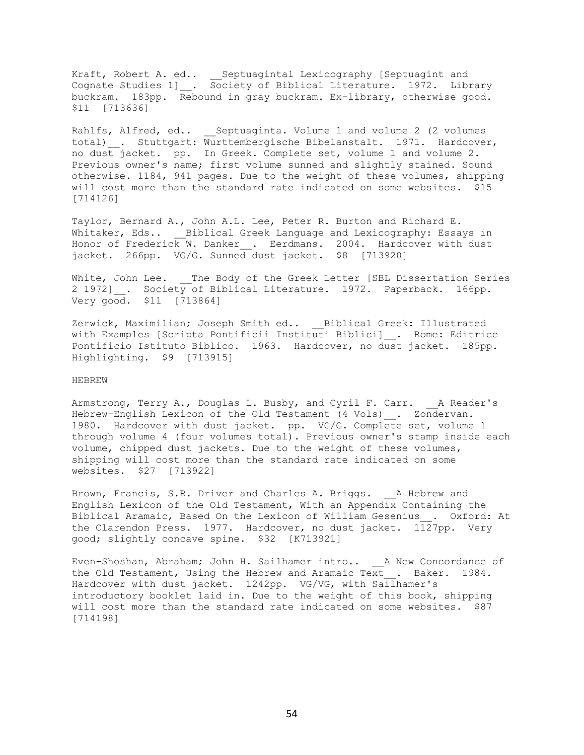Kraft, Robert A. ed.. \_\_Septuagintal Lexicography [Septuagint and Cognate Studies 1]\_\_. Society of Biblical Literature. 1972. Library buckram. 183pp. Rebound in gray buckram. Ex-library, otherwise good. \$11 [713636]

Rahlfs, Alfred, ed.. Septuaginta. Volume 1 and volume 2 (2 volumes total) . Stuttgart: Wurttembergische Bibelanstalt. 1971. Hardcover, no dust jacket. pp. In Greek. Complete set, volume 1 and volume 2. Previous owner's name; first volume sunned and slightly stained. Sound otherwise. 1184, 941 pages. Due to the weight of these volumes, shipping will cost more than the standard rate indicated on some websites. \$15 [714126]

Taylor, Bernard A., John A.L. Lee, Peter R. Burton and Richard E. Whitaker, Eds.. \_\_\_ Biblical Greek Language and Lexicography: Essays in Honor of Frederick W. Danker . Eerdmans. 2004. Hardcover with dust jacket. 266pp. VG/G. Sunned dust jacket. \$8 [713920]

White, John Lee. The Body of the Greek Letter [SBL Dissertation Series 2 1972] . Society of Biblical Literature. 1972. Paperback. 166pp. Very good. \$11 [713864]

Zerwick, Maximilian; Joseph Smith ed.. \_\_Biblical Greek: Illustrated with Examples [Scripta Pontificii Instituti Biblici] . Rome: Editrice Pontificio Istituto Biblico. 1963. Hardcover, no dust jacket. 185pp. Highlighting. \$9 [713915]

#### HEBREW

Armstrong, Terry A., Douglas L. Busby, and Cyril F. Carr. \_\_A Reader's Hebrew-English Lexicon of the Old Testament (4 Vols) . Zondervan. 1980. Hardcover with dust jacket. pp. VG/G. Complete set, volume 1 through volume 4 (four volumes total). Previous owner's stamp inside each volume, chipped dust jackets. Due to the weight of these volumes, shipping will cost more than the standard rate indicated on some websites. \$27 [713922]

Brown, Francis, S.R. Driver and Charles A. Briggs. A Hebrew and English Lexicon of the Old Testament, With an Appendix Containing the Biblical Aramaic, Based On the Lexicon of William Gesenius\_\_. Oxford: At the Clarendon Press. 1977. Hardcover, no dust jacket. 1127pp. Very good; slightly concave spine. \$32 [K713921]

Even-Shoshan, Abraham; John H. Sailhamer intro.. A New Concordance of the Old Testament, Using the Hebrew and Aramaic Te $\overline{x}t$  . Baker. 1984. Hardcover with dust jacket. 1242pp. VG/VG, with Sailhamer's introductory booklet laid in. Due to the weight of this book, shipping will cost more than the standard rate indicated on some websites. \$87 [714198]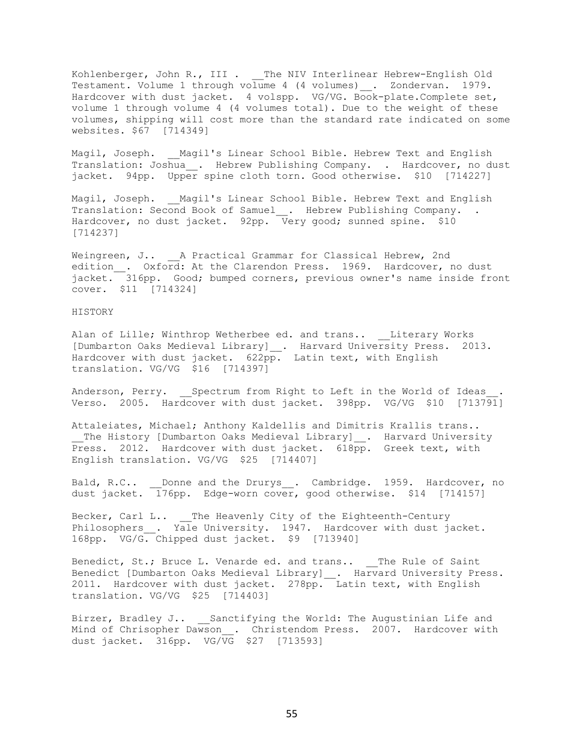Kohlenberger, John R., III . \_\_The NIV Interlinear Hebrew-English Old Testament. Volume 1 through volume 4 (4 volumes) \_\_. Zondervan. 1979. Hardcover with dust jacket. 4 volspp. VG/VG. Book-plate.Complete set, volume 1 through volume 4 (4 volumes total). Due to the weight of these volumes, shipping will cost more than the standard rate indicated on some websites. \$67 [714349]

Magil, Joseph. Magil's Linear School Bible. Hebrew Text and English Translation: Joshua . Hebrew Publishing Company. . Hardcover, no dust jacket. 94pp. Upper spine cloth torn. Good otherwise. \$10 [714227]

Magil, Joseph. Magil's Linear School Bible. Hebrew Text and English Translation: Second Book of Samuel . Hebrew Publishing Company. . Hardcover, no dust jacket. 92pp. Very good; sunned spine. \$10 [714237]

Weingreen, J.. A Practical Grammar for Classical Hebrew, 2nd edition\_. Oxford: At the Clarendon Press. 1969. Hardcover, no dust jacket. 316pp. Good; bumped corners, previous owner's name inside front cover. \$11 [714324]

#### HISTORY

Alan of Lille; Winthrop Wetherbee ed. and trans.. Literary Works [Dumbarton Oaks Medieval Library] . Harvard University Press. 2013. Hardcover with dust jacket. 622pp. Latin text, with English translation. VG/VG \$16 [714397]

Anderson, Perry. Spectrum from Right to Left in the World of Ideas Verso. 2005. Hardcover with dust jacket. 398pp. VG/VG \$10 [713791]

Attaleiates, Michael; Anthony Kaldellis and Dimitris Krallis trans.. \_\_The History [Dumbarton Oaks Medieval Library]\_\_. Harvard University Press. 2012. Hardcover with dust jacket. 618pp. Greek text, with English translation. VG/VG \$25 [714407]

Bald, R.C.. Donne and the Drurys . Cambridge. 1959. Hardcover, no dust jacket. 176pp. Edge-worn cover, good otherwise. \$14 [714157]

Becker, Carl L.. \_\_The Heavenly City of the Eighteenth-Century Philosophers\_\_. Yale University. 1947. Hardcover with dust jacket. 168pp. VG/G. Chipped dust jacket. \$9 [713940]

Benedict, St.; Bruce L. Venarde ed. and trans.. \_\_The Rule of Saint Benedict [Dumbarton Oaks Medieval Library] \_\_. Harvard University Press. 2011. Hardcover with dust jacket. 278pp. Latin text, with English translation. VG/VG \$25 [714403]

Birzer, Bradley J.. \_\_ Sanctifying the World: The Augustinian Life and Mind of Chrisopher Dawson . Christendom Press. 2007. Hardcover with dust jacket. 316pp. VG/VG \$27 [713593]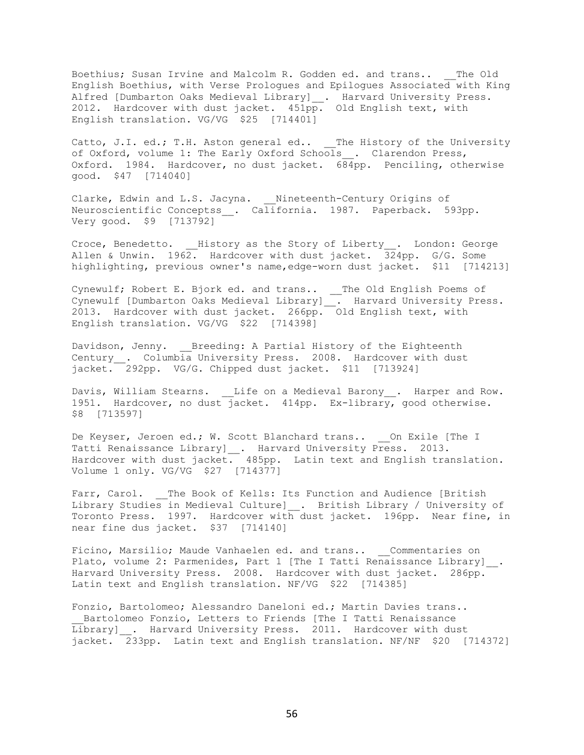Boethius; Susan Irvine and Malcolm R. Godden ed. and trans.. The Old English Boethius, with Verse Prologues and Epilogues Associated with King Alfred [Dumbarton Oaks Medieval Library]\_. Harvard University Press. 2012. Hardcover with dust jacket. 451pp. Old English text, with English translation. VG/VG \$25 [714401]

Catto, J.I. ed.; T.H. Aston general ed.. The History of the University of Oxford, volume 1: The Early Oxford Schools . Clarendon Press, Oxford. 1984. Hardcover, no dust jacket. 684pp. Penciling, otherwise good. \$47 [714040]

Clarke, Edwin and L.S. Jacyna. \_\_ Nineteenth-Century Origins of Neuroscientific Conceptss . California. 1987. Paperback. 593pp. Very good. \$9 [713792]

Croce, Benedetto. \_\_History as the Story of Liberty\_\_. London: George Allen & Unwin. 1962. Hardcover with dust jacket. 324pp. G/G. Some highlighting, previous owner's name,edge-worn dust jacket. \$11 [714213]

Cynewulf; Robert E. Bjork ed. and trans.. \_\_The Old English Poems of Cynewulf [Dumbarton Oaks Medieval Library]\_\_. Harvard University Press. 2013. Hardcover with dust jacket. 266pp. Old English text, with English translation. VG/VG \$22 [714398]

Davidson, Jenny. Breeding: A Partial History of the Eighteenth Century\_\_. Columbia University Press. 2008. Hardcover with dust jacket. 292pp. VG/G. Chipped dust jacket. \$11 [713924]

Davis, William Stearns. Life on a Medieval Barony\_\_. Harper and Row. 1951. Hardcover, no dust jacket. 414pp. Ex-library, good otherwise. \$8 [713597]

De Keyser, Jeroen ed.; W. Scott Blanchard trans.. \_\_ On Exile [The I Tatti Renaissance Library]\_. Harvard University Press. 2013. Hardcover with dust jacket. 485pp. Latin text and English translation. Volume 1 only. VG/VG \$27 [714377]

Farr, Carol. \_\_The Book of Kells: Its Function and Audience [British Library Studies in Medieval Culture] . British Library / University of Toronto Press. 1997. Hardcover with dust jacket. 196pp. Near fine, in near fine dus jacket. \$37 [714140]

Ficino, Marsilio; Maude Vanhaelen ed. and trans.. Commentaries on Plato, volume 2: Parmenides, Part 1 [The I Tatti Renaissance Library] . Harvard University Press. 2008. Hardcover with dust jacket. 286pp. Latin text and English translation. NF/VG \$22 [714385]

Fonzio, Bartolomeo; Alessandro Daneloni ed.; Martin Davies trans.. Bartolomeo Fonzio, Letters to Friends [The I Tatti Renaissance Library] . Harvard University Press. 2011. Hardcover with dust jacket. 233pp. Latin text and English translation. NF/NF \$20 [714372]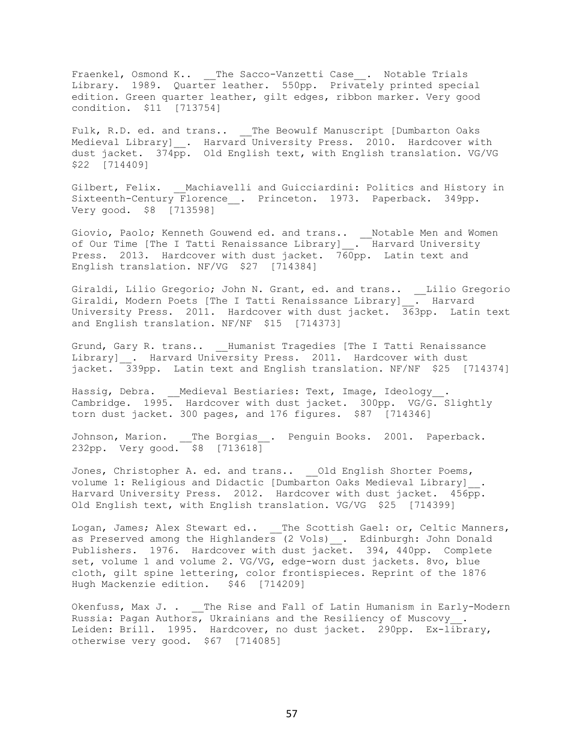Fraenkel, Osmond K.. \_\_The Sacco-Vanzetti Case\_\_. Notable Trials Library. 1989. Quarter leather. 550pp. Privately printed special edition. Green quarter leather, gilt edges, ribbon marker. Very good condition. \$11 [713754]

Fulk, R.D. ed. and trans.. \_\_The Beowulf Manuscript [Dumbarton Oaks Medieval Library] . Harvard University Press. 2010. Hardcover with dust jacket. 374pp. Old English text, with English translation. VG/VG \$22 [714409]

Gilbert, Felix. Machiavelli and Guicciardini: Politics and History in Sixteenth-Century Florence . Princeton. 1973. Paperback. 349pp. Very good. \$8 [713598]

Giovio, Paolo; Kenneth Gouwend ed. and trans.. \_\_Notable Men and Women of Our Time [The I Tatti Renaissance Library] \_. Harvard University Press. 2013. Hardcover with dust jacket. 760pp. Latin text and English translation. NF/VG \$27 [714384]

Giraldi, Lilio Gregorio; John N. Grant, ed. and trans.. \_\_Lilio Gregorio Giraldi, Modern Poets [The I Tatti Renaissance Library] . Harvard University Press. 2011. Hardcover with dust jacket. 363pp. Latin text and English translation. NF/NF \$15 [714373]

Grund, Gary R. trans.. Humanist Tragedies [The I Tatti Renaissance Library] \_. Harvard University Press. 2011. Hardcover with dust jacket. 339pp. Latin text and English translation. NF/NF \$25 [714374]

Hassig, Debra. \_\_Medieval Bestiaries: Text, Image, Ideology\_\_. Cambridge. 1995. Hardcover with dust jacket. 300pp. VG/G. Slightly torn dust jacket. 300 pages, and 176 figures. \$87 [714346]

Johnson, Marion. \_\_The Borgias\_\_. Penguin Books. 2001. Paperback. 232pp. Very good. \$8 [713618]

Jones, Christopher A. ed. and trans.. \_ Old English Shorter Poems, volume 1: Religious and Didactic [Dumbarton Oaks Medieval Library]\_\_. Harvard University Press. 2012. Hardcover with dust jacket. 456pp. Old English text, with English translation. VG/VG \$25 [714399]

Logan, James; Alex Stewart ed.. \_\_The Scottish Gael: or, Celtic Manners, as Preserved among the Highlanders (2 Vols) \_\_. Edinburgh: John Donald Publishers. 1976. Hardcover with dust jacket. 394, 440pp. Complete set, volume 1 and volume 2. VG/VG, edge-worn dust jackets. 8vo, blue cloth, gilt spine lettering, color frontispieces. Reprint of the 1876 Hugh Mackenzie edition. \$46 [714209]

Okenfuss, Max J. . \_\_The Rise and Fall of Latin Humanism in Early-Modern Russia: Pagan Authors, Ukrainians and the Resiliency of Muscovy\_\_. Leiden: Brill. 1995. Hardcover, no dust jacket. 290pp. Ex-library, otherwise very good. \$67 [714085]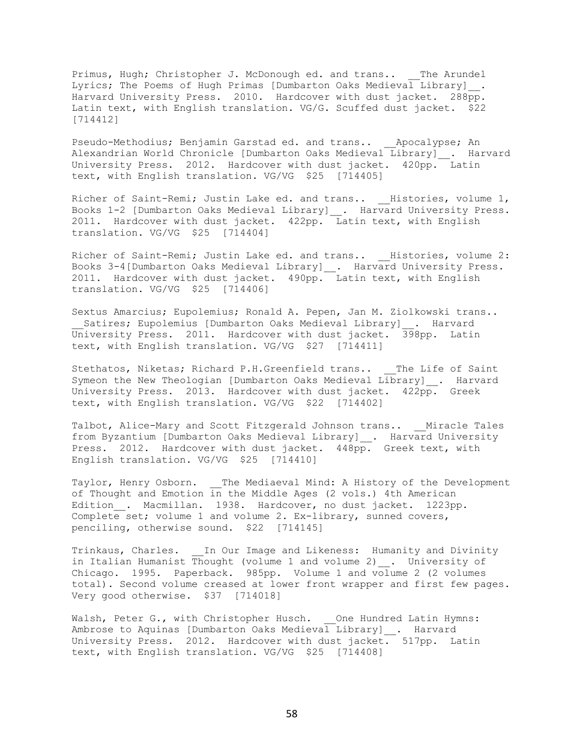Primus, Hugh; Christopher J. McDonough ed. and trans.. The Arundel Lyrics; The Poems of Hugh Primas [Dumbarton Oaks Medieval Library] . Harvard University Press. 2010. Hardcover with dust jacket. 288pp. Latin text, with English translation. VG/G. Scuffed dust jacket. \$22 [714412]

Pseudo-Methodius; Benjamin Garstad ed. and trans.. \_\_Apocalypse; An Alexandrian World Chronicle [Dumbarton Oaks Medieval Library] . Harvard University Press. 2012. Hardcover with dust jacket. 420pp. Latin text, with English translation. VG/VG \$25 [714405]

Richer of Saint-Remi; Justin Lake ed. and trans.. Histories, volume 1, Books 1-2 [Dumbarton Oaks Medieval Library]\_\_. Harvard University Press. 2011. Hardcover with dust jacket. 422pp. Latin text, with English translation. VG/VG \$25 [714404]

Richer of Saint-Remi; Justin Lake ed. and trans.. \_\_Histories, volume 2: Books 3-4[Dumbarton Oaks Medieval Library]\_\_. Harvard University Press. 2011. Hardcover with dust jacket. 490pp. Latin text, with English translation. VG/VG \$25 [714406]

Sextus Amarcius; Eupolemius; Ronald A. Pepen, Jan M. Ziolkowski trans.. Satires; Eupolemius [Dumbarton Oaks Medieval Library] . Harvard University Press. 2011. Hardcover with dust jacket. 398pp. Latin text, with English translation. VG/VG \$27 [714411]

Stethatos, Niketas; Richard P.H.Greenfield trans.. The Life of Saint Symeon the New Theologian [Dumbarton Oaks Medieval Library] . Harvard University Press. 2013. Hardcover with dust jacket. 422pp. Greek text, with English translation. VG/VG \$22 [714402]

Talbot, Alice-Mary and Scott Fitzgerald Johnson trans.. Miracle Tales from Byzantium [Dumbarton Oaks Medieval Library] . Harvard University Press. 2012. Hardcover with dust jacket. 448pp. Greek text, with English translation. VG/VG \$25 [714410]

Taylor, Henry Osborn. \_\_The Mediaeval Mind: A History of the Development of Thought and Emotion in the Middle Ages (2 vols.) 4th American Edition . Macmillan. 1938. Hardcover, no dust jacket. 1223pp. Complete set; volume 1 and volume 2. Ex-library, sunned covers, penciling, otherwise sound. \$22 [714145]

Trinkaus, Charles. In Our Image and Likeness: Humanity and Divinity in Italian Humanist Thought (volume 1 and volume 2) . University of Chicago. 1995. Paperback. 985pp. Volume 1 and volume 2 (2 volumes total). Second volume creased at lower front wrapper and first few pages. Very good otherwise. \$37 [714018]

Walsh, Peter G., with Christopher Husch. One Hundred Latin Hymns: Ambrose to Aquinas [Dumbarton Oaks Medieval Library]\_\_. Harvard University Press. 2012. Hardcover with dust jacket. 517pp. Latin text, with English translation. VG/VG \$25 [714408]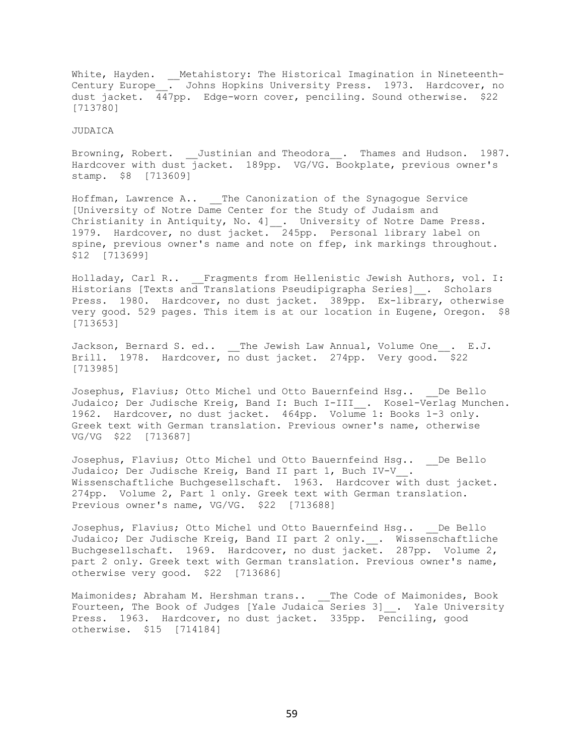White, Hayden. \_ Metahistory: The Historical Imagination in Nineteenth-Century Europe\_\_. Johns Hopkins University Press. 1973. Hardcover, no dust jacket. 447pp. Edge-worn cover, penciling. Sound otherwise. \$22 [713780]

#### JUDAICA

Browning, Robert. \_\_Justinian and Theodora\_\_. Thames and Hudson. 1987. Hardcover with dust jacket. 189pp. VG/VG. Bookplate, previous owner's stamp. \$8 [713609]

Hoffman, Lawrence A.. The Canonization of the Synagogue Service [University of Notre Dame Center for the Study of Judaism and Christianity in Antiquity, No. 4]\_\_. University of Notre Dame Press. 1979. Hardcover, no dust jacket. 245pp. Personal library label on spine, previous owner's name and note on ffep, ink markings throughout. \$12 [713699]

Holladay, Carl R.. \_\_Fragments from Hellenistic Jewish Authors, vol. I: Historians [Texts and Translations Pseudipigrapha Series] . Scholars Press. 1980. Hardcover, no dust jacket. 389pp. Ex-library, otherwise very good. 529 pages. This item is at our location in Eugene, Oregon. \$8 [713653]

Jackson, Bernard S. ed.. The Jewish Law Annual, Volume One. E.J. Brill. 1978. Hardcover, no dust jacket. 274pp. Very good.  $$22$ [713985]

Josephus, Flavius; Otto Michel und Otto Bauernfeind Hsg.. De Bello Judaico; Der Judische Kreig, Band I: Buch I-III . Kosel-Verlag Munchen. 1962. Hardcover, no dust jacket. 464pp. Volume 1: Books 1-3 only. Greek text with German translation. Previous owner's name, otherwise VG/VG \$22 [713687]

Josephus, Flavius; Otto Michel und Otto Bauernfeind Hsg.. De Bello Judaico; Der Judische Kreig, Band II part 1, Buch IV-V\_\_. Wissenschaftliche Buchgesellschaft. 1963. Hardcover with dust jacket. 274pp. Volume 2, Part 1 only. Greek text with German translation. Previous owner's name, VG/VG. \$22 [713688]

Josephus, Flavius; Otto Michel und Otto Bauernfeind Hsg.. De Bello Judaico; Der Judische Kreig, Band II part 2 only. . Wissenschaftliche Buchgesellschaft. 1969. Hardcover, no dust jacket. 287pp. Volume 2, part 2 only. Greek text with German translation. Previous owner's name, otherwise very good. \$22 [713686]

Maimonides; Abraham M. Hershman trans.. \_\_\_The Code of Maimonides, Book Fourteen, The Book of Judges [Yale Judaica Series 3]\_\_. Yale University Press. 1963. Hardcover, no dust jacket. 335pp. Penciling, good otherwise. \$15 [714184]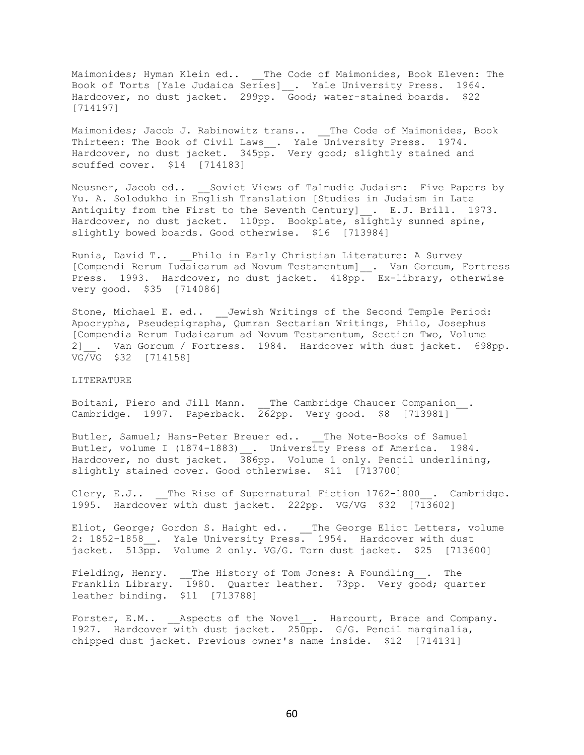Maimonides; Hyman Klein ed.. \_\_The Code of Maimonides, Book Eleven: The Book of Torts [Yale Judaica Series]\_\_. Yale University Press. 1964. Hardcover, no dust jacket. 299pp. Good; water-stained boards. \$22 [714197]

Maimonides; Jacob J. Rabinowitz trans.. \_\_ The Code of Maimonides, Book Thirteen: The Book of Civil Laws . Yale University Press. 1974. Hardcover, no dust jacket. 345pp. Very good; slightly stained and scuffed cover. \$14 [714183]

Neusner, Jacob ed.. Soviet Views of Talmudic Judaism: Five Papers by Yu. A. Solodukho in English Translation [Studies in Judaism in Late Antiquity from the First to the Seventh Century] . E.J. Brill. 1973. Hardcover, no dust jacket. 110pp. Bookplate, slightly sunned spine, slightly bowed boards. Good otherwise. \$16 [713984]

Runia, David T.. Philo in Early Christian Literature: A Survey [Compendi Rerum Iudaicarum ad Novum Testamentum]\_\_. Van Gorcum, Fortress Press. 1993. Hardcover, no dust jacket. 418pp. Ex-library, otherwise very good. \$35 [714086]

Stone, Michael E. ed.. \_\_Jewish Writings of the Second Temple Period: Apocrypha, Pseudepigrapha, Qumran Sectarian Writings, Philo, Josephus [Compendia Rerum Iudaicarum ad Novum Testamentum, Section Two, Volume 2] . Van Gorcum / Fortress. 1984. Hardcover with dust jacket. 698pp. VG/VG \$32 [714158]

## LITERATURE

Boitani, Piero and Jill Mann. \_\_The Cambridge Chaucer Companion\_\_. Cambridge. 1997. Paperback. 262pp. Very good. \$8 [713981]

Butler, Samuel; Hans-Peter Breuer ed.. The Note-Books of Samuel Butler, volume I (1874-1883) . University Press of America. 1984. Hardcover, no dust jacket. 386pp. Volume 1 only. Pencil underlining, slightly stained cover. Good othlerwise. \$11 [713700]

Clery, E.J.. The Rise of Supernatural Fiction 1762-1800. Cambridge. 1995. Hardcover with dust jacket. 222pp. VG/VG \$32 [713602]

Eliot, George; Gordon S. Haight ed.. \_\_The George Eliot Letters, volume 2: 1852-1858\_\_. Yale University Press. 1954. Hardcover with dust jacket. 513pp. Volume 2 only. VG/G. Torn dust jacket. \$25 [713600]

Fielding, Henry. \_\_The History of Tom Jones: A Foundling\_\_. The Franklin Library. 1980. Quarter leather. 73pp. Very good; quarter leather binding. \$11 [713788]

Forster, E.M.. \_\_\_Aspects of the Novel\_\_. Harcourt, Brace and Company. 1927. Hardcover with dust jacket. 250pp. G/G. Pencil marginalia, chipped dust jacket. Previous owner's name inside. \$12 [714131]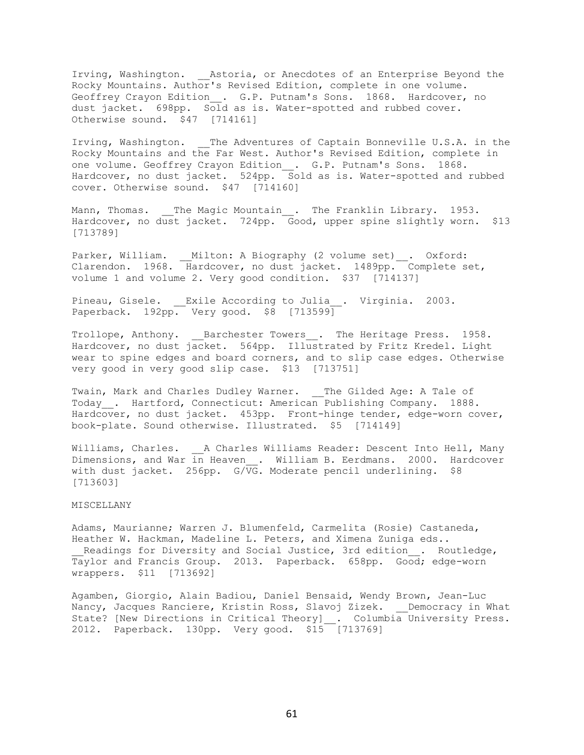Irving, Washington. \_\_Astoria, or Anecdotes of an Enterprise Beyond the Rocky Mountains. Author's Revised Edition, complete in one volume. Geoffrey Crayon Edition . G.P. Putnam's Sons. 1868. Hardcover, no dust jacket. 698pp. Sold as is. Water-spotted and rubbed cover. Otherwise sound. \$47 [714161]

Irving, Washington. \_\_ The Adventures of Captain Bonneville U.S.A. in the Rocky Mountains and the Far West. Author's Revised Edition, complete in one volume. Geoffrey Crayon Edition . G.P. Putnam's Sons. 1868. Hardcover, no dust jacket. 524pp. Sold as is. Water-spotted and rubbed cover. Otherwise sound. \$47 [714160]

Mann, Thomas. \_\_The Magic Mountain . The Franklin Library. 1953. Hardcover, no dust jacket. 724pp. Good, upper spine slightly worn. \$13 [713789]

Parker, William. \_\_Milton: A Biography (2 volume set)\_\_. Oxford: Clarendon. 1968. Hardcover, no dust jacket. 1489pp. Complete set, volume 1 and volume 2. Very good condition. \$37 [714137]

Pineau, Gisele. \_\_Exile According to Julia\_\_. Virginia. 2003. Paperback. 192pp. Very good. \$8 [713599]

Trollope, Anthony. Barchester Towers . The Heritage Press. 1958. Hardcover, no dust jacket. 564pp. Illustrated by Fritz Kredel. Light wear to spine edges and board corners, and to slip case edges. Otherwise very good in very good slip case. \$13 [713751]

Twain, Mark and Charles Dudley Warner. \_\_The Gilded Age: A Tale of Today\_\_. Hartford, Connecticut: American Publishing Company. 1888. Hardcover, no dust jacket. 453pp. Front-hinge tender, edge-worn cover, book-plate. Sound otherwise. Illustrated. \$5 [714149]

Williams, Charles. A Charles Williams Reader: Descent Into Hell, Many Dimensions, and War in Heaven . William B. Eerdmans. 2000. Hardcover with dust jacket. 256pp. G/VG. Moderate pencil underlining. \$8 [713603]

# MISCELLANY

Adams, Maurianne; Warren J. Blumenfeld, Carmelita (Rosie) Castaneda, Heather W. Hackman, Madeline L. Peters, and Ximena Zuniga eds.. Readings for Diversity and Social Justice, 3rd edition . Routledge, Taylor and Francis Group. 2013. Paperback. 658pp. Good; edge-worn wrappers. \$11 [713692]

Agamben, Giorgio, Alain Badiou, Daniel Bensaid, Wendy Brown, Jean-Luc Nancy, Jacques Ranciere, Kristin Ross, Slavoj Zizek. Democracy in What State? [New Directions in Critical Theory] \_\_. Columbia University Press. 2012. Paperback. 130pp. Very good. \$15 [713769]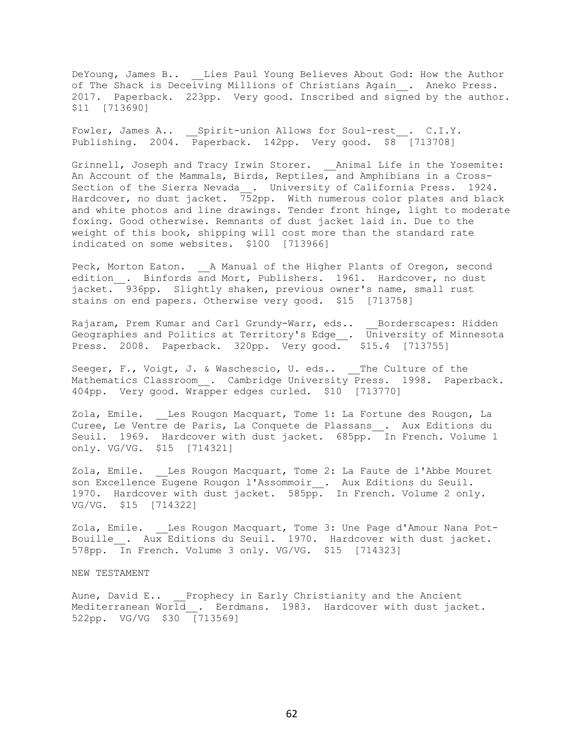DeYoung, James B.. \_\_Lies Paul Young Believes About God: How the Author of The Shack is Deceiving Millions of Christians Again\_\_. Aneko Press. 2017. Paperback. 223pp. Very good. Inscribed and signed by the author. \$11 [713690]

Fowler, James A.. Spirit-union Allows for Soul-rest . C.I.Y. Publishing. 2004. Paperback. 142pp. Very good. \$8 [713708]

Grinnell, Joseph and Tracy Irwin Storer. \_\_Animal Life in the Yosemite: An Account of the Mammals, Birds, Reptiles, and Amphibians in a Cross-Section of the Sierra Nevada\_\_. University of California Press. 1924. Hardcover, no dust jacket. 752pp. With numerous color plates and black and white photos and line drawings. Tender front hinge, light to moderate foxing. Good otherwise. Remnants of dust jacket laid in. Due to the weight of this book, shipping will cost more than the standard rate indicated on some websites. \$100 [713966]

Peck, Morton Eaton. \_\_A Manual of the Higher Plants of Oregon, second edition . Binfords and Mort, Publishers. 1961. Hardcover, no dust jacket. 936pp. Slightly shaken, previous owner's name, small rust stains on end papers. Otherwise very good. \$15 [713758]

Rajaram, Prem Kumar and Carl Grundy-Warr, eds.. Borderscapes: Hidden Geographies and Politics at Territory's Edge\_\_. University of Minnesota Press. 2008. Paperback. 320pp. Very good. \$15.4 [713755]

Seeger, F., Voigt, J. & Waschescio, U. eds.. The Culture of the Mathematics Classroom . Cambridge University Press. 1998. Paperback. 404pp. Very good. Wrapper edges curled. \$10 [713770]

Zola, Emile. Les Rougon Macquart, Tome 1: La Fortune des Rougon, La Curee, Le Ventre de Paris, La Conquete de Plassans\_\_. Aux Editions du Seuil. 1969. Hardcover with dust jacket. 685pp. In French. Volume 1 only. VG/VG. \$15 [714321]

Zola, Emile. \_\_Les Rougon Macquart, Tome 2: La Faute de l'Abbe Mouret son Excellence Eugene Rougon l'Assommoir\_. Aux Editions du Seuil. 1970. Hardcover with dust jacket. 585pp. In French. Volume 2 only. VG/VG. \$15 [714322]

Zola, Emile. \_\_Les Rougon Macquart, Tome 3: Une Page d'Amour Nana Pot-Bouille . Aux Editions du Seuil. 1970. Hardcover with dust jacket. 578pp. In French. Volume 3 only. VG/VG. \$15 [714323]

NEW TESTAMENT

Aune, David E.. Prophecy in Early Christianity and the Ancient Mediterranean World\_\_. Eerdmans. 1983. Hardcover with dust jacket. 522pp. VG/VG \$30 [713569]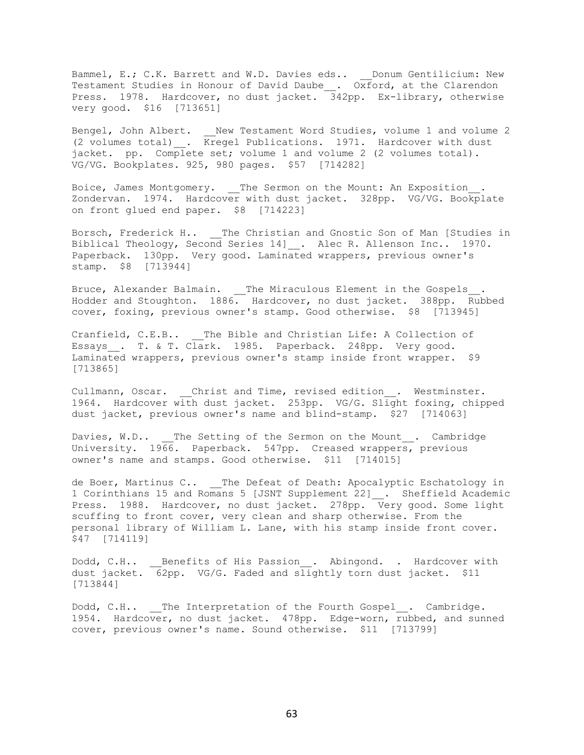Bammel, E.; C.K. Barrett and W.D. Davies eds.. Donum Gentilicium: New Testament Studies in Honour of David Daube\_\_. Oxford, at the Clarendon Press. 1978. Hardcover, no dust jacket. 342pp. Ex-library, otherwise very good. \$16 [713651]

Bengel, John Albert. \_\_New Testament Word Studies, volume 1 and volume 2 (2 volumes total)\_\_. Kregel Publications. 1971. Hardcover with dust jacket. pp. Complete set; volume 1 and volume 2 (2 volumes total). VG/VG. Bookplates. 925, 980 pages. \$57 [714282]

Boice, James Montgomery. The Sermon on the Mount: An Exposition . Zondervan. 1974. Hardcover with dust jacket. 328pp. VG/VG. Bookplate on front glued end paper. \$8 [714223]

Borsch, Frederick H.. \_\_The Christian and Gnostic Son of Man [Studies in Biblical Theology, Second Series 14]\_\_. Alec R. Allenson Inc.. 1970. Paperback. 130pp. Very good. Laminated wrappers, previous owner's stamp. \$8 [713944]

Bruce, Alexander Balmain. \_\_ The Miraculous Element in the Gospels\_ Hodder and Stoughton. 1886. Hardcover, no dust jacket. 388pp. Rubbed cover, foxing, previous owner's stamp. Good otherwise. \$8 [713945]

Cranfield, C.E.B.. The Bible and Christian Life: A Collection of Essays . T. & T. Clark. 1985. Paperback. 248pp. Very good. Laminated wrappers, previous owner's stamp inside front wrapper. \$9 [713865]

Cullmann, Oscar. \_\_Christ and Time, revised edition\_\_. Westminster. 1964. Hardcover with dust jacket. 253pp. VG/G. Slight foxing, chipped dust jacket, previous owner's name and blind-stamp. \$27 [714063]

Davies, W.D.. \_\_The Setting of the Sermon on the Mount . Cambridge University. 1966. Paperback. 547pp. Creased wrappers, previous owner's name and stamps. Good otherwise. \$11 [714015]

de Boer, Martinus C.. \_\_The Defeat of Death: Apocalyptic Eschatology in 1 Corinthians 15 and Romans 5 [JSNT Supplement 22] . Sheffield Academic Press. 1988. Hardcover, no dust jacket. 278pp. Very good. Some light scuffing to front cover, very clean and sharp otherwise. From the personal library of William L. Lane, with his stamp inside front cover. \$47 [714119]

Dodd, C.H.. \_\_\_ Benefits of His Passion . Abingond. . Hardcover with dust jacket.  $\overline{6}2$ pp. VG/G. Faded and slightly torn dust jacket. \$11 [713844]

Dodd, C.H.. The Interpretation of the Fourth Gospel . Cambridge. 1954. Hardcover, no dust jacket. 478pp. Edge-worn, rubbed, and sunned cover, previous owner's name. Sound otherwise. \$11 [713799]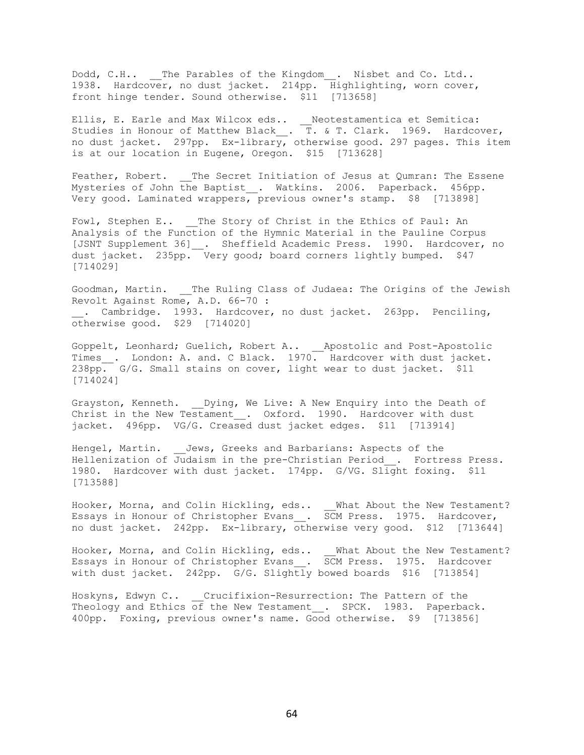Dodd, C.H.. The Parables of the Kingdom . Nisbet and Co. Ltd.. 1938. Hardcover, no dust jacket. 214pp. Highlighting, worn cover, front hinge tender. Sound otherwise. \$11 [713658]

Ellis, E. Earle and Max Wilcox eds.. \_\_Neotestamentica et Semitica: Studies in Honour of Matthew Black\_\_. T. & T. Clark. 1969. Hardcover, no dust jacket. 297pp. Ex-library, otherwise good. 297 pages. This item is at our location in Eugene, Oregon. \$15 [713628]

Feather, Robert. \_\_The Secret Initiation of Jesus at Qumran: The Essene Mysteries of John the Baptist . Watkins. 2006. Paperback. 456pp. Very good. Laminated wrappers, previous owner's stamp. \$8 [713898]

Fowl, Stephen E.. The Story of Christ in the Ethics of Paul: An Analysis of the Function of the Hymnic Material in the Pauline Corpus [JSNT Supplement 36] \_\_. Sheffield Academic Press. 1990. Hardcover, no dust jacket. 235pp. Very good; board corners lightly bumped. \$47 [714029]

Goodman, Martin. \_\_ The Ruling Class of Judaea: The Origins of the Jewish Revolt Against Rome, A.D. 66-70 : . Cambridge. 1993. Hardcover, no dust jacket. 263pp. Penciling, otherwise good. \$29 [714020]

Goppelt, Leonhard; Guelich, Robert A.. \_\_Apostolic and Post-Apostolic Times\_\_. London: A. and. C Black. 1970. Hardcover with dust jacket.  $238pp.$  G/G. Small stains on cover, light wear to dust jacket. \$11 [714024]

Grayston, Kenneth. \_\_Dying, We Live: A New Enquiry into the Death of Christ in the New Testament . Oxford. 1990. Hardcover with dust jacket. 496pp. VG/G. Creased dust jacket edges. \$11 [713914]

Hengel, Martin. \_\_Jews, Greeks and Barbarians: Aspects of the Hellenization of Judaism in the pre-Christian Period\_\_. Fortress Press. 1980. Hardcover with dust jacket. 174pp. G/VG. Slight foxing. \$11 [713588]

Hooker, Morna, and Colin Hickling, eds.. What About the New Testament? Essays in Honour of Christopher Evans . SCM Press. 1975. Hardcover, no dust jacket. 242pp. Ex-library, otherwise very good. \$12 [713644]

Hooker, Morna, and Colin Hickling, eds.. What About the New Testament? Essays in Honour of Christopher Evans . SCM Press. 1975. Hardcover with dust jacket. 242pp.  $G/G$ . Slightly bowed boards \$16 [713854]

Hoskyns, Edwyn C.. \_\_Crucifixion-Resurrection: The Pattern of the Theology and Ethics of the New Testament . SPCK. 1983. Paperback. 400pp. Foxing, previous owner's name. Good otherwise. \$9 [713856]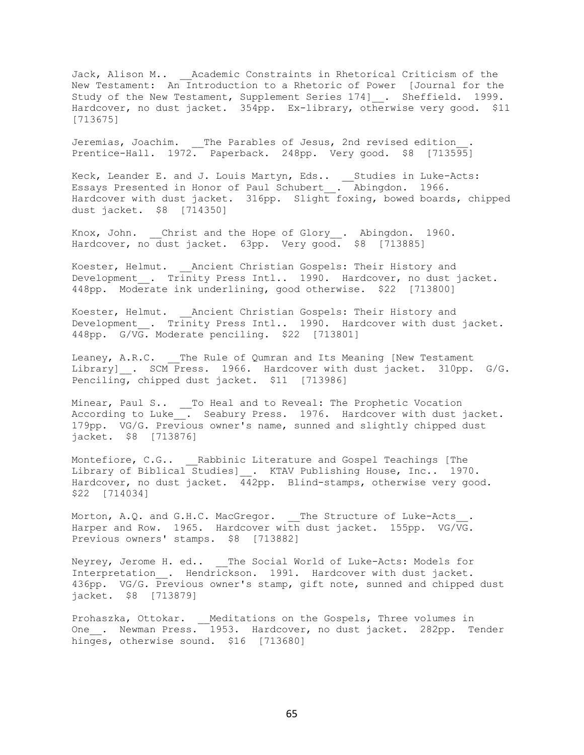Jack, Alison M.. \_\_Academic Constraints in Rhetorical Criticism of the New Testament: An Introduction to a Rhetoric of Power [Journal for the Study of the New Testament, Supplement Series 174]\_\_. Sheffield. 1999. Hardcover, no dust jacket. 354pp. Ex-library, otherwise very good. \$11 [713675]

Jeremias, Joachim. The Parables of Jesus, 2nd revised edition Prentice-Hall. 1972. Paperback. 248pp. Very good. \$8 [713595]

Keck, Leander E. and J. Louis Martyn, Eds.. \_\_Studies in Luke-Acts: Essays Presented in Honor of Paul Schubert\_\_. Abingdon. 1966. Hardcover with dust jacket. 316pp. Slight foxing, bowed boards, chipped dust jacket. \$8 [714350]

Knox, John. Christ and the Hope of Glory. Abingdon. 1960. Hardcover, no dust jacket. 63pp. Very good. \$8 [713885]

Koester, Helmut. \_\_Ancient Christian Gospels: Their History and Development . Trinity Press Intl.. 1990. Hardcover, no dust jacket. 448pp. Moderate ink underlining, good otherwise. \$22 [713800]

Koester, Helmut. \_\_Ancient Christian Gospels: Their History and Development . Trinity Press Intl.. 1990. Hardcover with dust jacket. 448pp. G/VG. Moderate penciling. \$22 [713801]

Leaney, A.R.C. The Rule of Qumran and Its Meaning [New Testament Library] . SCM Press. 1966. Hardcover with dust jacket. 310pp. G/G. Penciling, chipped dust jacket. \$11 [713986]

Minear, Paul S.. \_\_To Heal and to Reveal: The Prophetic Vocation According to Luke . Seabury Press. 1976. Hardcover with dust jacket. 179pp. VG/G. Previous owner's name, sunned and slightly chipped dust jacket. \$8 [713876]

Montefiore, C.G.. Rabbinic Literature and Gospel Teachings [The Library of Biblical Studies]\_\_. KTAV Publishing House, Inc.. 1970. Hardcover, no dust jacket. 442pp. Blind-stamps, otherwise very good. \$22 [714034]

Morton, A.Q. and G.H.C. MacGregor. The Structure of Luke-Acts Harper and Row. 1965. Hardcover with dust jacket. 155pp. VG/VG. Previous owners' stamps. \$8 [713882]

Neyrey, Jerome H. ed.. The Social World of Luke-Acts: Models for Interpretation . Hendrickson. 1991. Hardcover with dust jacket. 436pp. VG/G. Previous owner's stamp, gift note, sunned and chipped dust jacket. \$8 [713879]

Prohaszka, Ottokar. \_\_Meditations on the Gospels, Three volumes in One\_\_. Newman Press. 1953. Hardcover, no dust jacket. 282pp. Tender hinges, otherwise sound. \$16 [713680]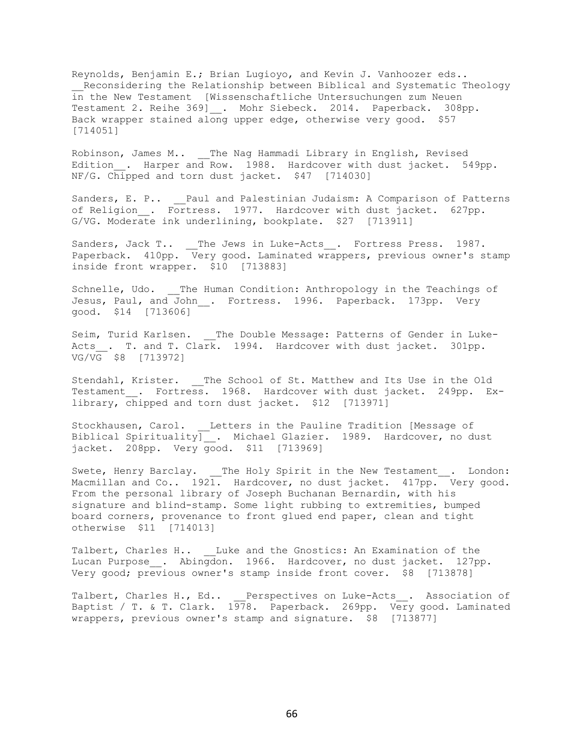Reynolds, Benjamin E.; Brian Lugioyo, and Kevin J. Vanhoozer eds.. Reconsidering the Relationship between Biblical and Systematic Theology in the New Testament [Wissenschaftliche Untersuchungen zum Neuen Testament 2. Reihe 369] . Mohr Siebeck. 2014. Paperback. 308pp. Back wrapper stained along upper edge, otherwise very good. \$57 [714051]

Robinson, James M.. \_\_The Nag Hammadi Library in English, Revised Edition\_. Harper and Row. 1988. Hardcover with dust jacket. 549pp. NF/G. Chipped and torn dust jacket. \$47 [714030]

Sanders, E. P.. Paul and Palestinian Judaism: A Comparison of Patterns of Religion . Fortress. 1977. Hardcover with dust jacket. 627pp. G/VG. Moderate ink underlining, bookplate. \$27 [713911]

Sanders, Jack T.. \_\_The Jews in Luke-Acts\_\_. Fortress Press. 1987. Paperback. 410pp. Very good. Laminated wrappers, previous owner's stamp inside front wrapper. \$10 [713883]

Schnelle, Udo. The Human Condition: Anthropology in the Teachings of Jesus, Paul, and John . Fortress. 1996. Paperback. 173pp. Very good. \$14 [713606]

Seim, Turid Karlsen. \_\_ The Double Message: Patterns of Gender in Luke-Acts . T. and T. Clark. 1994. Hardcover with dust jacket. 301pp. VG/VG \$8 [713972]

Stendahl, Krister. \_\_The School of St. Matthew and Its Use in the Old Testament . Fortress. 1968. Hardcover with dust jacket. 249pp. Exlibrary, chipped and torn dust jacket. \$12 [713971]

Stockhausen, Carol. Letters in the Pauline Tradition [Message of Biblical Spirituality<sup>-</sup> Michael Glazier. 1989. Hardcover, no dust jacket. 208pp. Very good. \$11 [713969]

Swete, Henry Barclay. \_\_The Holy Spirit in the New Testament\_\_. London: Macmillan and Co.. 1921. Hardcover, no dust jacket. 417pp. Very good. From the personal library of Joseph Buchanan Bernardin, with his signature and blind-stamp. Some light rubbing to extremities, bumped board corners, provenance to front glued end paper, clean and tight otherwise \$11 [714013]

Talbert, Charles H.. Luke and the Gnostics: An Examination of the Lucan Purpose . Abingdon. 1966. Hardcover, no dust jacket. 127pp. Very good; previous owner's stamp inside front cover. \$8 [713878]

Talbert, Charles H., Ed.. Perspectives on Luke-Acts . Association of Baptist / T. & T. Clark. 1978. Paperback. 269pp. Very good. Laminated wrappers, previous owner's stamp and signature. \$8 [713877]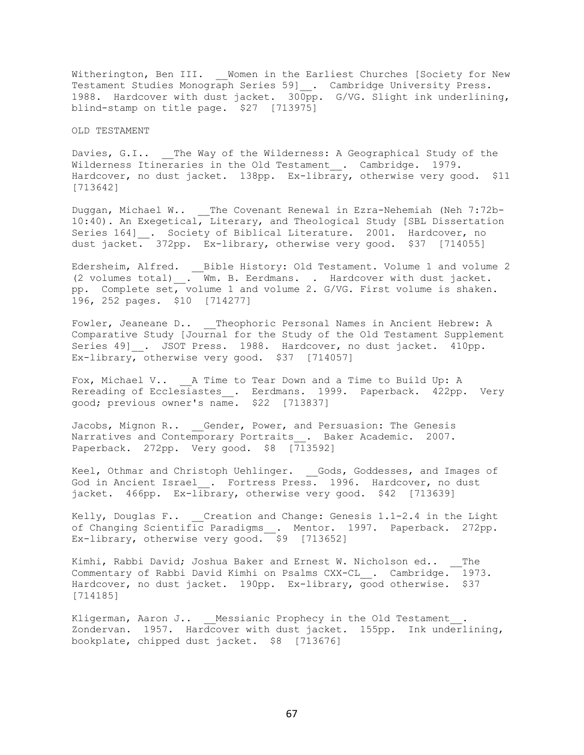Witherington, Ben III. \_\_ Women in the Earliest Churches [Society for New Testament Studies Monograph Series 59]\_. Cambridge University Press. 1988. Hardcover with dust jacket. 300pp. G/VG. Slight ink underlining, blind-stamp on title page. \$27 [713975]

OLD TESTAMENT

Davies, G.I.. \_\_The Way of the Wilderness: A Geographical Study of the Wilderness Itineraries in the Old Testament . Cambridge. 1979. Hardcover, no dust jacket. 138pp. Ex-library, otherwise very good. \$11 [713642]

Duggan, Michael W.. The Covenant Renewal in Ezra-Nehemiah (Neh 7:72b-10:40). An Exegetical, Literary, and Theological Study [SBL Dissertation Series 164] . Society of Biblical Literature. 2001. Hardcover, no dust jacket. 372pp. Ex-library, otherwise very good. \$37 [714055]

Edersheim, Alfred. \_\_Bible History: Old Testament. Volume 1 and volume 2 (2 volumes total) . Wm. B. Eerdmans. . Hardcover with dust jacket. pp. Complete set, volume 1 and volume 2. G/VG. First volume is shaken. 196, 252 pages. \$10 [714277]

Fowler, Jeaneane D.. Theophoric Personal Names in Ancient Hebrew: A Comparative Study [Journal for the Study of the Old Testament Supplement Series 49] . JSOT Press. 1988. Hardcover, no dust jacket. 410pp. Ex-library, otherwise very good. \$37 [714057]

Fox, Michael V.. A Time to Tear Down and a Time to Build Up: A Rereading of Ecclesiastes\_. Eerdmans. 1999. Paperback. 422pp. Very good; previous owner's name. \$22 [713837]

Jacobs, Mignon R.. Gender, Power, and Persuasion: The Genesis Narratives and Contemporary Portraits . Baker Academic. 2007. Paperback. 272pp. Very good. \$8 [713592]

Keel, Othmar and Christoph Uehlinger. \_\_Gods, Goddesses, and Images of God in Ancient Israel . Fortress Press. 1996. Hardcover, no dust jacket. 466pp. Ex-library, otherwise very good. \$42 [713639]

Kelly, Douglas F.. Creation and Change: Genesis  $1.1-2.4$  in the Light of Changing Scientific Paradigms\_\_. Mentor. 1997. Paperback. 272pp. Ex-library, otherwise very good.  $\overline{\phantom{a}}$  \$9 [713652]

Kimhi, Rabbi David; Joshua Baker and Ernest W. Nicholson ed.. The Commentary of Rabbi David Kimhi on Psalms CXX-CL . Cambridge. 1973. Hardcover, no dust jacket. 190pp. Ex-library,  $\overline{q}$ ood otherwise. \$37 [714185]

Kligerman, Aaron J.. Messianic Prophecy in the Old Testament . Zondervan. 1957. Hardcover with dust jacket. 155pp. Ink underlining, bookplate, chipped dust jacket. \$8 [713676]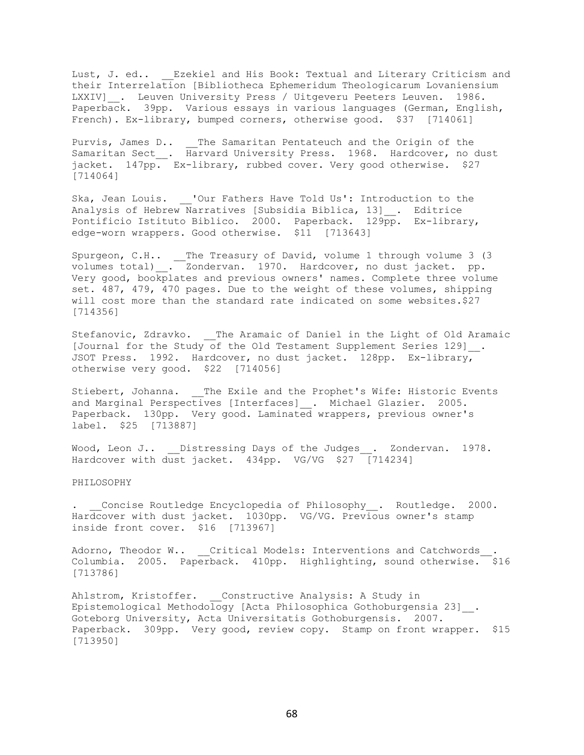Lust, J. ed.. \_\_ Ezekiel and His Book: Textual and Literary Criticism and their Interrelation [Bibliotheca Ephemeridum Theologicarum Lovaniensium LXXIV] . Leuven University Press / Uitgeveru Peeters Leuven. 1986. Paperback. 39pp. Various essays in various languages (German, English, French). Ex-library, bumped corners, otherwise good. \$37 [714061]

Purvis, James D.. The Samaritan Pentateuch and the Origin of the Samaritan Sect\_\_. Harvard University Press. 1968. Hardcover, no dust jacket. 147pp. Ex-library, rubbed cover. Very good otherwise. \$27 [714064]

Ska, Jean Louis. \_\_'Our Fathers Have Told Us': Introduction to the Analysis of Hebrew Narratives [Subsidia Biblica, 13]\_\_. Editrice Pontificio Istituto Biblico. 2000. Paperback. 129pp. Ex-library, edge-worn wrappers. Good otherwise. \$11 [713643]

Spurgeon, C.H.. \_\_The Treasury of David, volume 1 through volume 3 (3 volumes total)\_\_. Zondervan. 1970. Hardcover, no dust jacket. pp. Very good, bookplates and previous owners' names. Complete three volume set. 487, 479, 470 pages. Due to the weight of these volumes, shipping will cost more than the standard rate indicated on some websites.\$27 [714356]

Stefanovic, Zdravko. \_\_The Aramaic of Daniel in the Light of Old Aramaic [Journal for the Study of the Old Testament Supplement Series 129] . JSOT Press. 1992. Hardcover, no dust jacket. 128pp. Ex-library, otherwise very good. \$22 [714056]

Stiebert, Johanna. \_\_ The Exile and the Prophet's Wife: Historic Events and Marginal Perspectives [Interfaces] \_. Michael Glazier. 2005. Paperback. 130pp. Very good. Laminated wrappers, previous owner's label. \$25 [713887]

Wood, Leon J.. Distressing Days of the Judges . Zondervan. 1978. Hardcover with dust jacket. 434pp. VG/VG \$27 [714234]

PHILOSOPHY

. Concise Routledge Encyclopedia of Philosophy . Routledge. 2000. Hardcover with dust jacket. 1030pp. VG/VG. Previous owner's stamp inside front cover. \$16 [713967]

Adorno, Theodor W.. Critical Models: Interventions and Catchwords . Columbia. 2005. Paperback. 410pp. Highlighting, sound otherwise. \$16 [713786]

Ahlstrom, Kristoffer. Constructive Analysis: A Study in Epistemological Methodology [Acta Philosophica Gothoburgensia 23]\_\_. Goteborg University, Acta Universitatis Gothoburgensis. 2007. Paperback. 309pp. Very good, review copy. Stamp on front wrapper. \$15 [713950]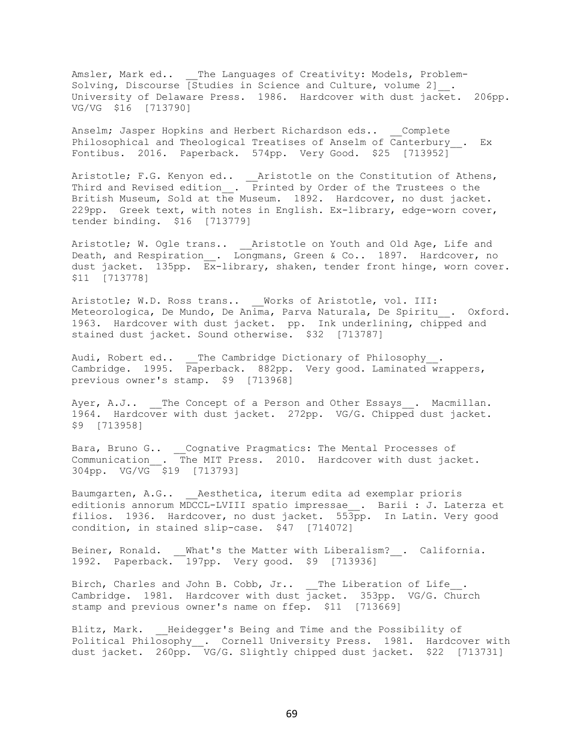Amsler, Mark ed.. \_\_The Languages of Creativity: Models, Problem-Solving, Discourse  $\sqrt{3}$  Studies in Science and Culture, volume 2]. University of Delaware Press. 1986. Hardcover with dust jacket. 206pp. VG/VG \$16 [713790]

Anselm; Jasper Hopkins and Herbert Richardson eds.. Complete Philosophical and Theological Treatises of Anselm of Canterbury . Ex Fontibus. 2016. Paperback. 574pp. Very Good. \$25 [713952]

Aristotle; F.G. Kenyon ed.. \_\_Aristotle on the Constitution of Athens, Third and Revised edition\_\_. Printed by Order of the Trustees o the British Museum, Sold at the Museum. 1892. Hardcover, no dust jacket. 229pp. Greek text, with notes in English. Ex-library, edge-worn cover, tender binding. \$16 [713779]

Aristotle; W. Ogle trans.. \_\_Aristotle on Youth and Old Age, Life and Death, and Respiration\_\_. Longmans, Green & Co.. 1897. Hardcover, no dust jacket. 135pp. Ex-library, shaken, tender front hinge, worn cover. \$11 [713778]

Aristotle; W.D. Ross trans.. Works of Aristotle, vol. III: Meteorologica, De Mundo, De Anima, Parva Naturala, De Spiritu\_\_. Oxford. 1963. Hardcover with dust jacket. pp. Ink underlining, chipped and stained dust jacket. Sound otherwise. \$32 [713787]

Audi, Robert ed..  $\quad \_$  The Cambridge Dictionary of Philosophy $\_\,.$ Cambridge. 1995. Paperback. 882pp. Very good. Laminated wrappers, previous owner's stamp. \$9 [713968]

Ayer, A.J.. \_\_The Concept of a Person and Other Essays\_\_. Macmillan. 1964. Hardcover with dust jacket. 272pp. VG/G. Chipped dust jacket. \$9 [713958]

Bara, Bruno G.. \_\_Cognative Pragmatics: The Mental Processes of Communication\_\_. The MIT Press. 2010. Hardcover with dust jacket. 304pp. VG/VG \$19 [713793]

Baumgarten, A.G.. \_\_Aesthetica, iterum edita ad exemplar prioris editionis annorum MDCCL-LVIII spatio impressae\_\_. Barii : J. Laterza et filios. 1936. Hardcover, no dust jacket. 553pp. In Latin. Very good condition, in stained slip-case. \$47 [714072]

Beiner, Ronald. What's the Matter with Liberalism? . California. 1992. Paperback. 197pp. Very good. \$9 [713936]

Birch, Charles and John B. Cobb, Jr.. The Liberation of Life. Cambridge. 1981. Hardcover with dust jacket. 353pp. VG/G. Church stamp and previous owner's name on ffep. \$11 [713669]

Blitz, Mark. Heidegger's Being and Time and the Possibility of Political Philosophy\_\_. Cornell University Press. 1981. Hardcover with dust jacket. 260pp. VG/G. Slightly chipped dust jacket. \$22 [713731]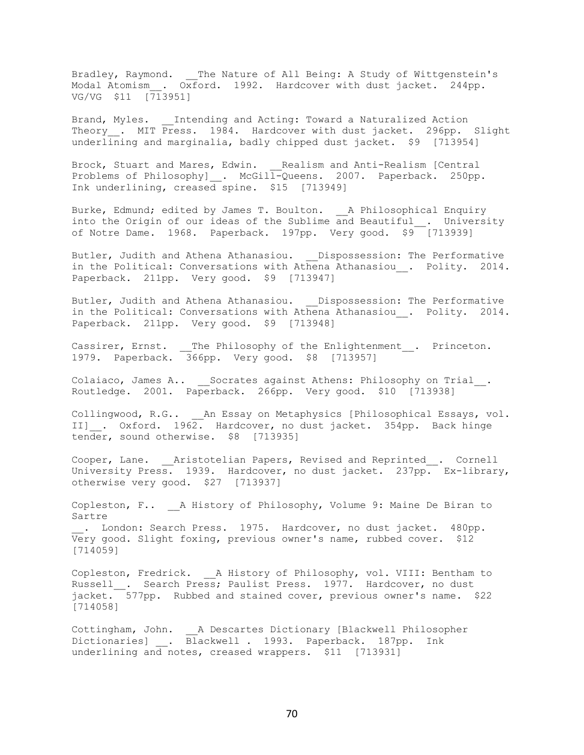Bradley, Raymond. \_\_ The Nature of All Being: A Study of Wittgenstein's Modal Atomism . Oxford. 1992. Hardcover with dust jacket. 244pp. VG/VG \$11 [713951]

Brand, Myles. Intending and Acting: Toward a Naturalized Action Theory . MIT Press. 1984. Hardcover with dust jacket. 296pp. Slight underlining and marginalia, badly chipped dust jacket. \$9 [713954]

Brock, Stuart and Mares, Edwin. \_\_Realism and Anti-Realism [Central Problems of Philosophy]\_\_. McGill-Queens. 2007. Paperback. 250pp. Ink underlining, creased spine. \$15 [713949]

Burke, Edmund; edited by James T. Boulton. A Philosophical Enquiry into the Origin of our ideas of the Sublime and Beautiful . University of Notre Dame. 1968. Paperback. 197pp. Very good. \$9 [713939]

Butler, Judith and Athena Athanasiou. \_\_Dispossession: The Performative in the Political: Conversations with Athena Athanasiou . Polity. 2014. Paperback. 211pp. Very good. \$9 [713947]

Butler, Judith and Athena Athanasiou. Dispossession: The Performative in the Political: Conversations with Athena Athanasiou . Polity. 2014. Paperback. 211pp. Very good. \$9 [713948]

Cassirer, Ernst. \_\_The Philosophy of the Enlightenment\_\_. Princeton. 1979. Paperback. 366pp. Very good. \$8 [713957]

Colaiaco, James A.. \_\_Socrates against Athens: Philosophy on Trial\_\_. Routledge. 2001. Paperback. 266pp. Very good. \$10 [713938]

Collingwood, R.G.. An Essay on Metaphysics [Philosophical Essays, vol. II] . Oxford. 1962. Hardcover, no dust jacket. 354pp. Back hinge tender, sound otherwise. \$8 [713935]

Cooper, Lane. Aristotelian Papers, Revised and Reprinted . Cornell University Press. 1939. Hardcover, no dust jacket. 237pp. Ex-library, otherwise very good. \$27 [713937]

Copleston, F.. A History of Philosophy, Volume 9: Maine De Biran to Sartre . London: Search Press. 1975. Hardcover, no dust jacket. 480pp.

Very good. Slight foxing, previous owner's name, rubbed cover. \$12 [714059]

Copleston, Fredrick. A History of Philosophy, vol. VIII: Bentham to Russell . Search Press; Paulist Press. 1977. Hardcover, no dust jacket. 577pp. Rubbed and stained cover, previous owner's name. \$22 [714058]

Cottingham, John. A Descartes Dictionary [Blackwell Philosopher Dictionaries] . Blackwell . 1993. Paperback. 187pp. Ink underlining and notes, creased wrappers. \$11 [713931]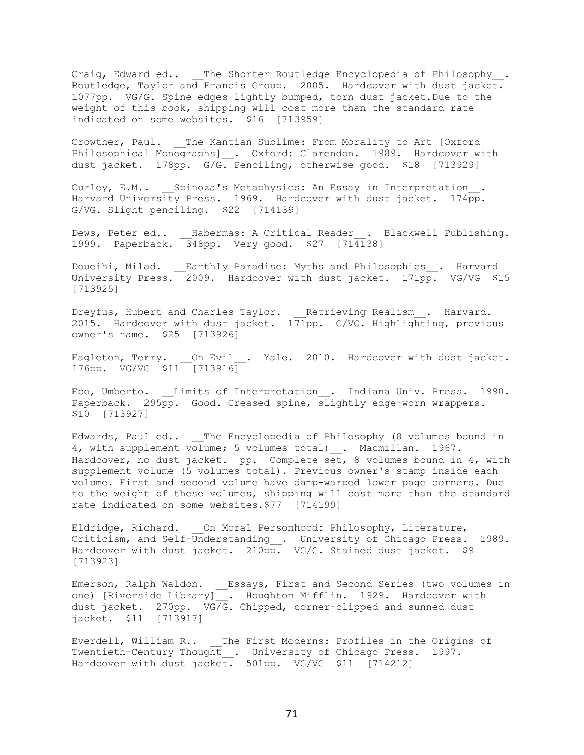Craig, Edward ed.. \_\_ The Shorter Routledge Encyclopedia of Philosophy . Routledge, Taylor and Francis Group. 2005. Hardcover with dust jacket. 1077pp. VG/G. Spine edges lightly bumped, torn dust jacket.Due to the weight of this book, shipping will cost more than the standard rate indicated on some websites. \$16 [713959]

Crowther, Paul. \_\_The Kantian Sublime: From Morality to Art [Oxford Philosophical Monographs]\_\_. Oxford: Clarendon. 1989. Hardcover with dust jacket. 178pp. G/G. Penciling, otherwise good. \$18 [713929]

Curley, E.M.. \_\_\_Spinoza's Metaphysics: An Essay in Interpretation . Harvard University Press. 1969. Hardcover with dust jacket. 174pp. G/VG. Slight penciling. \$22 [714139]

Dews, Peter ed.. Habermas: A Critical Reader . Blackwell Publishing. 1999. Paperback. 348pp. Very good. \$27 [714138]

Doueihi, Milad. \_\_Earthly Paradise: Myths and Philosophies\_\_. Harvard University Press. 2009. Hardcover with dust jacket. 171pp. VG/VG \$15 [713925]

Dreyfus, Hubert and Charles Taylor. \_\_Retrieving Realism\_\_. Harvard. 2015. Hardcover with dust jacket. 171pp. G/VG. Highlighting, previous owner's name. \$25 [713926]

Eagleton, Terry. \_\_On Evil\_\_. Yale. 2010. Hardcover with dust jacket. 176pp. VG/VG \$11 [713916]

Eco, Umberto. \_\_Limits of Interpretation\_\_. Indiana Univ. Press. 1990. Paperback. 295pp. Good. Creased spine, slightly edge-worn wrappers. \$10 [713927]

Edwards, Paul ed.. \_\_The Encyclopedia of Philosophy (8 volumes bound in 4, with supplement volume; 5 volumes total)\_\_. Macmillan. 1967. Hardcover, no dust jacket. pp. Complete set, 8 volumes bound in 4, with supplement volume (5 volumes total). Previous owner's stamp inside each volume. First and second volume have damp-warped lower page corners. Due to the weight of these volumes, shipping will cost more than the standard rate indicated on some websites.\$77 [714199]

Eldridge, Richard. \_\_On Moral Personhood: Philosophy, Literature, Criticism, and Self-Understanding\_\_. University of Chicago Press. 1989. Hardcover with dust jacket. 210pp. VG/G. Stained dust jacket. \$9 [713923]

Emerson, Ralph Waldon. \_\_Essays, First and Second Series (two volumes in one) [Riverside Library] . Houghton Mifflin. 1929. Hardcover with dust jacket. 270pp. VG/G. Chipped, corner-clipped and sunned dust jacket. \$11 [713917]

Everdell, William R.. \_\_The First Moderns: Profiles in the Origins of Twentieth-Century Thought \_\_. University of Chicago Press. 1997. Hardcover with dust jacket. 501pp. VG/VG \$11 [714212]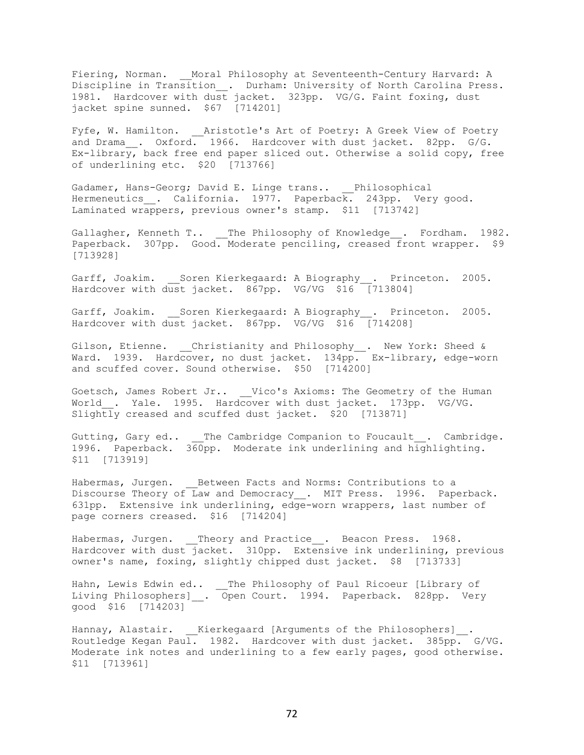Fiering, Norman. \_\_Moral Philosophy at Seventeenth-Century Harvard: A Discipline in Transition\_\_. Durham: University of North Carolina Press. 1981. Hardcover with dust jacket. 323pp. VG/G. Faint foxing, dust jacket spine sunned. \$67 [714201]

Fyfe, W. Hamilton. Aristotle's Art of Poetry: A Greek View of Poetry and Drama . Oxford.  $1966$ . Hardcover with dust jacket. 82pp. G/G. Ex-library, back free end paper sliced out. Otherwise a solid copy, free of underlining etc. \$20 [713766]

Gadamer, Hans-Georg; David E. Linge trans.. Philosophical Hermeneutics . California. 1977. Paperback. 243pp. Very good. Laminated wrappers, previous owner's stamp. \$11 [713742]

Gallagher, Kenneth T.. The Philosophy of Knowledge . Fordham. 1982. Paperback. 307pp. Good. Moderate penciling, creased front wrapper. \$9 [713928]

Garff, Joakim. Soren Kierkegaard: A Biography . Princeton. 2005. Hardcover with dust jacket. 867pp. VG/VG \$16 [713804]

Garff, Joakim. \_\_Soren Kierkegaard: A Biography\_\_. Princeton. 2005. Hardcover with dust jacket. 867pp. VG/VG \$16 [714208]

Gilson, Etienne. Christianity and Philosophy . New York: Sheed & Ward. 1939. Hardcover, no dust jacket. 134pp. Ex-library, edge-worn and scuffed cover. Sound otherwise. \$50 [714200]

Goetsch, James Robert Jr.. \_\_Vico's Axioms: The Geometry of the Human World\_\_. Yale. 1995. Hardcover with dust jacket. 173pp. VG/VG. Slightly creased and scuffed dust jacket. \$20 [713871]

Gutting, Gary ed.. \_\_The Cambridge Companion to Foucault . Cambridge. 1996. Paperback. 360pp. Moderate ink underlining and highlighting. \$11 [713919]

Habermas, Jurgen. \_\_ Between Facts and Norms: Contributions to a Discourse Theory of Law and Democracy \_\_. MIT Press. 1996. Paperback. 631pp. Extensive ink underlining, edge-worn wrappers, last number of page corners creased. \$16 [714204]

Habermas, Jurgen. \_\_Theory and Practice\_\_. Beacon Press. 1968. Hardcover with dust jacket. 310pp. Extensive ink underlining, previous owner's name, foxing, slightly chipped dust jacket. \$8 [713733]

Hahn, Lewis Edwin ed.. \_\_The Philosophy of Paul Ricoeur [Library of Living Philosophers] . Open Court. 1994. Paperback. 828pp. Very good \$16 [714203]

Hannay, Alastair. Kierkegaard [Arguments of the Philosophers] . Routledge Kegan Paul. 1982. Hardcover with dust jacket. 385pp. G/VG. Moderate ink notes and underlining to a few early pages, good otherwise. \$11 [713961]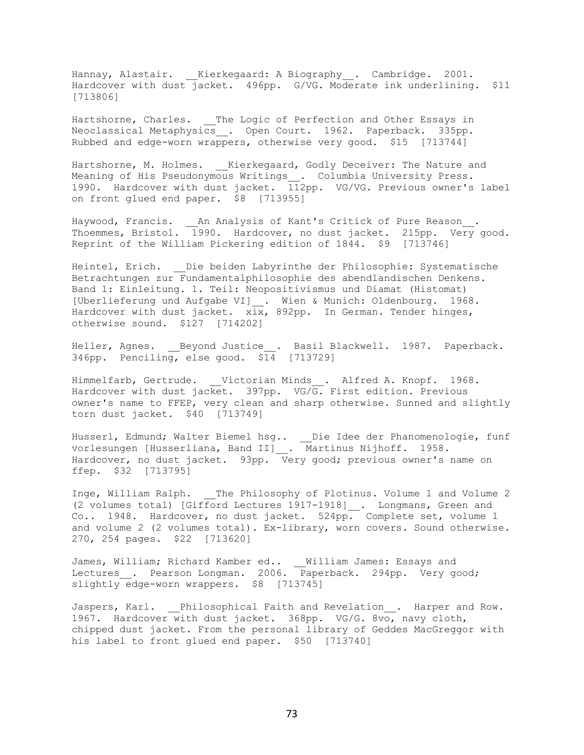Hannay, Alastair. Kierkegaard: A Biography . Cambridge. 2001. Hardcover with dust jacket. 496pp. G/VG. Moderate ink underlining. \$11 [713806]

Hartshorne, Charles. The Logic of Perfection and Other Essays in Neoclassical Metaphysics . Open Court. 1962. Paperback. 335pp. Rubbed and edge-worn wrappers, otherwise very good. \$15 [713744]

Hartshorne, M. Holmes. \_\_ Kierkegaard, Godly Deceiver: The Nature and Meaning of His Pseudonymous Writings\_\_. Columbia University Press. 1990. Hardcover with dust jacket. 112pp. VG/VG. Previous owner's label on front glued end paper. \$8 [713955]

Haywood, Francis. \_\_An Analysis of Kant's Critick of Pure Reason\_\_. Thoemmes, Bristol. 1990. Hardcover, no dust jacket. 215pp. Very good. Reprint of the William Pickering edition of 1844. \$9 [713746]

Heintel, Erich. \_\_Die beiden Labyrinthe der Philosophie: Systematische Betrachtungen zur Fundamentalphilosophie des abendlandischen Denkens. Band 1: Einleitung. 1. Teil: Neopositivismus und Diamat (Histomat) [Uberlieferung und Aufgabe VI] . Wien & Munich: Oldenbourg. 1968. Hardcover with dust jacket.  $x\overline{ix}$ , 892pp. In German. Tender hinges, otherwise sound. \$127 [714202]

Heller, Agnes. Beyond Justice . Basil Blackwell. 1987. Paperback. 346pp. Penciling, else good. \$14 [713729]

Himmelfarb, Gertrude. Victorian Minds . Alfred A. Knopf. 1968. Hardcover with dust jacket. 397pp. VG/ $\overline{G}$ . First edition. Previous owner's name to FFEP, very clean and sharp otherwise. Sunned and slightly torn dust jacket. \$40 [713749]

Husserl, Edmund; Walter Biemel hsg.. \_\_Die Idee der Phanomenologie, funf vorlesungen [Husserliana, Band II]\_\_. Martinus Nijhoff. 1958. Hardcover, no dust jacket. 93pp. Very good; previous owner's name on ffep. \$32 [713795]

Inge, William Ralph. The Philosophy of Plotinus. Volume 1 and Volume 2 (2 volumes total) [Gifford Lectures 1917-1918]\_\_. Longmans, Green and Co.. 1948. Hardcover, no dust jacket. 524pp. Complete set, volume 1 and volume 2 (2 volumes total). Ex-library, worn covers. Sound otherwise. 270, 254 pages. \$22 [713620]

James, William; Richard Kamber ed.. William James: Essays and Lectures\_\_. Pearson Longman. 2006. Paperback. 294pp. Very good; slightly edge-worn wrappers. \$8 [713745]

Jaspers, Karl. \_\_Philosophical Faith and Revelation . Harper and Row. 1967. Hardcover with dust jacket. 368pp. VG/G. 8vo, navy cloth, chipped dust jacket. From the personal library of Geddes MacGreggor with his label to front glued end paper. \$50 [713740]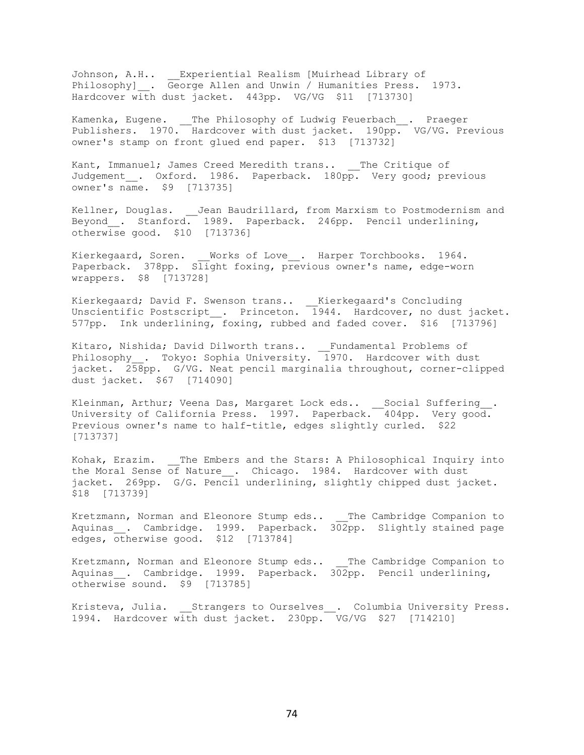Johnson, A.H.. \_\_Experiential Realism [Muirhead Library of Philosophy]\_\_. George Allen and Unwin / Humanities Press. 1973. Hardcover with dust jacket. 443pp. VG/VG \$11 [713730]

Kamenka, Eugene. \_\_The Philosophy of Ludwig Feuerbach\_\_. Praeger Publishers. 1970. Hardcover with dust jacket. 190pp. VG/VG. Previous owner's stamp on front glued end paper. \$13 [713732]

Kant, Immanuel; James Creed Meredith trans.. \_\_The Critique of Judgement\_. Oxford. 1986. Paperback. 180pp. Very good; previous owner's name. \$9 [713735]

Kellner, Douglas. Jean Baudrillard, from Marxism to Postmodernism and Beyond . Stanford. 1989. Paperback. 246pp. Pencil underlining, otherwise good. \$10 [713736]

Kierkegaard, Soren. \_\_Works of Love\_\_. Harper Torchbooks. 1964. Paperback. 378pp. Slight foxing, previous owner's name, edge-worn wrappers. \$8 [713728]

Kierkegaard; David F. Swenson trans.. \_\_Kierkegaard's Concluding Unscientific Postscript\_\_. Princeton. 1944. Hardcover, no dust jacket. 577pp. Ink underlining, foxing, rubbed and faded cover. \$16 [713796]

Kitaro, Nishida; David Dilworth trans.. \_\_Fundamental Problems of Philosophy\_\_. Tokyo: Sophia University. 1970. Hardcover with dust jacket. 258pp. G/VG. Neat pencil marginalia throughout, corner-clipped dust jacket. \$67 [714090]

Kleinman, Arthur; Veena Das, Margaret Lock eds.. \_\_Social Suffering\_\_. University of California Press. 1997. Paperback. 404pp. Very good. Previous owner's name to half-title, edges slightly curled. \$22 [713737]

Kohak, Erazim. \_\_The Embers and the Stars: A Philosophical Inquiry into the Moral Sense of Nature . Chicago. 1984. Hardcover with dust jacket. 269pp. G/G. Pencil underlining, slightly chipped dust jacket. \$18 [713739]

Kretzmann, Norman and Eleonore Stump eds.. The Cambridge Companion to Aquinas\_. Cambridge. 1999. Paperback. 302pp. Slightly stained page edges, otherwise good. \$12 [713784]

Kretzmann, Norman and Eleonore Stump eds.. \_\_The Cambridge Companion to Aquinas . Cambridge. 1999. Paperback. 302pp. Pencil underlining, otherwise sound. \$9 [713785]

Kristeva, Julia. \_\_\_ Strangers to Ourselves . Columbia University Press. 1994. Hardcover with dust jacket. 230pp. VG/VG \$27 [714210]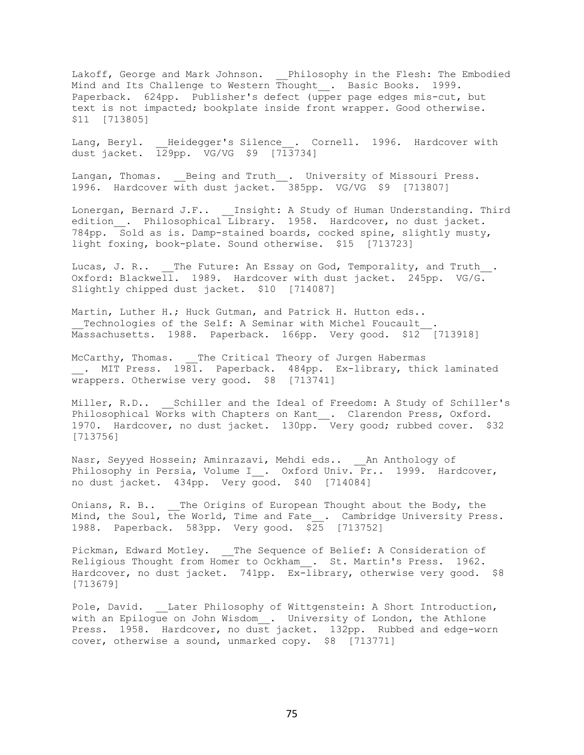Lakoff, George and Mark Johnson. \_\_Philosophy in the Flesh: The Embodied Mind and Its Challenge to Western Thought\_\_. Basic Books. 1999. Paperback. 624pp. Publisher's defect (upper page edges mis-cut, but text is not impacted; bookplate inside front wrapper. Good otherwise. \$11 [713805]

Lang, Beryl. Heidegger's Silence . Cornell. 1996. Hardcover with dust jacket. 129pp. VG/VG \$9 [713734]

Langan, Thomas. \_\_Being and Truth\_\_. University of Missouri Press. 1996. Hardcover with dust jacket. 385pp. VG/VG \$9 [713807]

Lonergan, Bernard J.F.. \_\_Insight: A Study of Human Understanding. Third edition . Philosophical Library. 1958. Hardcover, no dust jacket. 784pp. Sold as is. Damp-stained boards, cocked spine, slightly musty, light foxing, book-plate. Sound otherwise. \$15 [713723]

Lucas, J. R.. \_\_The Future: An Essay on God, Temporality, and Truth . Oxford: Blackwell. 1989. Hardcover with dust jacket. 245pp. VG/G. Slightly chipped dust jacket. \$10 [714087]

Martin, Luther H.; Huck Gutman, and Patrick H. Hutton eds.. Technologies of the Self: A Seminar with Michel Foucault Massachusetts. 1988. Paperback. 166pp. Very good. \$12 [713918]

McCarthy, Thomas. The Critical Theory of Jurgen Habermas . MIT Press. 1981. Paperback. 484pp. Ex-library, thick laminated wrappers. Otherwise very good. \$8 [713741]

Miller, R.D.. \_\_Schiller and the Ideal of Freedom: A Study of Schiller's Philosophical Works with Chapters on Kant . Clarendon Press, Oxford. 1970. Hardcover, no dust jacket. 130pp. Very good; rubbed cover. \$32 [713756]

Nasr, Seyyed Hossein; Aminrazavi, Mehdi eds.. \_\_An Anthology of Philosophy in Persia, Volume I\_\_. Oxford Univ. Pr.. 1999. Hardcover, no dust jacket. 434pp. Very good. \$40 [714084]

Onians, R. B.. \_\_The Origins of European Thought about the Body, the Mind, the Soul, the World, Time and Fate . Cambridge University Press. 1988. Paperback. 583pp. Very good. \$25 [713752]

Pickman, Edward Motley. The Sequence of Belief: A Consideration of Religious Thought from Homer to Ockham . St. Martin's Press. 1962. Hardcover, no dust jacket. 741pp.  $Ex$ -library, otherwise very good. \$8 [713679]

Pole, David. Later Philosophy of Wittgenstein: A Short Introduction, with an Epilogue on John Wisdom\_. University of London, the Athlone Press. 1958. Hardcover, no dust jacket. 132pp. Rubbed and edge-worn cover, otherwise a sound, unmarked copy. \$8 [713771]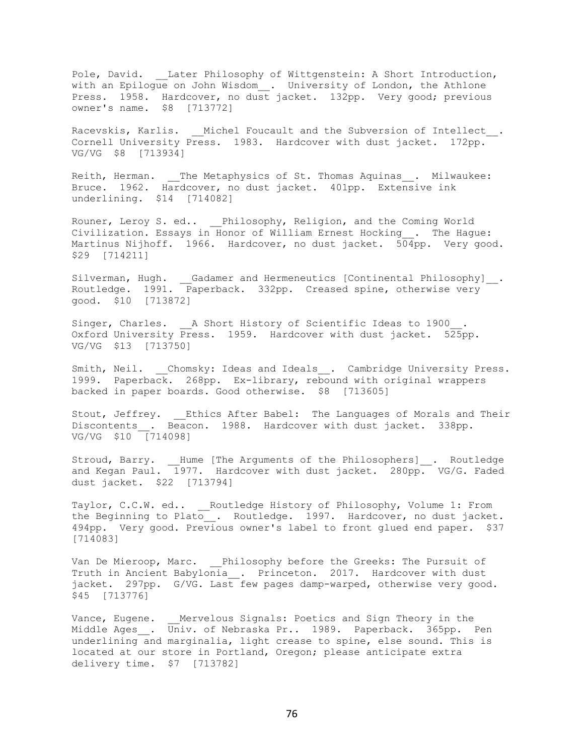Pole, David. \_\_Later Philosophy of Wittgenstein: A Short Introduction, with an Epilogue on John Wisdom\_\_. University of London, the Athlone Press. 1958. Hardcover, no dust jacket. 132pp. Very good; previous owner's name. \$8 [713772]

Racevskis, Karlis. \_\_Michel Foucault and the Subversion of Intellect . Cornell University Press. 1983. Hardcover with dust jacket. 172pp. VG/VG \$8 [713934]

Reith, Herman. \_\_The Metaphysics of St. Thomas Aquinas\_\_. Milwaukee: Bruce. 1962. Hardcover, no dust jacket. 401pp. Extensive ink underlining. \$14 [714082]

Rouner, Leroy S. ed.. \_\_Philosophy, Religion, and the Coming World Civilization. Essays in Honor of William Ernest Hocking\_\_. The Hague: Martinus Nijhoff. 1966. Hardcover, no dust jacket. 504pp. Very good. \$29 [714211]

Silverman, Hugh. \_\_Gadamer and Hermeneutics [Continental Philosophy]\_\_. Routledge. 1991. Paperback. 332pp. Creased spine, otherwise very good. \$10 [713872]

Singer, Charles. <br> \_ A Short History of Scientific Ideas to 1900 . Oxford University Press. 1959. Hardcover with dust jacket. 525pp. VG/VG \$13 [713750]

Smith, Neil. Chomsky: Ideas and Ideals . Cambridge University Press. 1999. Paperback. 268pp. Ex-library, rebound with original wrappers backed in paper boards. Good otherwise. \$8 [713605]

Stout, Jeffrey. Ethics After Babel: The Languages of Morals and Their Discontents . Beacon. 1988. Hardcover with dust jacket. 338pp. VG/VG \$10 [714098]

Stroud, Barry. \_\_Hume [The Arguments of the Philosophers]\_\_. Routledge and Kegan Paul. 1977. Hardcover with dust jacket. 280pp. VG/G. Faded dust jacket. \$22 [713794]

Taylor, C.C.W. ed.. \_\_\_\_ Routledge History of Philosophy, Volume 1: From the Beginning to Plato . Routledge. 1997. Hardcover, no dust jacket. 494pp. Very good. Previous owner's label to front glued end paper. \$37 [714083]

Van De Mieroop, Marc. Philosophy before the Greeks: The Pursuit of Truth in Ancient Babylonia . Princeton. 2017. Hardcover with dust jacket. 297pp. G/VG. Last few pages damp-warped, otherwise very good. \$45 [713776]

Vance, Eugene. \_\_Mervelous Signals: Poetics and Sign Theory in the Middle Ages\_\_. Univ. of Nebraska Pr.. 1989. Paperback. 365pp. Pen underlining and marginalia, light crease to spine, else sound. This is located at our store in Portland, Oregon; please anticipate extra delivery time. \$7 [713782]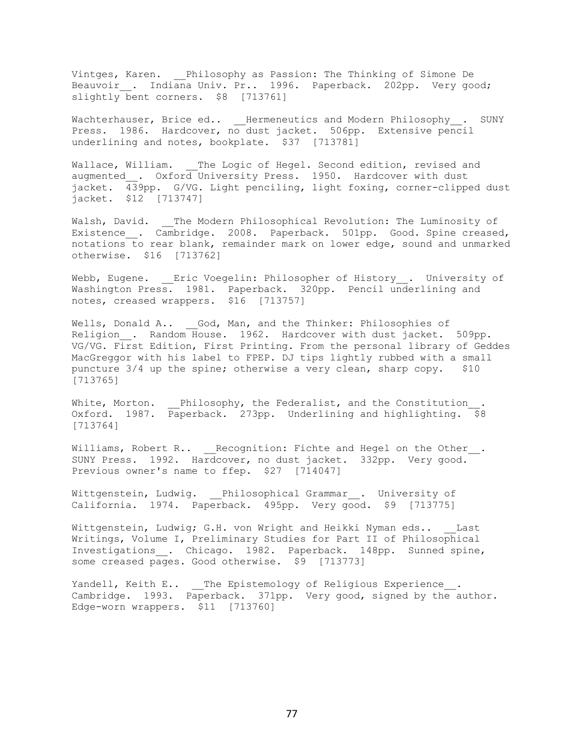Vintges, Karen. \_\_Philosophy as Passion: The Thinking of Simone De Beauvoir . Indiana Univ. Pr.. 1996. Paperback. 202pp. Very good; slightly bent corners. \$8 [713761]

Wachterhauser, Brice ed.. Hermeneutics and Modern Philosophy . SUNY Press. 1986. Hardcover, no dust jacket. 506pp. Extensive pencil underlining and notes, bookplate. \$37 [713781]

Wallace, William. The Logic of Hegel. Second edition, revised and augmented\_\_. Oxford University Press. 1950. Hardcover with dust jacket. 439pp. G/VG. Light penciling, light foxing, corner-clipped dust jacket. \$12 [713747]

Walsh, David. \_\_The Modern Philosophical Revolution: The Luminosity of Existence . Cambridge. 2008. Paperback. 501pp. Good. Spine creased, notations to rear blank, remainder mark on lower edge, sound and unmarked otherwise. \$16 [713762]

Webb, Eugene. Eric Voegelin: Philosopher of History . University of Washington Press. 1981. Paperback. 320pp. Pencil underlining and notes, creased wrappers. \$16 [713757]

Wells, Donald A.. God, Man, and the Thinker: Philosophies of Religion . Random House. 1962. Hardcover with dust jacket. 509pp. VG/VG. First Edition, First Printing. From the personal library of Geddes MacGreggor with his label to FPEP. DJ tips lightly rubbed with a small puncture 3/4 up the spine; otherwise a very clean, sharp copy. \$10 [713765]

White, Morton. \_\_Philosophy, the Federalist, and the Constitution Oxford. 1987. Paperback. 273pp. Underlining and highlighting. \$8 [713764]

Williams, Robert R.. \_\_Recognition: Fichte and Hegel on the Other\_\_. SUNY Press. 1992. Hardcover, no dust jacket. 332pp. Very good. Previous owner's name to ffep. \$27 [714047]

Wittgenstein, Ludwig. \_\_Philosophical Grammar\_\_. University of California. 1974. Paperback. 495pp. Very good. \$9 [713775]

Wittgenstein, Ludwig; G.H. von Wright and Heikki Nyman eds.. Last Writings, Volume I, Preliminary Studies for Part II of Philosophical Investigations . Chicago. 1982. Paperback. 148pp. Sunned spine, some creased pages. Good otherwise. \$9 [713773]

Yandell, Keith E.. The Epistemology of Religious Experience. Cambridge. 1993. Paperback. 371pp. Very good, signed by the author. Edge-worn wrappers. \$11 [713760]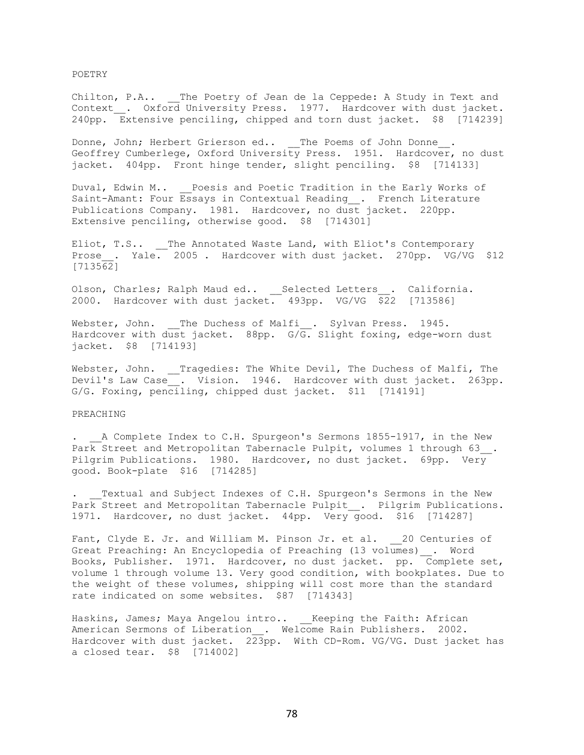POETRY

Chilton, P.A.. The Poetry of Jean de la Ceppede: A Study in Text and Context . Oxford University Press. 1977. Hardcover with dust jacket. 240pp. Extensive penciling, chipped and torn dust jacket. \$8 [714239]

Donne, John; Herbert Grierson ed.. The Poems of John Donne . Geoffrey Cumberlege, Oxford University Press. 1951. Hardcover, no dust jacket. 404pp. Front hinge tender, slight penciling. \$8 [714133]

Duval, Edwin M.. Poesis and Poetic Tradition in the Early Works of Saint-Amant: Four Essays in Contextual Reading . French Literature Publications Company. 1981. Hardcover, no dust jacket. 220pp. Extensive penciling, otherwise good. \$8 [714301]

Eliot, T.S.. \_\_The Annotated Waste Land, with Eliot's Contemporary Prose . Yale. 2005 . Hardcover with dust jacket. 270pp. VG/VG \$12  $[713562]$ 

Olson, Charles; Ralph Maud ed.. \_\_Selected Letters\_\_. California. 2000. Hardcover with dust jacket.  $493$ pp. VG/VG  $\overline{$2}2$  [713586]

Webster, John. \_\_The Duchess of Malfi\_\_. Sylvan Press. 1945. Hardcover with dust jacket. 88pp. G/G. Slight foxing, edge-worn dust jacket. \$8 [714193]

Webster, John. \_\_Tragedies: The White Devil, The Duchess of Malfi, The Devil's Law Case . Vision. 1946. Hardcover with dust jacket. 263pp. G/G. Foxing, penciling, chipped dust jacket. \$11 [714191]

## PREACHING

. A Complete Index to C.H. Spurgeon's Sermons 1855-1917, in the New Park Street and Metropolitan Tabernacle Pulpit, volumes 1 through 63. Pilgrim Publications. 1980. Hardcover, no dust jacket. 69pp. Very good. Book-plate \$16 [714285]

Textual and Subject Indexes of C.H. Spurgeon's Sermons in the New Park Street and Metropolitan Tabernacle Pulpit . Pilgrim Publications. 1971. Hardcover, no dust jacket. 44pp. Very good. \$16 [714287]

Fant, Clyde E. Jr. and William M. Pinson Jr. et al. 20 Centuries of Great Preaching: An Encyclopedia of Preaching (13 volumes) . Word Books, Publisher. 1971. Hardcover, no dust jacket. pp. Complete set, volume 1 through volume 13. Very good condition, with bookplates. Due to the weight of these volumes, shipping will cost more than the standard rate indicated on some websites. \$87 [714343]

Haskins, James; Maya Angelou intro.. \_\_Keeping the Faith: African American Sermons of Liberation . Welcome Rain Publishers. 2002. Hardcover with dust jacket. 223pp. With CD-Rom. VG/VG. Dust jacket has a closed tear. \$8 [714002]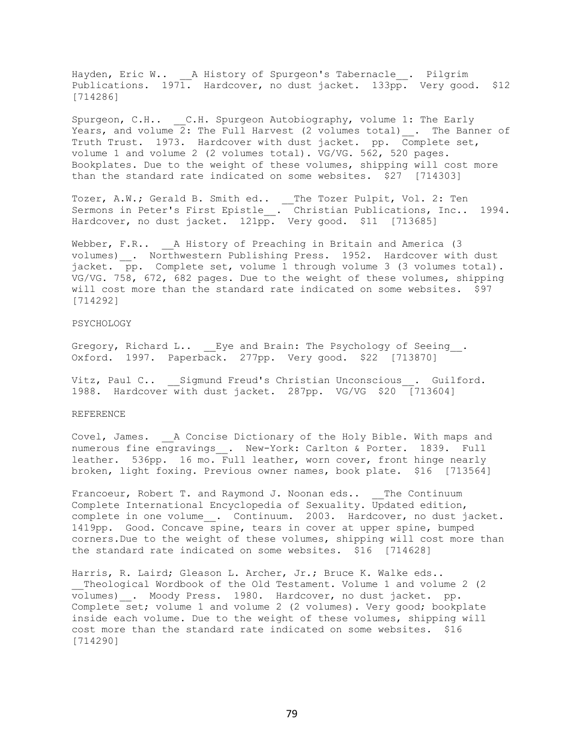Hayden, Eric W.. \_\_A History of Spurgeon's Tabernacle\_\_. Pilgrim Publications. 1971. Hardcover, no dust jacket. 133pp. Very good. \$12 [714286]

Spurgeon, C.H.. C.H. Spurgeon Autobiography, volume 1: The Early Years, and volume 2: The Full Harvest (2 volumes total) . The Banner of Truth Trust. 1973. Hardcover with dust jacket. pp. Complete set, volume 1 and volume 2 (2 volumes total). VG/VG. 562, 520 pages. Bookplates. Due to the weight of these volumes, shipping will cost more than the standard rate indicated on some websites. \$27 [714303]

Tozer, A.W.; Gerald B. Smith ed.. \_\_The Tozer Pulpit, Vol. 2: Ten Sermons in Peter's First Epistle\_\_. Christian Publications, Inc.. 1994. Hardcover, no dust jacket. 121pp. Very good. \$11 [713685]

Webber, F.R.. \_\_ A History of Preaching in Britain and America (3 volumes) \_\_. Northwestern Publishing Press. 1952. Hardcover with dust jacket. pp. Complete set, volume 1 through volume 3 (3 volumes total). VG/VG. 758, 672, 682 pages. Due to the weight of these volumes, shipping will cost more than the standard rate indicated on some websites. \$97 [714292]

## PSYCHOLOGY

Gregory, Richard L.. Eye and Brain: The Psychology of Seeing. Oxford. 1997. Paperback. 277pp. Very good. \$22 [713870]

Vitz, Paul C.. Sigmund Freud's Christian Unconscious . Guilford. 1988. Hardcover with dust jacket. 287pp. VG/VG \$20 [713604]

## REFERENCE

Covel, James. \_\_A Concise Dictionary of the Holy Bible. With maps and numerous fine engravings\_\_. New-York: Carlton & Porter. 1839. Full leather. 536pp. 16 mo. Full leather, worn cover, front hinge nearly broken, light foxing. Previous owner names, book plate. \$16 [713564]

Francoeur, Robert T. and Raymond J. Noonan eds.. The Continuum Complete International Encyclopedia of Sexuality. Updated edition, complete in one volume\_\_. Continuum. 2003. Hardcover, no dust jacket. 1419pp. Good. Concave spine, tears in cover at upper spine, bumped corners.Due to the weight of these volumes, shipping will cost more than the standard rate indicated on some websites. \$16 [714628]

Harris, R. Laird; Gleason L. Archer, Jr.; Bruce K. Walke eds.. \_\_Theological Wordbook of the Old Testament. Volume 1 and volume 2 (2 volumes)\_\_. Moody Press. 1980. Hardcover, no dust jacket. pp. Complete set; volume 1 and volume 2 (2 volumes). Very good; bookplate inside each volume. Due to the weight of these volumes, shipping will cost more than the standard rate indicated on some websites. \$16 [714290]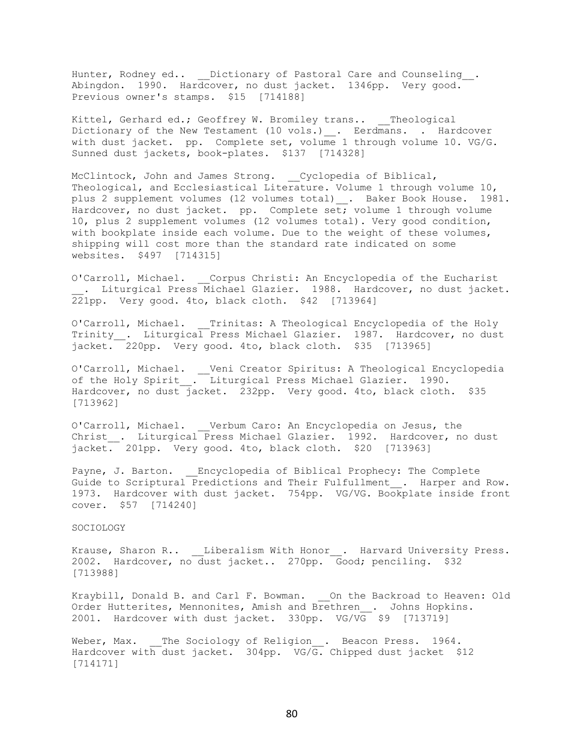Hunter, Rodney ed.. Dictionary of Pastoral Care and Counseling . Abingdon. 1990. Hardcover, no dust jacket. 1346pp. Very good. Previous owner's stamps. \$15 [714188]

Kittel, Gerhard ed.; Geoffrey W. Bromiley trans.. Theological Dictionary of the New Testament (10 vols.) . Eerdmans. . Hardcover with dust jacket. pp. Complete set, volume 1 through volume 10. VG/G. Sunned dust jackets, book-plates. \$137 [714328]

McClintock, John and James Strong. \_\_Cyclopedia of Biblical, Theological, and Ecclesiastical Literature. Volume 1 through volume 10, plus 2 supplement volumes (12 volumes total)\_\_. Baker Book House. 1981. Hardcover, no dust jacket. pp. Complete set; volume 1 through volume 10, plus 2 supplement volumes (12 volumes total). Very good condition, with bookplate inside each volume. Due to the weight of these volumes, shipping will cost more than the standard rate indicated on some websites. \$497 [714315]

O'Carroll, Michael. \_\_Corpus Christi: An Encyclopedia of the Eucharist . Liturgical Press Michael Glazier. 1988. Hardcover, no dust jacket.  $221pp.$  Very good. 4to, black cloth. \$42 [713964]

O'Carroll, Michael. Trinitas: A Theological Encyclopedia of the Holy Trinity . Liturgical Press Michael Glazier. 1987. Hardcover, no dust jacket. 220pp. Very good. 4to, black cloth. \$35 [713965]

O'Carroll, Michael. \_\_Veni Creator Spiritus: A Theological Encyclopedia of the Holy Spirit . Liturgical Press Michael Glazier. 1990. Hardcover, no dust jacket. 232pp. Very good. 4to, black cloth. \$35 [713962]

O'Carroll, Michael. \_\_Verbum Caro: An Encyclopedia on Jesus, the Christ . Liturgical Press Michael Glazier. 1992. Hardcover, no dust jacket. 201pp. Very good. 4to, black cloth. \$20 [713963]

Payne, J. Barton. Encyclopedia of Biblical Prophecy: The Complete Guide to Scriptural Predictions and Their Fulfullment . Harper and Row. 1973. Hardcover with dust jacket. 754pp. VG/VG. Bookplate inside front cover. \$57 [714240]

## SOCIOLOGY

Krause, Sharon R.. Liberalism With Honor . Harvard University Press. 2002. Hardcover, no dust jacket.. 270pp. Good; penciling. \$32 [713988]

Kraybill, Donald B. and Carl F. Bowman. \_\_\_ On the Backroad to Heaven: Old Order Hutterites, Mennonites, Amish and Brethren . Johns Hopkins. 2001. Hardcover with dust jacket. 330pp. VG/VG \$9 [713719]

Weber, Max. The Sociology of Religion . Beacon Press. 1964. Hardcover with dust jacket. 304pp. VG/ $\overline{G}$ . Chipped dust jacket \$12 [714171]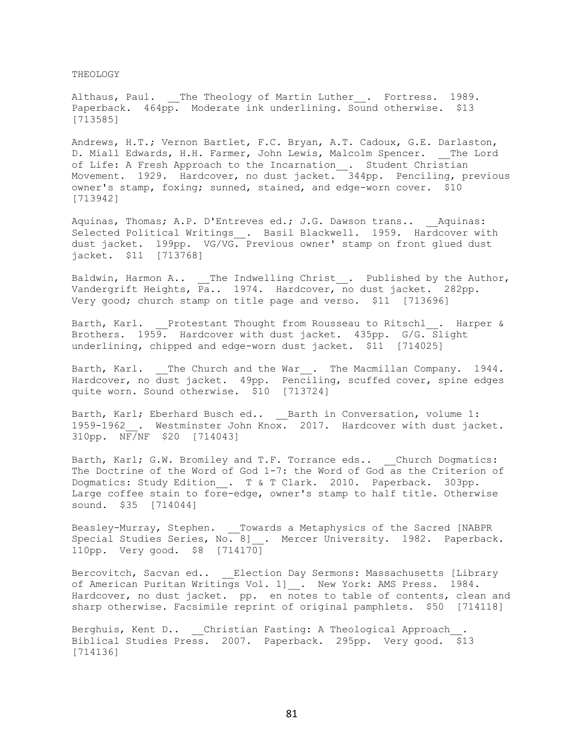THEOLOGY

Althaus, Paul. \_\_The Theology of Martin Luther\_\_. Fortress. 1989. Paperback. 464pp. Moderate ink underlining. Sound otherwise. \$13 [713585]

Andrews, H.T.; Vernon Bartlet, F.C. Bryan, A.T. Cadoux, G.E. Darlaston, D. Miall Edwards, H.H. Farmer, John Lewis, Malcolm Spencer. The Lord of Life: A Fresh Approach to the Incarnation\_\_. Student Christian Movement. 1929. Hardcover, no dust jacket. 344pp. Penciling, previous owner's stamp, foxing; sunned, stained, and edge-worn cover. \$10 [713942]

Aquinas, Thomas; A.P. D'Entreves ed.; J.G. Dawson trans.. \_\_Aquinas: Selected Political Writings . Basil Blackwell. 1959. Hardcover with dust jacket. 199pp. VG/VG. Previous owner' stamp on front glued dust jacket. \$11 [713768]

Baldwin, Harmon A.. \_\_The Indwelling Christ . Published by the Author, Vandergrift Heights, Pa.. 1974. Hardcover, no dust jacket. 282pp. Very good; church stamp on title page and verso. \$11 [713696]

Barth, Karl. Protestant Thought from Rousseau to Ritschl . Harper & Brothers. 1959. Hardcover with dust jacket. 435pp. G/G. Slight underlining, chipped and edge-worn dust jacket. \$11 [714025]

Barth, Karl. The Church and the War. The Macmillan Company. 1944. Hardcover, no dust jacket. 49pp. Penciling, scuffed cover, spine edges quite worn. Sound otherwise. \$10 [713724]

Barth, Karl; Eberhard Busch ed.. Barth in Conversation, volume 1: 1959-1962 . Westminster John Knox. 2017. Hardcover with dust jacket. 310pp. NF/NF \$20 [714043]

Barth, Karl; G.W. Bromiley and T.F. Torrance eds.. Church Dogmatics: The Doctrine of the Word of God 1-7: the Word of God as the Criterion of Dogmatics: Study Edition . T & T Clark. 2010. Paperback. 303pp. Large coffee stain to fore-edge, owner's stamp to half title. Otherwise sound. \$35 [714044]

Beasley-Murray, Stephen. \_\_Towards a Metaphysics of the Sacred [NABPR Special Studies Series, No. 8]\_\_. Mercer University. 1982. Paperback. 110pp. Very good. \$8 [714170]

Bercovitch, Sacvan ed.. \_\_\_Election Day Sermons: Massachusetts [Library of American Puritan Writings Vol. 1] . New York: AMS Press. 1984. Hardcover, no dust jacket. pp. en notes to table of contents, clean and sharp otherwise. Facsimile reprint of original pamphlets. \$50 [714118]

Berghuis, Kent D.. Christian Fasting: A Theological Approach Biblical Studies Press. 2007. Paperback. 295pp. Very good. \$13 [714136]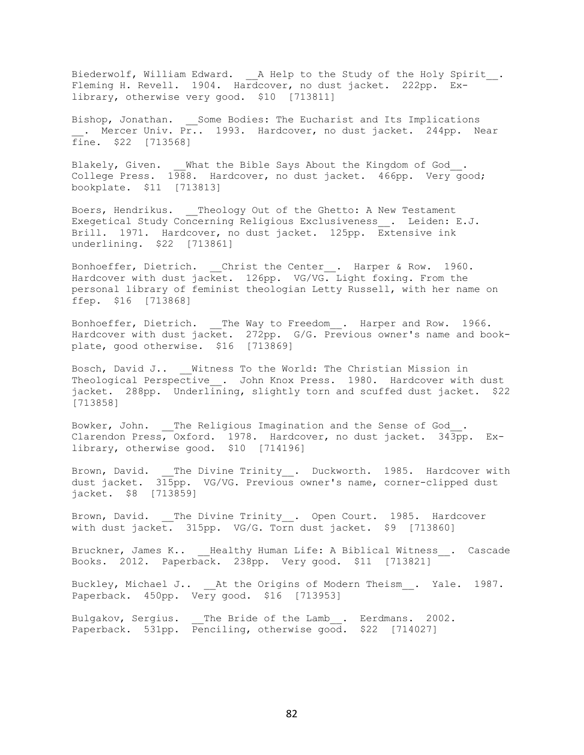Biederwolf, William Edward. \_\_ A Help to the Study of the Holy Spirit\_\_. Fleming H. Revell. 1904. Hardcover, no dust jacket. 222pp. Exlibrary, otherwise very good. \$10 [713811]

Bishop, Jonathan. Some Bodies: The Eucharist and Its Implications . Mercer Univ. Pr.. 1993. Hardcover, no dust jacket. 244pp. Near fine. \$22 [713568]

Blakely, Given. What the Bible Says About the Kingdom of God. College Press. 1988. Hardcover, no dust jacket. 466pp. Very good; bookplate. \$11 [713813]

Boers, Hendrikus. Theology Out of the Ghetto: A New Testament Exegetical Study Concerning Religious Exclusiveness\_\_. Leiden: E.J. Brill. 1971. Hardcover, no dust jacket. 125pp. Extensive ink underlining. \$22 [713861]

Bonhoeffer, Dietrich. \_\_Christ the Center\_\_. Harper & Row. 1960. Hardcover with dust jacket. 126pp. VG/VG. Light foxing. From the personal library of feminist theologian Letty Russell, with her name on ffep. \$16 [713868]

Bonhoeffer, Dietrich. The Way to Freedom. Harper and Row. 1966. Hardcover with dust jacket. 272pp. G/G. Previous owner's name and bookplate, good otherwise. \$16 [713869]

Bosch, David J.. Witness To the World: The Christian Mission in Theological Perspective . John Knox Press. 1980. Hardcover with dust jacket. 288pp. Underlining, slightly torn and scuffed dust jacket. \$22 [713858]

Bowker, John. The Religious Imagination and the Sense of God. Clarendon Press, Oxford. 1978. Hardcover, no dust jacket. 343pp. Exlibrary, otherwise good. \$10 [714196]

Brown, David. \_\_The Divine Trinity\_\_. Duckworth. 1985. Hardcover with dust jacket. 315pp. VG/VG. Previous owner's name, corner-clipped dust jacket. \$8 [713859]

Brown, David. The Divine Trinity . Open Court. 1985. Hardcover with dust jacket. 315pp. VG/G. Torn dust jacket. \$9 [713860]

Bruckner, James K.. Healthy Human Life: A Biblical Witness . Cascade Books. 2012. Paperback. 238pp. Very good. \$11 [713821]

Buckley, Michael J.. \_\_ At the Origins of Modern Theism . Yale. 1987. Paperback.  $450 \text{pp}$ . Very good. \$16 [713953]

Bulgakov, Sergius. \_\_The Bride of the Lamb\_\_. Eerdmans. 2002. Paperback. 531pp. Penciling, otherwise good. \$22 [714027]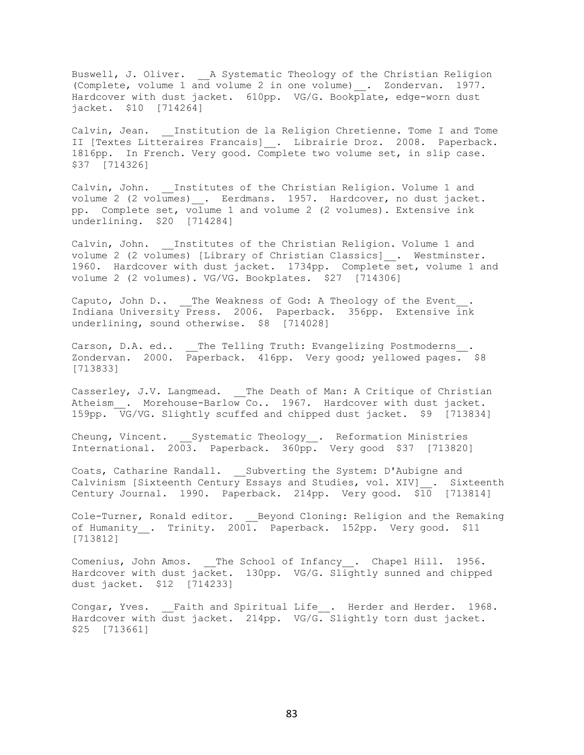Buswell, J. Oliver. \_\_A Systematic Theology of the Christian Religion (Complete, volume 1 and volume 2 in one volume)\_\_. Zondervan. 1977. Hardcover with dust jacket. 610pp. VG/G. Bookplate, edge-worn dust jacket. \$10 [714264]

Calvin, Jean. Institution de la Religion Chretienne. Tome I and Tome II [Textes Litteraires Francais] . Librairie Droz. 2008. Paperback. 1816pp. In French. Very good. Complete two volume set, in slip case. \$37 [714326]

Calvin, John. Institutes of the Christian Religion. Volume 1 and volume 2 (2 volumes)\_\_. Eerdmans. 1957. Hardcover, no dust jacket. pp. Complete set, volume 1 and volume 2 (2 volumes). Extensive ink underlining. \$20 [714284]

Calvin, John. Institutes of the Christian Religion. Volume 1 and volume 2 (2 volumes) [Library of Christian Classics] \_. Westminster. 1960. Hardcover with dust jacket. 1734pp. Complete set, volume 1 and volume 2 (2 volumes). VG/VG. Bookplates. \$27 [714306]

Caputo, John D.. \_\_The Weakness of God: A Theology of the Event . Indiana University Press. 2006. Paperback. 356pp. Extensive ink underlining, sound otherwise. \$8 [714028]

Carson, D.A. ed.. \_\_The Telling Truth: Evangelizing Postmoderns\_\_. Zondervan. 2000. Paperback. 416pp. Very good; yellowed pages. \$8 [713833]

Casserley, J.V. Langmead. \_\_The Death of Man: A Critique of Christian Atheism\_\_. Morehouse-Barlow Co.. 1967. Hardcover with dust jacket. 159pp. VG/VG. Slightly scuffed and chipped dust jacket. \$9 [713834]

Cheung, Vincent. \_\_Systematic Theology\_\_. Reformation Ministries International. 2003. Paperback. 360pp. Very good \$37 [713820]

Coats, Catharine Randall. \_\_Subverting the System: D'Aubigne and Calvinism [Sixteenth Century Essays and Studies, vol. XIV] . Sixteenth Century Journal. 1990. Paperback. 214pp. Very good. \$10 [713814]

Cole-Turner, Ronald editor. Eeyond Cloning: Religion and the Remaking of Humanity . Trinity. 2001. Paperback. 152pp. Very good. \$11 [713812]

Comenius, John Amos. The School of Infancy . Chapel Hill. 1956. Hardcover with dust jacket. 130pp. VG/G. Slightly sunned and chipped dust jacket. \$12 [714233]

Congar, Yves. Faith and Spiritual Life . Herder and Herder. 1968. Hardcover with dust jacket. 214pp. VG/G. Slightly torn dust jacket. \$25 [713661]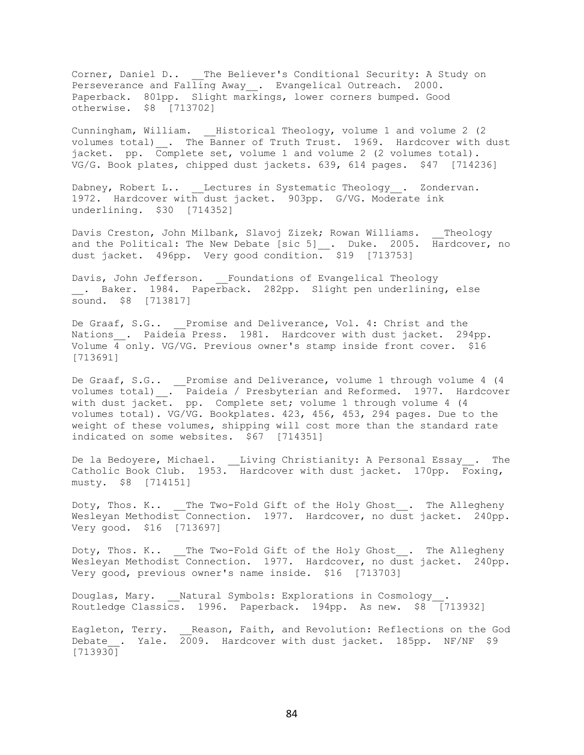Corner, Daniel D.. The Believer's Conditional Security: A Study on Perseverance and Falling Away\_\_. Evangelical Outreach. 2000. Paperback. 801pp. Slight markings, lower corners bumped. Good otherwise. \$8 [713702]

Cunningham, William. Historical Theology, volume 1 and volume 2 (2 volumes total) . The Banner of Truth Trust. 1969. Hardcover with dust jacket. pp. Complete set, volume 1 and volume 2 (2 volumes total). VG/G. Book plates, chipped dust jackets. 639, 614 pages. \$47 [714236]

Dabney, Robert L.. Lectures in Systematic Theology . Zondervan. 1972. Hardcover with dust jacket. 903pp. G/VG. Moderate ink underlining. \$30 [714352]

Davis Creston, John Milbank, Slavoj Zizek; Rowan Williams. \_\_Theology and the Political: The New Debate [sic 5] . Duke. 2005. Hardcover, no dust jacket. 496pp. Very good condition. \$19 [713753]

Davis, John Jefferson. Foundations of Evangelical Theology . Baker. 1984. Paperback. 282pp. Slight pen underlining, else sound. \$8 [713817]

De Graaf, S.G.. Promise and Deliverance, Vol. 4: Christ and the Nations . Paideia Press. 1981. Hardcover with dust jacket. 294pp. Volume 4 only. VG/VG. Previous owner's stamp inside front cover. \$16 [713691]

De Graaf, S.G.. \_\_Promise and Deliverance, volume 1 through volume 4 (4 volumes total)\_\_. Paideia / Presbyterian and Reformed. 1977. Hardcover with dust jacket. pp. Complete set; volume 1 through volume 4 (4 volumes total). VG/VG. Bookplates. 423, 456, 453, 294 pages. Due to the weight of these volumes, shipping will cost more than the standard rate indicated on some websites. \$67 [714351]

De la Bedoyere, Michael. \_\_Living Christianity: A Personal Essay\_\_. The Catholic Book Club. 1953. Hardcover with dust jacket. 170pp. Foxing, musty. \$8 [714151]

Doty, Thos. K.. \_\_The Two-Fold Gift of the Holy Ghost . The Allegheny Wesleyan Methodist Connection. 1977. Hardcover, no dust jacket. 240pp. Very good. \$16 [713697]

Doty, Thos. K.. \_\_The Two-Fold Gift of the Holy Ghost . The Allegheny Wesleyan Methodist Connection. 1977. Hardcover, no dust jacket. 240pp. Very good, previous owner's name inside. \$16 [713703]

Douglas, Mary. \_\_Natural Symbols: Explorations in Cosmology Routledge Classics. 1996. Paperback. 194pp. As new. \$8 [713932]

Eagleton, Terry. Reason, Faith, and Revolution: Reflections on the God Debate . Yale.  $2009$ . Hardcover with dust jacket. 185pp. NF/NF \$9 [713930]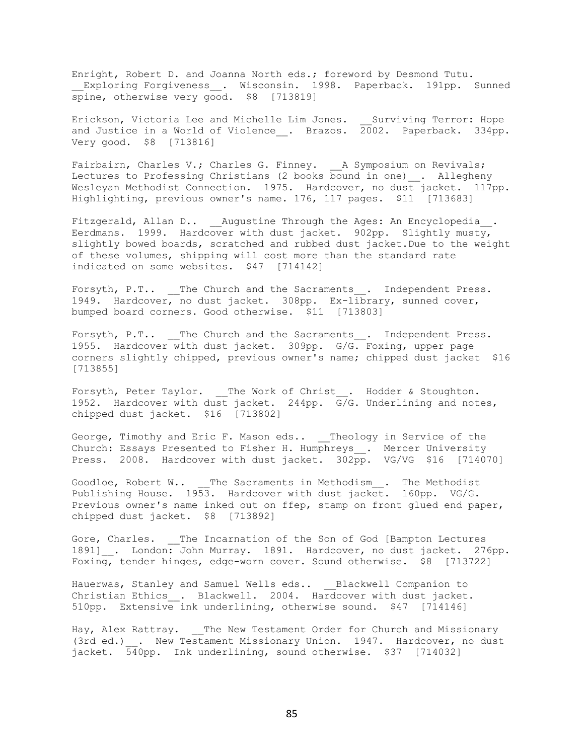Enright, Robert D. and Joanna North eds.; foreword by Desmond Tutu. Exploring Forgiveness \_. Wisconsin. 1998. Paperback. 191pp. Sunned spine, otherwise very good. \$8 [713819]

Erickson, Victoria Lee and Michelle Lim Jones. \_\_Surviving Terror: Hope and Justice in a World of Violence . Brazos. 2002. Paperback. 334pp. Very good. \$8 [713816]

Fairbairn, Charles V.; Charles G. Finney. \_\_A Symposium on Revivals; Lectures to Professing Christians (2 books bound in one)\_\_. Allegheny Wesleyan Methodist Connection. 1975. Hardcover, no dust jacket. 117pp. Highlighting, previous owner's name. 176, 117 pages. \$11 [713683]

Fitzgerald, Allan D.. Augustine Through the Ages: An Encyclopedia . Eerdmans. 1999. Hardcover with dust jacket. 902pp. Slightly musty, slightly bowed boards, scratched and rubbed dust jacket.Due to the weight of these volumes, shipping will cost more than the standard rate indicated on some websites. \$47 [714142]

Forsyth, P.T.. \_\_The Church and the Sacraments\_\_. Independent Press. 1949. Hardcover, no dust jacket. 308pp. Ex-library, sunned cover, bumped board corners. Good otherwise. \$11 [713803]

Forsyth, P.T.. The Church and the Sacraments . Independent Press. 1955. Hardcover with dust jacket. 309pp. G/G. Foxing, upper page corners slightly chipped, previous owner's name; chipped dust jacket \$16 [713855]

Forsyth, Peter Taylor. \_\_The Work of Christ\_\_. Hodder & Stoughton. 1952. Hardcover with dust jacket. 244pp. G/G. Underlining and notes, chipped dust jacket. \$16 [713802]

George, Timothy and Eric F. Mason eds.. \_\_Theology in Service of the Church: Essays Presented to Fisher H. Humphreys\_\_. Mercer University Press. 2008. Hardcover with dust jacket. 302pp. VG/VG \$16 [714070]

Goodloe, Robert W.. \_\_The Sacraments in Methodism\_\_. The Methodist Publishing House. 1953. Hardcover with dust jacket. 160pp. VG/G. Previous owner's name inked out on ffep, stamp on front glued end paper, chipped dust jacket. \$8 [713892]

Gore, Charles. \_\_ The Incarnation of the Son of God [Bampton Lectures 1891] . London: John Murray. 1891. Hardcover, no dust jacket. 276pp. Foxing, tender hinges, edge-worn cover. Sound otherwise. \$8 [713722]

Hauerwas, Stanley and Samuel Wells eds.. Blackwell Companion to Christian Ethics . Blackwell. 2004. Hardcover with dust jacket. 510pp. Extensive ink underlining, otherwise sound. \$47 [714146]

Hay, Alex Rattray. The New Testament Order for Church and Missionary (3rd ed.) . New Testament Missionary Union. 1947. Hardcover, no dust jacket. 540pp. Ink underlining, sound otherwise. \$37 [714032]

85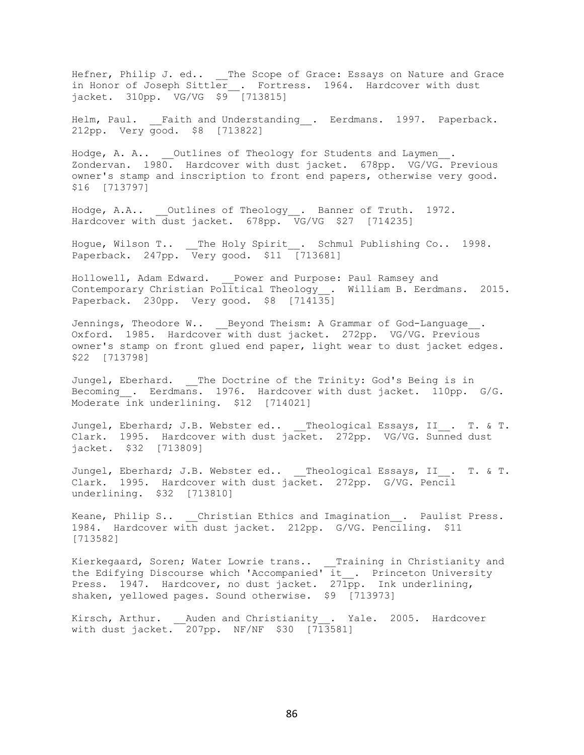Hefner, Philip J. ed.. The Scope of Grace: Essays on Nature and Grace in Honor of Joseph Sittler\_\_. Fortress. 1964. Hardcover with dust jacket. 310pp. VG/VG \$9 [713815]

Helm, Paul. Faith and Understanding . Eerdmans. 1997. Paperback. 212pp. Very good. \$8 [713822]

Hodge, A. A.. Outlines of Theology for Students and Laymen. Zondervan. 1980. Hardcover with dust jacket. 678pp. VG/VG. Previous owner's stamp and inscription to front end papers, otherwise very good. \$16 [713797]

Hodge, A.A.. \_\_Outlines of Theology\_\_. Banner of Truth. 1972. Hardcover with dust jacket. 678pp. VG/VG \$27 [714235]

Hogue, Wilson T.. \_\_The Holy Spirit\_\_. Schmul Publishing Co.. 1998. Paperback. 247pp. Very good. \$11 [713681]

Hollowell, Adam Edward. \_\_Power and Purpose: Paul Ramsey and Contemporary Christian Political Theology\_\_. William B. Eerdmans. 2015. Paperback. 230pp. Very good. \$8 [714135]

Jennings, Theodore W.. Beyond Theism: A Grammar of God-Language. Oxford. 1985. Hardcover with dust jacket. 272pp. VG/VG. Previous owner's stamp on front glued end paper, light wear to dust jacket edges. \$22 [713798]

Jungel, Eberhard. The Doctrine of the Trinity: God's Being is in Becoming . Eerdmans. 1976. Hardcover with dust jacket. 110pp. G/G. Moderate ink underlining. \$12 [714021]

Jungel, Eberhard; J.B. Webster ed.. Theological Essays, II . T. & T. Clark. 1995. Hardcover with dust jacket. 272pp. VG/VG. Sunned dust jacket. \$32 [713809]

Jungel, Eberhard; J.B. Webster ed.. \_\_Theological Essays, II\_\_. T. & T. Clark. 1995. Hardcover with dust jacket. 272pp. G/VG. Pencil underlining. \$32 [713810]

Keane, Philip S.. Christian Ethics and Imagination . Paulist Press. 1984. Hardcover with dust jacket. 212pp. G/VG. Penciling. \$11 [713582]

Kierkegaard, Soren; Water Lowrie trans.. \_\_Training in Christianity and the Edifying Discourse which 'Accompanied' it . Princeton University Press. 1947. Hardcover, no dust jacket. 271pp. Ink underlining, shaken, yellowed pages. Sound otherwise. \$9 [713973]

Kirsch, Arthur. \_\_Auden and Christianity\_\_. Yale. 2005. Hardcover with dust jacket. 207pp. NF/NF \$30 [713581]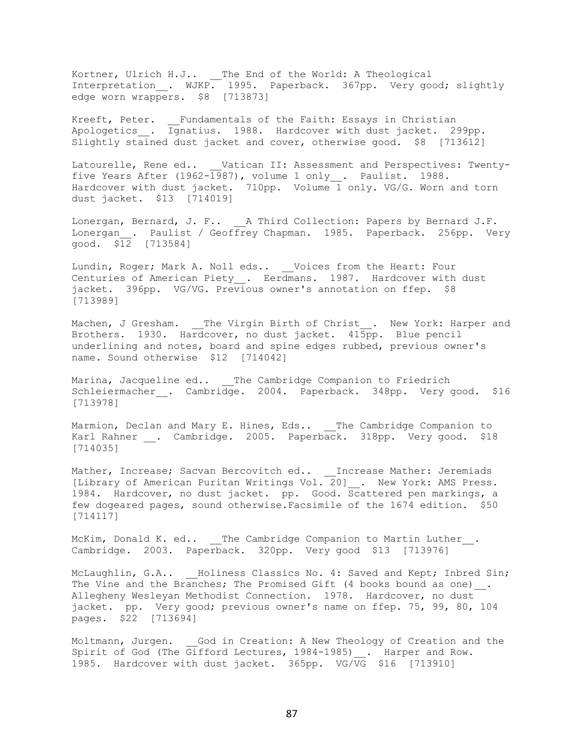Kortner, Ulrich H.J.. \_\_The End of the World: A Theological Interpretation\_\_. WJKP. 1995. Paperback. 367pp. Very good; slightly edge worn wrappers. \$8 [713873]

Kreeft, Peter. \_\_Fundamentals of the Faith: Essays in Christian Apologetics\_\_. Ignatius. 1988. Hardcover with dust jacket. 299pp. Slightly stained dust jacket and cover, otherwise good. \$8 [713612]

Latourelle, Rene ed.. Vatican II: Assessment and Perspectives: Twentyfive Years After (1962- $\overline{1987}$ ), volume 1 only<sub>\_\_\_</sub>. Paulist. 1988. Hardcover with dust jacket. 710pp. Volume 1 only. VG/G. Worn and torn dust jacket. \$13 [714019]

Lonergan, Bernard, J. F.. A Third Collection: Papers by Bernard J.F. Lonergan . Paulist / Geoffrey Chapman. 1985. Paperback. 256pp. Very good. \$12 [713584]

Lundin, Roger; Mark A. Noll eds.. \_\_ Voices from the Heart: Four Centuries of American Piety . Eerdmans. 1987. Hardcover with dust jacket. 396pp. VG/VG. Previous owner's annotation on ffep. \$8 [713989]

Machen, J Gresham. \_\_The Virgin Birth of Christ . New York: Harper and Brothers. 1930. Hardcover, no dust jacket. 415pp. Blue pencil underlining and notes, board and spine edges rubbed, previous owner's name. Sound otherwise \$12 [714042]

Marina, Jacqueline ed.. The Cambridge Companion to Friedrich Schleiermacher . Cambridge. 2004. Paperback. 348pp. Very good. \$16 [713978]

Marmion, Declan and Mary E. Hines, Eds.. The Cambridge Companion to Karl Rahner \_\_. Cambridge. 2005. Paperback. 318pp. Very good. \$18 [714035]

Mather, Increase; Sacvan Bercovitch ed.. \_\_Increase Mather: Jeremiads [Library of American Puritan Writings Vol. 20]\_\_. New York: AMS Press. 1984. Hardcover, no dust jacket. pp. Good. Scattered pen markings, a few dogeared pages, sound otherwise.Facsimile of the 1674 edition. \$50 [714117]

McKim, Donald K. ed.. The Cambridge Companion to Martin Luther . Cambridge. 2003. Paperback. 320pp. Very good \$13 [713976]

McLaughlin, G.A.. \_\_ Holiness Classics No. 4: Saved and Kept; Inbred Sin; The Vine and the Branches; The Promised Gift (4 books bound as one). Allegheny Wesleyan Methodist Connection. 1978. Hardcover, no dust jacket. pp. Very good; previous owner's name on ffep. 75, 99, 80, 104 pages. \$22 [713694]

Moltmann, Jurgen. God in Creation: A New Theology of Creation and the Spirit of God (The Gifford Lectures, 1984-1985) . Harper and Row. 1985. Hardcover with dust jacket. 365pp. VG/VG \$16 [713910]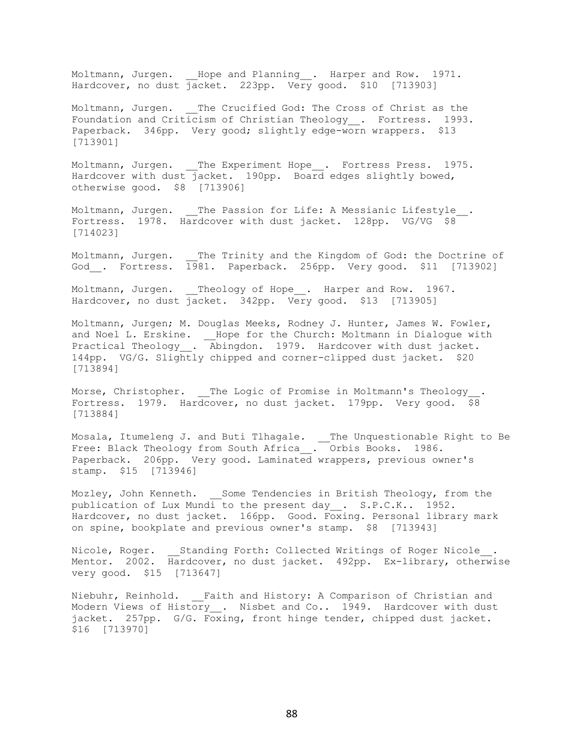Moltmann, Jurgen. \_\_Hope and Planning\_\_. Harper and Row. 1971. Hardcover, no dust  $\frac{1}{10}$  acket. 223pp. Very good. \$10 [713903]

Moltmann, Jurgen. The Crucified God: The Cross of Christ as the Foundation and Criticism of Christian Theology\_\_. Fortress. 1993. Paperback. 346pp. Very good; slightly edge-worn wrappers. \$13 [713901]

Moltmann, Jurgen. \_\_The Experiment Hope\_\_. Fortress Press. 1975. Hardcover with dust jacket. 190pp. Board edges slightly bowed, otherwise good. \$8 [713906]

Moltmann, Jurgen. The Passion for Life: A Messianic Lifestyle . Fortress. 1978. Hardcover with dust jacket. 128pp. VG/VG \$8 [714023]

Moltmann, Jurgen. \_\_The Trinity and the Kingdom of God: the Doctrine of God\_\_. Fortress. 1981. Paperback. 256pp. Very good. \$11 [713902]

Moltmann, Jurgen. Theology of Hope\_\_. Harper and Row. 1967. Hardcover, no dust jacket. 342pp. Very good. \$13 [713905]

Moltmann, Jurgen; M. Douglas Meeks, Rodney J. Hunter, James W. Fowler, and Noel L. Erskine. \_\_ Hope for the Church: Moltmann in Dialogue with Practical Theology . Abingdon. 1979. Hardcover with dust jacket. 144pp. VG/G. Slightly chipped and corner-clipped dust jacket. \$20 [713894]

Morse, Christopher. \_\_ The Logic of Promise in Moltmann's Theology Fortress. 1979. Hardcover, no dust jacket. 179pp. Very good. \$8 [713884]

Mosala, Itumeleng J. and Buti Tlhagale. \_\_The Unquestionable Right to Be Free: Black Theology from South Africa\_\_. Orbis Books. 1986. Paperback. 206pp. Very good. Laminated wrappers, previous owner's stamp. \$15 [713946]

Mozley, John Kenneth. Some Tendencies in British Theology, from the publication of Lux Mundi to the present day . S.P.C.K.. 1952. Hardcover, no dust jacket. 166pp. Good. Foxing. Personal library mark on spine, bookplate and previous owner's stamp. \$8 [713943]

Nicole, Roger. Standing Forth: Collected Writings of Roger Nicole. Mentor. 2002. Hardcover, no dust jacket. 492pp. Ex-library, otherwise very good. \$15 [713647]

Niebuhr, Reinhold. Faith and History: A Comparison of Christian and Modern Views of History . Nisbet and Co.. 1949. Hardcover with dust jacket. 257pp. G/G. Foxing, front hinge tender, chipped dust jacket. \$16 [713970]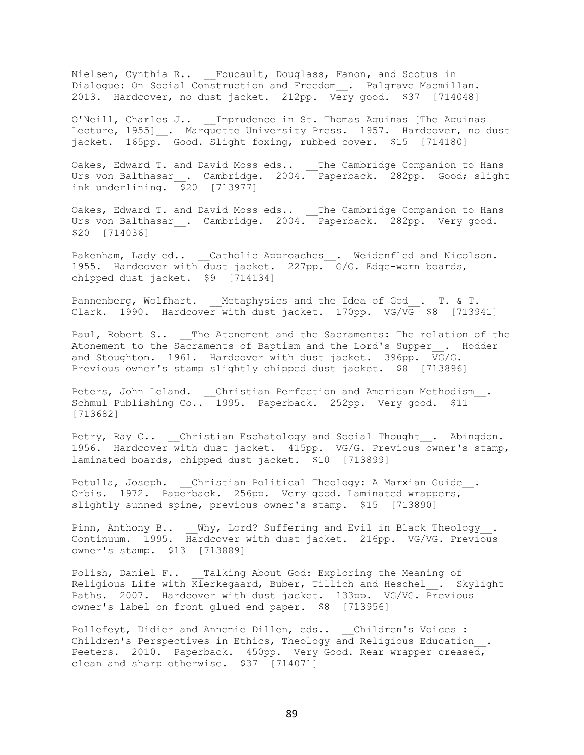Nielsen, Cynthia R.. \_\_Foucault, Douglass, Fanon, and Scotus in Dialogue: On Social Construction and Freedom\_\_. Palgrave Macmillan. 2013. Hardcover, no dust jacket. 212pp. Very good. \$37 [714048]

O'Neill, Charles J.. \_\_Imprudence in St. Thomas Aquinas [The Aquinas Lecture, 1955] . Marquette University Press. 1957. Hardcover, no dust jacket. 165pp. Good. Slight foxing, rubbed cover. \$15 [714180]

Oakes, Edward T. and David Moss eds.. \_\_The Cambridge Companion to Hans Urs von Balthasar\_\_. Cambridge. 2004. Paperback. 282pp. Good; slight ink underlining.  $\frac{1}{20}$  [713977]

Oakes, Edward T. and David Moss eds.. The Cambridge Companion to Hans Urs von Balthasar . Cambridge. 2004. Paperback. 282pp. Very good. \$20 [714036]

Pakenham, Lady ed.. \_\_Catholic Approaches\_\_. Weidenfled and Nicolson. 1955. Hardcover with dust jacket. 227pp. G/G. Edge-worn boards, chipped dust jacket. \$9 [714134]

Pannenberg, Wolfhart. Metaphysics and the Idea of God. T. & T. Clark. 1990. Hardcover with dust jacket. 170pp. VG/VG \$8 [713941]

Paul, Robert S.. \_\_The Atonement and the Sacraments: The relation of the Atonement to the Sacraments of Baptism and the Lord's Supper . Hodder and Stoughton. 1961. Hardcover with dust jacket. 396pp.  $\overline{VG}/G$ . Previous owner's stamp slightly chipped dust jacket. \$8 [713896]

Peters, John Leland. \_\_Christian Perfection and American Methodism\_\_. Schmul Publishing Co.. 1995. Paperback. 252pp. Very good. \$11 [713682]

Petry, Ray C.. \_\_Christian Eschatology and Social Thought\_\_. Abingdon. 1956. Hardcover with dust jacket. 415pp. VG/G. Previous owner's stamp, laminated boards, chipped dust jacket. \$10 [713899]

Petulla, Joseph. \_\_Christian Political Theology: A Marxian Guide\_\_. Orbis. 1972. Paperback. 256pp. Very good. Laminated wrappers, slightly sunned spine, previous owner's stamp. \$15 [713890]

Pinn, Anthony B.. \_\_Why, Lord? Suffering and Evil in Black Theology\_\_. Continuum. 1995. Hardcover with dust jacket. 216pp. VG/VG. Previous owner's stamp. \$13 [713889]

Polish, Daniel F.. \_\_ Talking About God: Exploring the Meaning of Religious Life with Kierkegaard, Buber, Tillich and Heschel\_\_. Skylight Paths. 2007. Hardcover with dust jacket. 133pp. VG/VG. Previous owner's label on front glued end paper. \$8 [713956]

Pollefeyt, Didier and Annemie Dillen, eds.. Children's Voices : Children's Perspectives in Ethics, Theology and Religious Education\_\_. Peeters. 2010. Paperback. 450pp. Very Good. Rear wrapper creased, clean and sharp otherwise. \$37 [714071]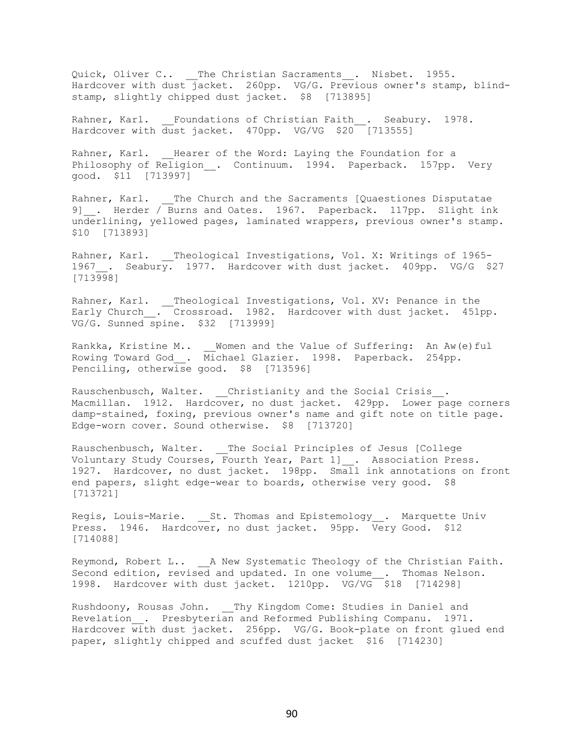Quick, Oliver C.. \_\_The Christian Sacraments\_\_. Nisbet. 1955. Hardcover with dust jacket. 260pp. VG/G. Previous owner's stamp, blindstamp, slightly chipped dust jacket. \$8 [713895]

Rahner, Karl. Foundations of Christian Faith . Seabury. 1978. Hardcover with dust jacket. 470pp. VG/VG \$20 [713555]

Rahner, Karl. \_\_ Hearer of the Word: Laying the Foundation for a Philosophy of Religion . Continuum. 1994. Paperback. 157pp. Very good. \$11 [713997]

Rahner, Karl. \_\_The Church and the Sacraments [Quaestiones Disputatae 9] . Herder / Burns and Oates. 1967. Paperback. 117pp. Slight ink underlining, yellowed pages, laminated wrappers, previous owner's stamp. \$10 [713893]

Rahner, Karl. \_\_Theological Investigations, Vol. X: Writings of 1965-1967 . Seabury. 1977. Hardcover with dust jacket. 409pp. VG/G \$27 [713998]

Rahner, Karl. \_\_Theological Investigations, Vol. XV: Penance in the Early Church\_\_. Crossroad. 1982. Hardcover with dust jacket. 451pp. VG/G. Sunned spine. \$32 [713999]

Rankka, Kristine M.. \_\_ Women and the Value of Suffering: An Aw(e)ful Rowing Toward God\_\_. Michael Glazier. 1998. Paperback. 254pp. Penciling, otherwise good. \$8 [713596]

Rauschenbusch, Walter. \_\_Christianity and the Social Crisis\_\_. Macmillan. 1912. Hardcover, no dust jacket. 429pp. Lower page corners damp-stained, foxing, previous owner's name and gift note on title page. Edge-worn cover. Sound otherwise. \$8 [713720]

Rauschenbusch, Walter. \_\_The Social Principles of Jesus [College Voluntary Study Courses, Fourth Year, Part 1] . Association Press. 1927. Hardcover, no dust jacket. 198pp. Small ink annotations on front end papers, slight edge-wear to boards, otherwise very good. \$8 [713721]

Regis, Louis-Marie. 5t. Thomas and Epistemology . Marquette Univ Press. 1946. Hardcover, no dust jacket. 95pp. Very Good. \$12 [714088]

Reymond, Robert L.. \_\_\_\_ A New Systematic Theology of the Christian Faith. Second edition, revised and updated. In one volume . Thomas Nelson. 1998. Hardcover with dust jacket. 1210pp. VG/VG \$18 [714298]

Rushdoony, Rousas John. Thy Kingdom Come: Studies in Daniel and Revelation\_\_. Presbyterian and Reformed Publishing Companu. 1971. Hardcover with dust jacket. 256pp. VG/G. Book-plate on front glued end paper, slightly chipped and scuffed dust jacket \$16 [714230]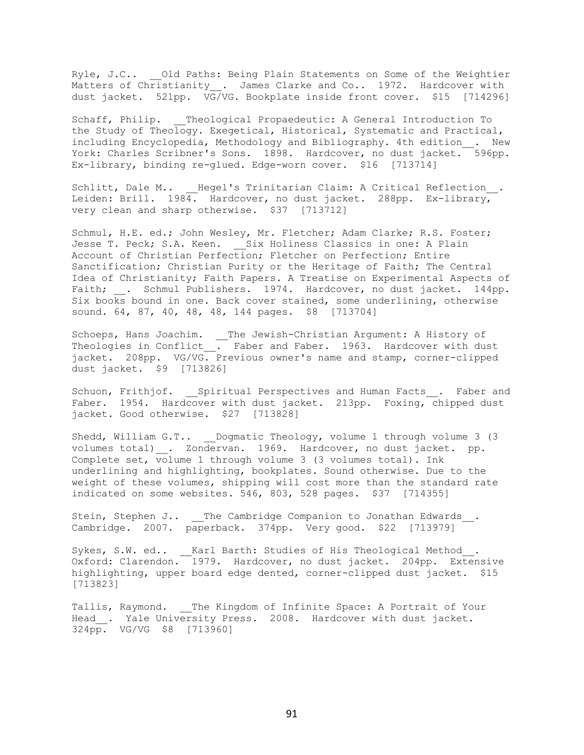Ryle, J.C.. Old Paths: Being Plain Statements on Some of the Weightier Matters of Christianity\_\_. James Clarke and Co.. 1972. Hardcover with dust jacket. 521pp. VG/VG. Bookplate inside front cover. \$15 [714296]

Schaff, Philip. Theological Propaedeutic: A General Introduction To the Study of Theology. Exegetical, Historical, Systematic and Practical, including Encyclopedia, Methodology and Bibliography. 4th edition\_\_. New York: Charles Scribner's Sons. 1898. Hardcover, no dust jacket. 596pp. Ex-library, binding re-glued. Edge-worn cover. \$16 [713714]

Schlitt, Dale M.. Hegel's Trinitarian Claim: A Critical Reflection . Leiden: Brill. 1984. Hardcover, no dust jacket. 288pp. Ex-library, very clean and sharp otherwise. \$37 [713712]

Schmul, H.E. ed.; John Wesley, Mr. Fletcher; Adam Clarke; R.S. Foster; Jesse T. Peck; S.A. Keen. \_\_ Six Holiness Classics in one: A Plain Account of Christian Perfection; Fletcher on Perfection; Entire Sanctification; Christian Purity or the Heritage of Faith; The Central Idea of Christianity; Faith Papers. A Treatise on Experimental Aspects of Faith; . Schmul Publishers. 1974. Hardcover, no dust jacket. 144pp. Six books bound in one. Back cover stained, some underlining, otherwise sound. 64, 87, 40, 48, 48, 144 pages. \$8 [713704]

Schoeps, Hans Joachim. \_\_The Jewish-Christian Argument: A History of Theologies in Conflict\_\_. Faber and Faber. 1963. Hardcover with dust jacket. 208pp. VG/VG. Previous owner's name and stamp, corner-clipped dust jacket. \$9 [713826]

Schuon, Frithjof. \_\_Spiritual Perspectives and Human Facts\_\_. Faber and Faber. 1954. Hardcover with dust jacket. 213pp. Foxing, chipped dust jacket. Good otherwise. \$27 [713828]

Shedd, William G.T.. Dogmatic Theology, volume 1 through volume 3 (3 volumes total) . Zondervan. 1969. Hardcover, no dust jacket. pp. Complete set, volume 1 through volume 3 (3 volumes total). Ink underlining and highlighting, bookplates. Sound otherwise. Due to the weight of these volumes, shipping will cost more than the standard rate indicated on some websites. 546, 803, 528 pages. \$37 [714355]

Stein, Stephen J.. \_\_The Cambridge Companion to Jonathan Edwards\_\_. Cambridge. 2007. paperback. 374pp. Very good. \$22 [713979]

Sykes, S.W. ed.. \_\_Karl Barth: Studies of His Theological Method . Oxford: Clarendon. 1979. Hardcover, no dust jacket. 204pp. Extensive highlighting, upper board edge dented, corner-clipped dust jacket. \$15 [713823]

Tallis, Raymond. \_\_The Kingdom of Infinite Space: A Portrait of Your Head . Yale University Press. 2008. Hardcover with dust jacket. 324pp. VG/VG \$8 [713960]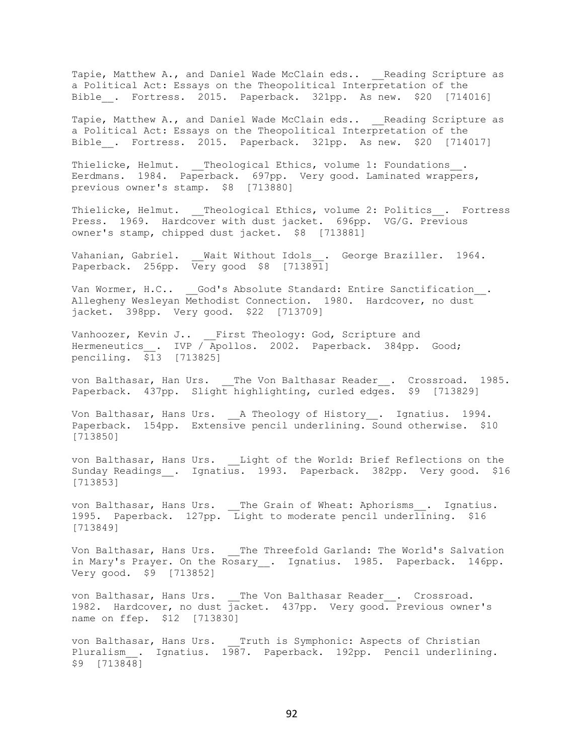Tapie, Matthew A., and Daniel Wade McClain eds.. \_\_Reading Scripture as a Political Act: Essays on the Theopolitical Interpretation of the Bible . Fortress. 2015. Paperback. 321pp. As new. \$20 [714016]

Tapie, Matthew A., and Daniel Wade McClain eds.. Reading Scripture as a Political Act: Essays on the Theopolitical Interpretation of the Bible . Fortress. 2015. Paperback. 321pp. As new. \$20 [714017]

Thielicke, Helmut. \_\_Theological Ethics, volume 1: Foundations\_\_. Eerdmans. 1984. Paperback. 697pp. Very good. Laminated wrappers, previous owner's stamp. \$8 [713880]

Thielicke, Helmut. \_\_Theological Ethics, volume 2: Politics . Fortress Press. 1969. Hardcover with dust jacket. 696pp. VG/G. Previous owner's stamp, chipped dust jacket. \$8 [713881]

Wait Without Idols\_. George Braziller. 1964. Vahanian, Gabriel. \_\_ Wait Without Idols\_\_.<br>Paperback. 256pp. Very good \$8 [713891]

Van Wormer, H.C.. God's Absolute Standard: Entire Sanctification . Allegheny Wesleyan Methodist Connection. 1980. Hardcover, no dust jacket. 398pp. Very good. \$22 [713709]

Vanhoozer, Kevin J.. First Theology: God, Scripture and Hermeneutics . IVP / Apollos. 2002. Paperback. 384pp. Good; penciling.  $\overline{$}13$  [713825]

von Balthasar, Han Urs. \_\_The Von Balthasar Reader\_\_. Crossroad. 1985. Paperback. 437pp. Slight highlighting, curled edges. \$9 [713829]

Von Balthasar, Hans Urs. A Theology of History . Ignatius. 1994. Paperback. 154pp. Extensive pencil underlining. Sound otherwise. \$10 [713850]

von Balthasar, Hans Urs. \_\_Light of the World: Brief Reflections on the Sunday Readings\_\_. Ignatius. 1993. Paperback. 382pp. Very good. \$16 [713853]

von Balthasar, Hans Urs. \_\_The Grain of Wheat: Aphorisms\_\_. Ignatius. 1995. Paperback. 127pp. Light to moderate pencil underlining. \$16 [713849]

Von Balthasar, Hans Urs. The Threefold Garland: The World's Salvation in Mary's Prayer. On the Rosary . Ignatius. 1985. Paperback. 146pp. Very good. \$9 [713852]

von Balthasar, Hans Urs. The Von Balthasar Reader . Crossroad. 1982. Hardcover, no dust jacket. 437pp. Very good. Previous owner's name on ffep. \$12 [713830]

von Balthasar, Hans Urs. Truth is Symphonic: Aspects of Christian Pluralism . Ignatius. 1987. Paperback. 192pp. Pencil underlining.  $$9$   $[713848]$